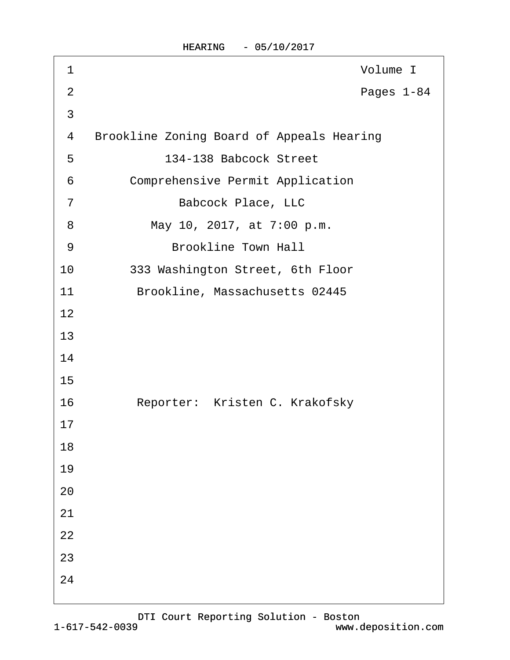HEARING - 05/10/2017

| 1              | Volume I                                         |
|----------------|--------------------------------------------------|
| $\overline{2}$ | Pages 1-84                                       |
| $\mathfrak{S}$ |                                                  |
| 4              | <b>Brookline Zoning Board of Appeals Hearing</b> |
| 5              | 134-138 Babcock Street                           |
| 6              | <b>Comprehensive Permit Application</b>          |
| $\overline{7}$ | <b>Babcock Place, LLC</b>                        |
| 8              | May 10, 2017, at 7:00 p.m.                       |
| 9              | <b>Brookline Town Hall</b>                       |
| 10             | 333 Washington Street, 6th Floor                 |
| 11             | Brookline, Massachusetts 02445                   |
| 12             |                                                  |
| 13             |                                                  |
| 14             |                                                  |
| 15             |                                                  |
| 16             | Reporter: Kristen C. Krakofsky                   |
| 17             |                                                  |
| 18             |                                                  |
| 19             |                                                  |
| 20             |                                                  |
| 21             |                                                  |
| 22             |                                                  |
| 23             |                                                  |
| 24             |                                                  |
|                |                                                  |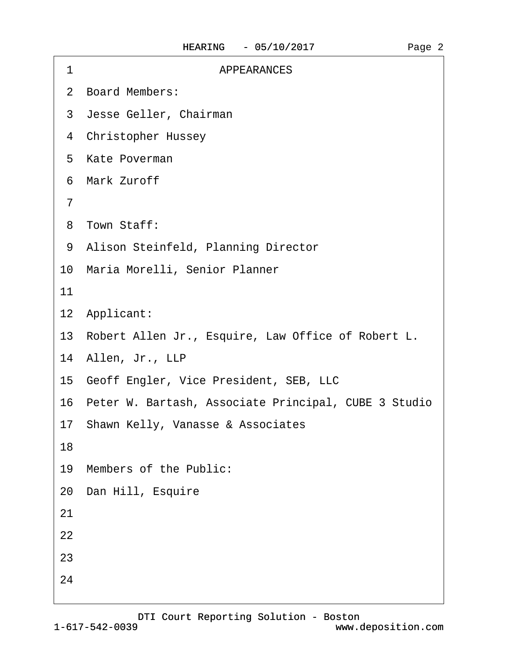| 1  | <b>APPEARANCES</b>                                      |
|----|---------------------------------------------------------|
|    | 2 Board Members:                                        |
|    | 3 Jesse Geller, Chairman                                |
|    | 4 Christopher Hussey                                    |
|    | 5 Kate Poverman                                         |
|    | 6 Mark Zuroff                                           |
| 7  |                                                         |
|    | 8 Town Staff:                                           |
|    | 9 Alison Steinfeld, Planning Director                   |
|    | 10 Maria Morelli, Senior Planner                        |
| 11 |                                                         |
|    | 12 Applicant:                                           |
|    | 13 Robert Allen Jr., Esquire, Law Office of Robert L.   |
|    | 14 Allen, Jr., LLP                                      |
|    | 15 Geoff Engler, Vice President, SEB, LLC               |
|    | 16 Peter W. Bartash, Associate Principal, CUBE 3 Studio |
|    | 17 Shawn Kelly, Vanasse & Associates                    |
| 18 |                                                         |
|    | 19 Members of the Public:                               |
|    | 20 Dan Hill, Esquire                                    |
| 21 |                                                         |
| 22 |                                                         |
| 23 |                                                         |
| 24 |                                                         |
|    |                                                         |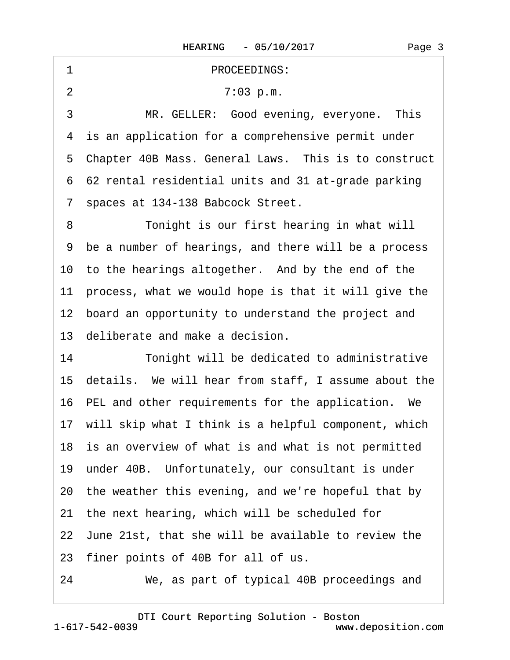| PROCEEDINGS:<br>1                                       |
|---------------------------------------------------------|
| $\overline{2}$<br>7:03 p.m.                             |
| 3<br>MR. GELLER: Good evening, everyone. This           |
| 4 is an application for a comprehensive permit under    |
| 5 Chapter 40B Mass. General Laws. This is to construct  |
| 6 62 rental residential units and 31 at-grade parking   |
| spaces at 134-138 Babcock Street.<br>$\overline{7}$     |
| Tonight is our first hearing in what will<br>8          |
| 9 be a number of hearings, and there will be a process  |
| 10 to the hearings altogether. And by the end of the    |
| 11 process, what we would hope is that it will give the |
| 12 board an opportunity to understand the project and   |
| 13 deliberate and make a decision.                      |
| 14<br>Tonight will be dedicated to administrative       |
| 15 details. We will hear from staff, I assume about the |
| 16 PEL and other requirements for the application. We   |
| 17 will skip what I think is a helpful component, which |
| 18 is an overview of what is and what is not permitted  |
| 19 under 40B. Unfortunately, our consultant is under    |
| 20 the weather this evening, and we're hopeful that by  |
| the next hearing, which will be scheduled for<br>21     |
| 22 June 21st, that she will be available to review the  |
| 23 finer points of 40B for all of us.                   |
| 24<br>We, as part of typical 40B proceedings and        |

 $\sqrt{ }$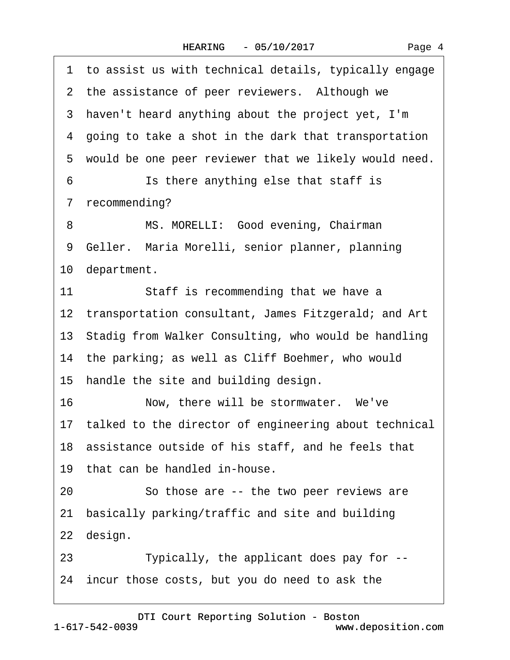| 1 to assist us with technical details, typically engage  |
|----------------------------------------------------------|
| 2 the assistance of peer reviewers. Although we          |
| 3 haven't heard anything about the project yet, I'm      |
| 4 going to take a shot in the dark that transportation   |
| 5 would be one peer reviewer that we likely would need.  |
| 6<br>Is there anything else that staff is                |
| 7 recommending?                                          |
| MS. MORELLI: Good evening, Chairman<br>8                 |
| 9 Geller. Maria Morelli, senior planner, planning        |
| 10 department.                                           |
| Staff is recommending that we have a<br>11               |
| 12 transportation consultant, James Fitzgerald; and Art  |
| 13 Stadig from Walker Consulting, who would be handling  |
| 14 the parking; as well as Cliff Boehmer, who would      |
| 15 handle the site and building design.                  |
| 16<br>Now, there will be stormwater. We've               |
| 17 talked to the director of engineering about technical |
| 18 assistance outside of his staff, and he feels that    |
| 19 that can be handled in-house.                         |
| 20<br>So those are -- the two peer reviews are           |
| 21 basically parking/traffic and site and building       |
| 22 design.                                               |
| Typically, the applicant does pay for --<br>23           |
| 24 incur those costs, but you do need to ask the         |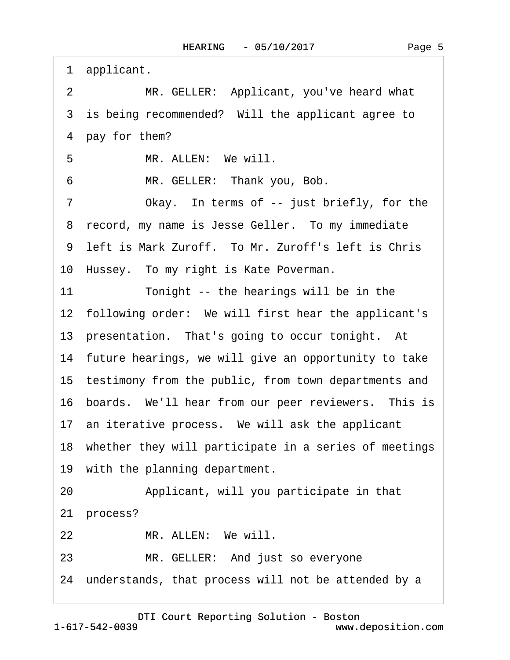| 1<br>applicant.                                            |
|------------------------------------------------------------|
| $\overline{2}$<br>MR. GELLER: Applicant, you've heard what |
| 3 is being recommended? Will the applicant agree to        |
| 4 pay for them?                                            |
| 5<br>MR. ALLEN: We will.                                   |
| MR. GELLER: Thank you, Bob.<br>6                           |
| 7<br>Okay. In terms of -- just briefly, for the            |
| 8 record, my name is Jesse Geller. To my immediate         |
| 9 left is Mark Zuroff. To Mr. Zuroff's left is Chris       |
| 10 Hussey. To my right is Kate Poverman.                   |
| 11<br>Tonight -- the hearings will be in the               |
| 12 following order: We will first hear the applicant's     |
| 13 presentation. That's going to occur tonight. At         |
| 14 future hearings, we will give an opportunity to take    |
| 15 testimony from the public, from town departments and    |
| 16 boards. We'll hear from our peer reviewers. This is     |
| 17 an iterative process. We will ask the applicant         |
| 18 whether they will participate in a series of meetings   |
| 19 with the planning department.                           |
| Applicant, will you participate in that<br>20              |
| 21 process?                                                |
| MR. ALLEN: We will.<br>22                                  |
| MR. GELLER: And just so everyone<br>23                     |
| 24 understands, that process will not be attended by a     |
|                                                            |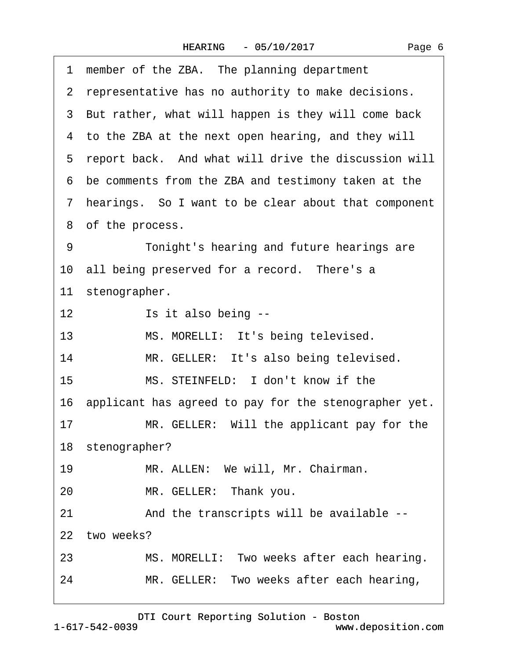|    | 1 member of the ZBA. The planning department             |
|----|----------------------------------------------------------|
|    | 2 representative has no authority to make decisions.     |
|    | 3 But rather, what will happen is they will come back    |
|    | 4 to the ZBA at the next open hearing, and they will     |
|    | 5 report back. And what will drive the discussion will   |
|    | 6 be comments from the ZBA and testimony taken at the    |
|    | 7 hearings. So I want to be clear about that component   |
|    | 8 of the process.                                        |
| 9  | Tonight's hearing and future hearings are                |
|    | 10 all being preserved for a record. There's a           |
|    | 11 stenographer.                                         |
| 12 | Is it also being --                                      |
| 13 | MS. MORELLI: It's being televised.                       |
| 14 | MR. GELLER: It's also being televised.                   |
| 15 | MS. STEINFELD: I don't know if the                       |
|    | 16 applicant has agreed to pay for the stenographer yet. |
| 17 | MR. GELLER: Will the applicant pay for the               |
|    | 18 stenographer?                                         |
| 19 | MR. ALLEN: We will, Mr. Chairman.                        |
| 20 | MR. GELLER: Thank you.                                   |
| 21 | And the transcripts will be available --                 |
|    | 22 two weeks?                                            |
| 23 | MS. MORELLI: Two weeks after each hearing.               |
| 24 | MR. GELLER: Two weeks after each hearing,                |
|    |                                                          |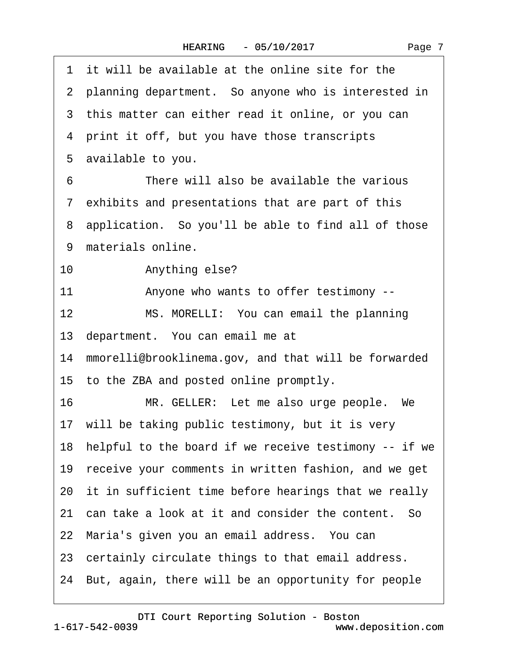| 1 it will be available at the online site for the        |
|----------------------------------------------------------|
| 2 planning department. So anyone who is interested in    |
| 3 this matter can either read it online, or you can      |
| 4 print it off, but you have those transcripts           |
| 5 available to you.                                      |
| There will also be available the various<br>6            |
| 7 exhibits and presentations that are part of this       |
| 8 application. So you'll be able to find all of those    |
| 9 materials online.                                      |
| Anything else?<br>10                                     |
| 11<br>Anyone who wants to offer testimony --             |
| 12<br>MS. MORELLI: You can email the planning            |
| 13 department. You can email me at                       |
| 14 mmorelli@brooklinema.gov, and that will be forwarded  |
| 15 to the ZBA and posted online promptly.                |
| 16<br>MR. GELLER: Let me also urge people. We            |
| 17 will be taking public testimony, but it is very       |
| 18 helpful to the board if we receive testimony -- if we |
| 19 receive your comments in written fashion, and we get  |
| 20 it in sufficient time before hearings that we really  |
| 21 can take a look at it and consider the content. So    |
| 22 Maria's given you an email address. You can           |
| 23 certainly circulate things to that email address.     |
| 24 But, again, there will be an opportunity for people   |
|                                                          |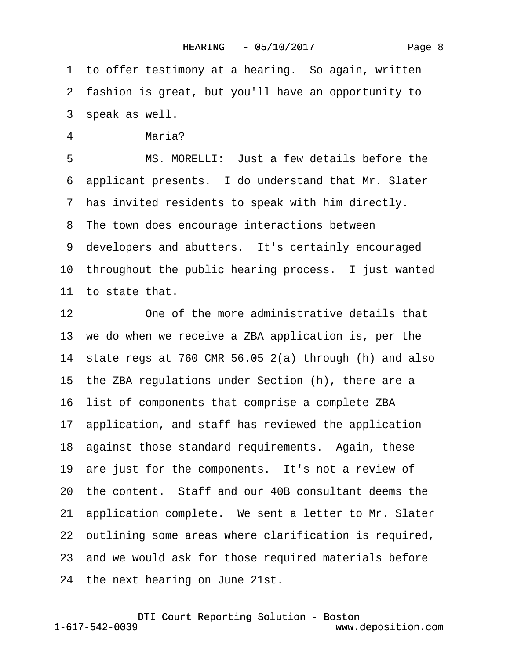1 to offer testimony at a hearing. So again, written ·2· fashion is great, but you'll have an opportunity to 3 speak as well. 4 Maria? 5 MS. MORELLI: Just a few details before the ·6· applicant presents.· I do understand that Mr. Slater ·7· has invited residents to speak with him directly. 8 The town does encourage interactions between 9 developers and abutters. It's certainly encouraged 10 throughout the public hearing process. I just wanted 11 to state that. 12 One of the more administrative details that 13 we do when we receive a ZBA application is, per the 14 state regs at 760 CMR 56.05  $2(a)$  through (h) and also 15· the ZBA regulations under Section (h), there are a 16 list of components that comprise a complete ZBA 17· application, and staff has reviewed the application 18 against those standard requirements. Again, these 19 are just for the components. It's not a review of 20 the content. Staff and our 40B consultant deems the 21 application complete. We sent a letter to Mr. Slater 22 outlining some areas where clarification is required, 23 and we would ask for those required materials before 24 the next hearing on June 21st.

1-617-542-0039 [DTI Court Reporting Solution - Boston](http://www.deposition.com) www.deposition.com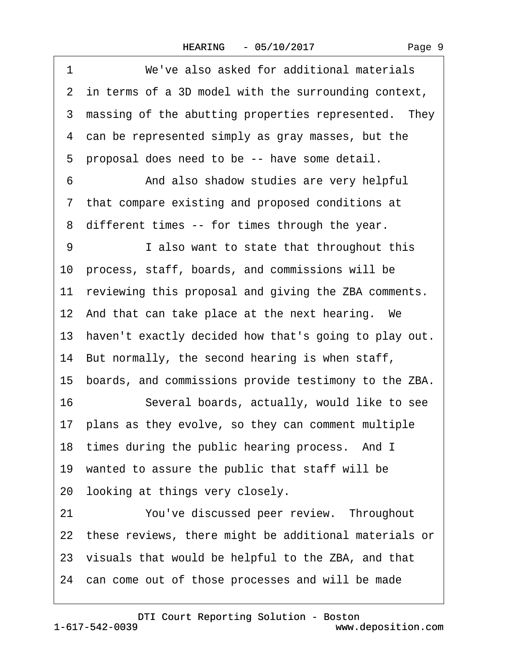1 We've also asked for additional materials

|    | 2 in terms of a 3D model with the surrounding context,   |
|----|----------------------------------------------------------|
|    | 3 massing of the abutting properties represented. They   |
|    | 4 can be represented simply as gray masses, but the      |
|    | 5 proposal does need to be -- have some detail.          |
| 6  | And also shadow studies are very helpful                 |
|    | 7 that compare existing and proposed conditions at       |
|    | 8 different times -- for times through the year.         |
| 9  | I also want to state that throughout this                |
|    | 10 process, staff, boards, and commissions will be       |
|    | 11 reviewing this proposal and giving the ZBA comments.  |
|    | 12 And that can take place at the next hearing. We       |
|    | 13 haven't exactly decided how that's going to play out. |
|    | 14 But normally, the second hearing is when staff,       |
|    | 15 boards, and commissions provide testimony to the ZBA. |
| 16 | Several boards, actually, would like to see              |
|    | 17 plans as they evolve, so they can comment multiple    |
|    | 18 times during the public hearing process. And I        |
|    | 19 wanted to assure the public that staff will be        |
|    | 20 looking at things very closely.                       |
| 21 | You've discussed peer review. Throughout                 |
|    | 22 these reviews, there might be additional materials or |
|    | 23 visuals that would be helpful to the ZBA, and that    |

24 can come out of those processes and will be made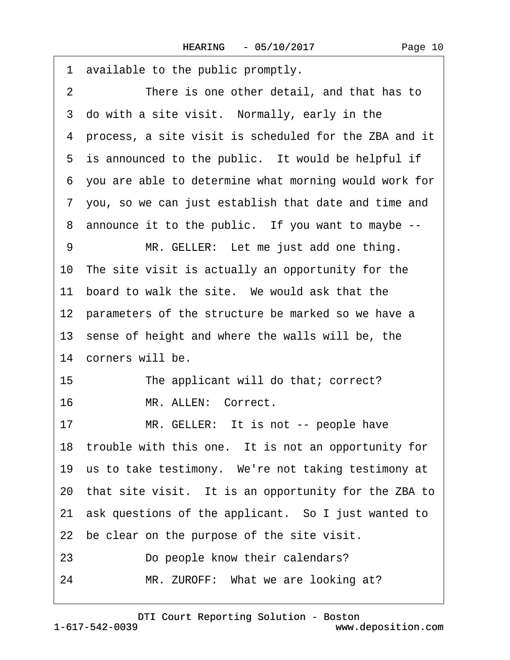| available to the public promptly.<br>1                       |
|--------------------------------------------------------------|
| $\overline{2}$<br>There is one other detail, and that has to |
| 3 do with a site visit. Normally, early in the               |
| 4 process, a site visit is scheduled for the ZBA and it      |
| 5 is announced to the public. It would be helpful if         |
| 6 you are able to determine what morning would work for      |
| 7 you, so we can just establish that date and time and       |
| 8 announce it to the public. If you want to maybe --         |
| MR. GELLER: Let me just add one thing.<br>9                  |
| 10 The site visit is actually an opportunity for the         |
| board to walk the site. We would ask that the<br>11          |
| 12 parameters of the structure be marked so we have a        |
| 13 sense of height and where the walls will be, the          |
| 14 corners will be.                                          |
| 15<br>The applicant will do that; correct?                   |
| 16<br>MR. ALLEN: Correct.                                    |
| MR. GELLER: It is not -- people have<br>17                   |
| 18 trouble with this one. It is not an opportunity for       |
| 19 us to take testimony. We're not taking testimony at       |
| 20 that site visit. It is an opportunity for the ZBA to      |
| 21 ask questions of the applicant. So I just wanted to       |
| 22 be clear on the purpose of the site visit.                |
| 23<br>Do people know their calendars?                        |
| 24<br>MR. ZUROFF: What we are looking at?                    |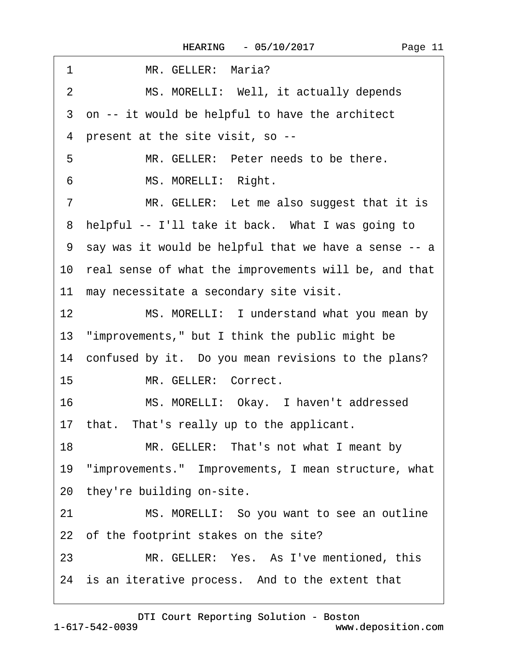| MS. MORELLI: Well, it actually depends<br>2<br>3 on -- it would be helpful to have the architect<br>4 present at the site visit, so --<br>5<br>MR. GELLER: Peter needs to be there.<br>MS. MORELLI: Right.<br>6<br>MR. GELLER: Let me also suggest that it is<br>7<br>8 helpful -- I'll take it back. What I was going to<br>9 say was it would be helpful that we have a sense -- a<br>10 real sense of what the improvements will be, and that<br>11 may necessitate a secondary site visit.<br>12 <sup>1</sup><br>MS. MORELLI: I understand what you mean by<br>13 "improvements," but I think the public might be<br>14 confused by it. Do you mean revisions to the plans?<br>MR. GELLER: Correct.<br>15 <sup>15</sup><br>MS. MORELLI: Okay. I haven't addressed<br>16<br>17 that. That's really up to the applicant.<br>18<br>MR. GELLER: That's not what I meant by<br>19 "improvements." Improvements, I mean structure, what<br>20 they're building on-site.<br>21<br>MS. MORELLI: So you want to see an outline<br>22 of the footprint stakes on the site?<br>MR. GELLER: Yes. As I've mentioned, this<br>23<br>24 is an iterative process. And to the extent that | MR. GELLER: Maria?<br>1 |
|------------------------------------------------------------------------------------------------------------------------------------------------------------------------------------------------------------------------------------------------------------------------------------------------------------------------------------------------------------------------------------------------------------------------------------------------------------------------------------------------------------------------------------------------------------------------------------------------------------------------------------------------------------------------------------------------------------------------------------------------------------------------------------------------------------------------------------------------------------------------------------------------------------------------------------------------------------------------------------------------------------------------------------------------------------------------------------------------------------------------------------------------------------------------------|-------------------------|
|                                                                                                                                                                                                                                                                                                                                                                                                                                                                                                                                                                                                                                                                                                                                                                                                                                                                                                                                                                                                                                                                                                                                                                              |                         |
|                                                                                                                                                                                                                                                                                                                                                                                                                                                                                                                                                                                                                                                                                                                                                                                                                                                                                                                                                                                                                                                                                                                                                                              |                         |
|                                                                                                                                                                                                                                                                                                                                                                                                                                                                                                                                                                                                                                                                                                                                                                                                                                                                                                                                                                                                                                                                                                                                                                              |                         |
|                                                                                                                                                                                                                                                                                                                                                                                                                                                                                                                                                                                                                                                                                                                                                                                                                                                                                                                                                                                                                                                                                                                                                                              |                         |
|                                                                                                                                                                                                                                                                                                                                                                                                                                                                                                                                                                                                                                                                                                                                                                                                                                                                                                                                                                                                                                                                                                                                                                              |                         |
|                                                                                                                                                                                                                                                                                                                                                                                                                                                                                                                                                                                                                                                                                                                                                                                                                                                                                                                                                                                                                                                                                                                                                                              |                         |
|                                                                                                                                                                                                                                                                                                                                                                                                                                                                                                                                                                                                                                                                                                                                                                                                                                                                                                                                                                                                                                                                                                                                                                              |                         |
|                                                                                                                                                                                                                                                                                                                                                                                                                                                                                                                                                                                                                                                                                                                                                                                                                                                                                                                                                                                                                                                                                                                                                                              |                         |
|                                                                                                                                                                                                                                                                                                                                                                                                                                                                                                                                                                                                                                                                                                                                                                                                                                                                                                                                                                                                                                                                                                                                                                              |                         |
|                                                                                                                                                                                                                                                                                                                                                                                                                                                                                                                                                                                                                                                                                                                                                                                                                                                                                                                                                                                                                                                                                                                                                                              |                         |
|                                                                                                                                                                                                                                                                                                                                                                                                                                                                                                                                                                                                                                                                                                                                                                                                                                                                                                                                                                                                                                                                                                                                                                              |                         |
|                                                                                                                                                                                                                                                                                                                                                                                                                                                                                                                                                                                                                                                                                                                                                                                                                                                                                                                                                                                                                                                                                                                                                                              |                         |
|                                                                                                                                                                                                                                                                                                                                                                                                                                                                                                                                                                                                                                                                                                                                                                                                                                                                                                                                                                                                                                                                                                                                                                              |                         |
|                                                                                                                                                                                                                                                                                                                                                                                                                                                                                                                                                                                                                                                                                                                                                                                                                                                                                                                                                                                                                                                                                                                                                                              |                         |
|                                                                                                                                                                                                                                                                                                                                                                                                                                                                                                                                                                                                                                                                                                                                                                                                                                                                                                                                                                                                                                                                                                                                                                              |                         |
|                                                                                                                                                                                                                                                                                                                                                                                                                                                                                                                                                                                                                                                                                                                                                                                                                                                                                                                                                                                                                                                                                                                                                                              |                         |
|                                                                                                                                                                                                                                                                                                                                                                                                                                                                                                                                                                                                                                                                                                                                                                                                                                                                                                                                                                                                                                                                                                                                                                              |                         |
|                                                                                                                                                                                                                                                                                                                                                                                                                                                                                                                                                                                                                                                                                                                                                                                                                                                                                                                                                                                                                                                                                                                                                                              |                         |
|                                                                                                                                                                                                                                                                                                                                                                                                                                                                                                                                                                                                                                                                                                                                                                                                                                                                                                                                                                                                                                                                                                                                                                              |                         |
|                                                                                                                                                                                                                                                                                                                                                                                                                                                                                                                                                                                                                                                                                                                                                                                                                                                                                                                                                                                                                                                                                                                                                                              |                         |
|                                                                                                                                                                                                                                                                                                                                                                                                                                                                                                                                                                                                                                                                                                                                                                                                                                                                                                                                                                                                                                                                                                                                                                              |                         |
|                                                                                                                                                                                                                                                                                                                                                                                                                                                                                                                                                                                                                                                                                                                                                                                                                                                                                                                                                                                                                                                                                                                                                                              |                         |
|                                                                                                                                                                                                                                                                                                                                                                                                                                                                                                                                                                                                                                                                                                                                                                                                                                                                                                                                                                                                                                                                                                                                                                              |                         |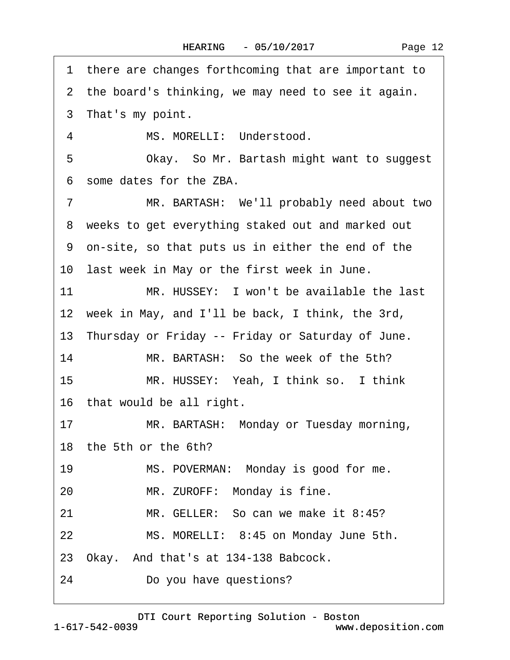| Page 12 |  |
|---------|--|
|---------|--|

1 there are changes forthcoming that are important to 2 the board's thinking, we may need to see it again. 3 That's my point. 4 MS. MORELLI: Understood. 5 Okay. So Mr. Bartash might want to suggest ·6· some dates for the ZBA. 7 MR. BARTASH: We'll probably need about two 8 weeks to get everything staked out and marked out ·9· on-site, so that puts us in either the end of the 10 last week in May or the first week in June. 11 MR. HUSSEY: I won't be available the last 12 week in May, and I'll be back, I think, the 3rd, 13 Thursday or Friday -- Friday or Saturday of June. 14 MR. BARTASH: So the week of the 5th? 15 MR. HUSSEY: Yeah, I think so. I think 16 that would be all right. 17 MR. BARTASH: Monday or Tuesday morning, 18· the 5th or the 6th? 19 MS. POVERMAN: Monday is good for me. 20 MR. ZUROFF: Monday is fine. 21 MR. GELLER: So can we make it 8:45? 22 MS. MORELLI: 8:45 on Monday June 5th. 23 Okay. And that's at 134-138 Babcock. 24 Do you have questions?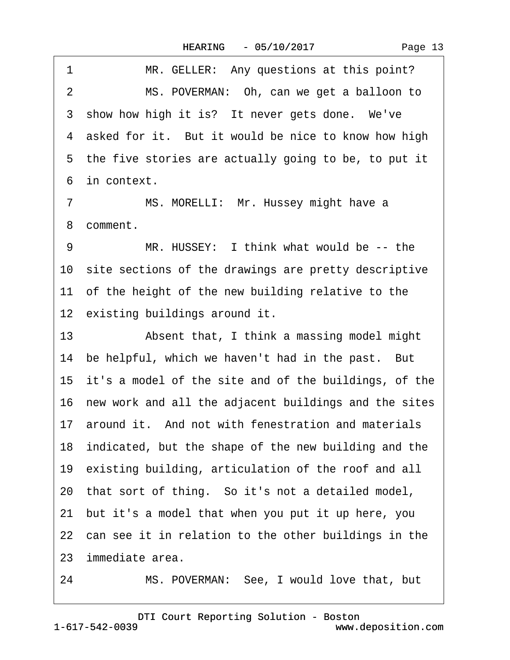|  | Page 13 |
|--|---------|
|--|---------|

1 MR. GELLER: Any questions at this point? 2 MS. POVERMAN: Oh, can we get a balloon to 3 show how high it is? It never gets done. We've 4 asked for it. But it would be nice to know how high 5 the five stories are actually going to be, to put it 6 in context.

7 MS. MORELLI: Mr. Hussey might have a 8 comment.

9 MR. HUSSEY: I think what would be -- the 10 site sections of the drawings are pretty descriptive 11 of the height of the new building relative to the 12 existing buildings around it.

13 • Absent that, I think a massing model might 14 be helpful, which we haven't had in the past. But 15 it's a model of the site and of the buildings, of the 16 new work and all the adjacent buildings and the sites 17 around it. And not with fenestration and materials 18 indicated, but the shape of the new building and the 19 existing building, articulation of the roof and all 20· that sort of thing.· So it's not a detailed model, 21· but it's a model that when you put it up here, you 22 can see it in relation to the other buildings in the 23· immediate area.

24 MS. POVERMAN: See, I would love that, but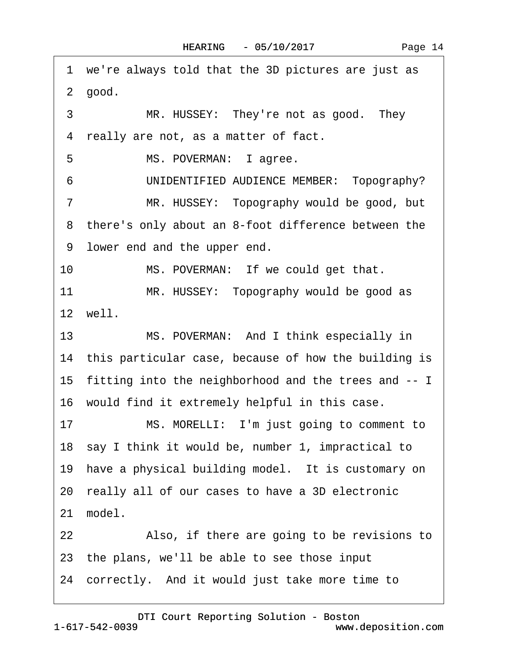·1· we're always told that the 3D pictures are just as 2 good. 3 MR. HUSSEY: They're not as good. They 4 really are not, as a matter of fact. 5 MS. POVERMAN: lagree. 6 UNIDENTIFIED AUDIENCE MEMBER: Topography? 7 MR. HUSSEY: Topography would be good, but 8 there's only about an 8-foot difference between the 9 lower end and the upper end. 10 MS. POVERMAN: If we could get that. 11 MR. HUSSEY: Topography would be good as 12· well. 13 MS. POVERMAN: And I think especially in 14 this particular case, because of how the building is 15· fitting into the neighborhood and the trees and -- I 16· would find it extremely helpful in this case. 17 MS. MORELLI: I'm just going to comment to 18 say I think it would be, number 1, impractical to 19 have a physical building model. It is customary on 20· really all of our cases to have a 3D electronic 21 model. 22 Also, if there are going to be revisions to 23· the plans, we'll be able to see those input 24 correctly. And it would just take more time to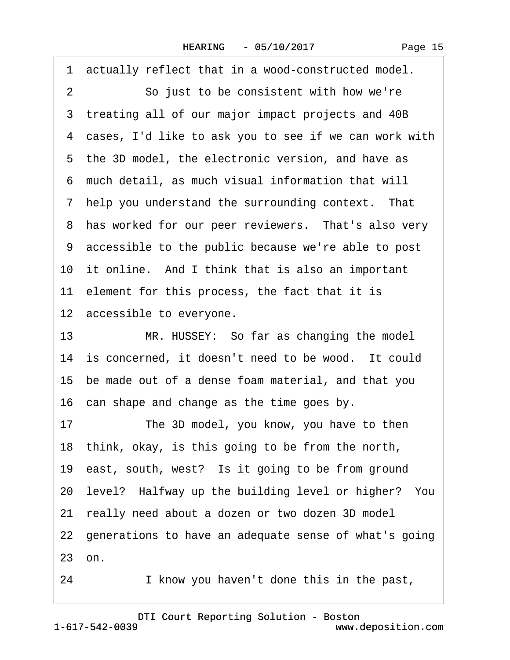Page 15

·1· actually reflect that in a wood-constructed model. 2 So just to be consistent with how we're 3 treating all of our major impact projects and 40B 4 cases, I'd like to ask you to see if we can work with 5 the 3D model, the electronic version, and have as ·6· much detail, as much visual information that will 7 help you understand the surrounding context. That 8 has worked for our peer reviewers. That's also very ·9· accessible to the public because we're able to post 10 it online. And I think that is also an important 11 element for this process, the fact that it is 12 accessible to everyone. 13 MR. HUSSEY: So far as changing the model 14 is concerned, it doesn't need to be wood. It could 15· be made out of a dense foam material, and that you 16 can shape and change as the time goes by. 17 The 3D model, you know, you have to then 18· think, okay, is this going to be from the north, 19 east, south, west? Is it going to be from ground 20· level?· Halfway up the building level or higher?· You 21· really need about a dozen or two dozen 3D model 22· generations to have an adequate sense of what's going 23· on. 24 I know you haven't done this in the past,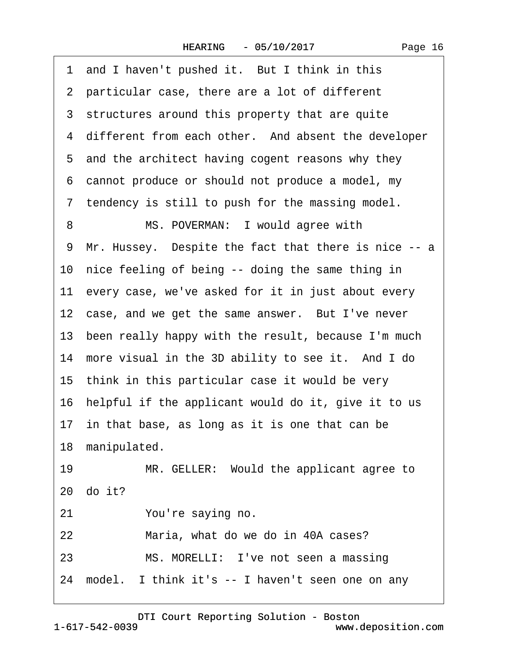| 1 and I haven't pushed it. But I think in this         |
|--------------------------------------------------------|
| 2 particular case, there are a lot of different        |
| 3 structures around this property that are quite       |
| 4 different from each other. And absent the developer  |
| 5 and the architect having cogent reasons why they     |
| 6 cannot produce or should not produce a model, my     |
| 7 tendency is still to push for the massing model.     |
| MS. POVERMAN: I would agree with<br>8                  |
| 9 Mr. Hussey. Despite the fact that there is nice -- a |
| 10 nice feeling of being -- doing the same thing in    |
| 11 every case, we've asked for it in just about every  |
| 12 case, and we get the same answer. But I've never    |
| 13 been really happy with the result, because I'm much |
| 14 more visual in the 3D ability to see it. And I do   |
| 15 think in this particular case it would be very      |
| 16 helpful if the applicant would do it, give it to us |
| 17 in that base, as long as it is one that can be      |
| 18 manipulated.                                        |
| 19<br>MR. GELLER: Would the applicant agree to         |
| 20 do it?                                              |
| 21<br>You're saying no.                                |
| 22<br>Maria, what do we do in 40A cases?               |
| 23<br>MS. MORELLI: I've not seen a massing             |
| 24 model. I think it's -- I haven't seen one on any    |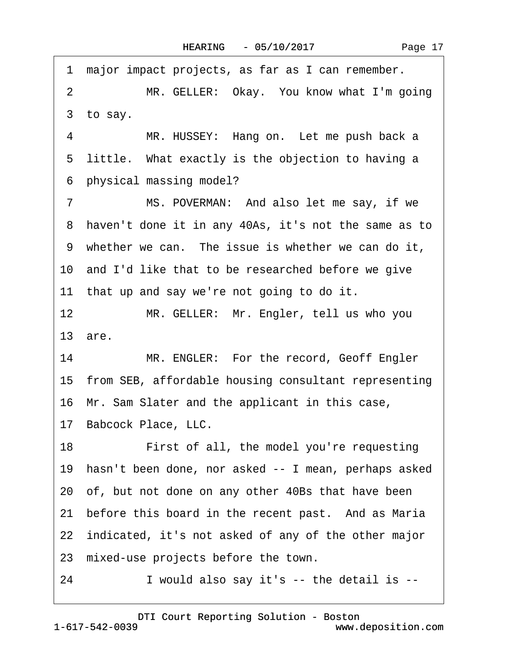|  | Page 17 |  |
|--|---------|--|
|--|---------|--|

1 major impact projects, as far as I can remember. 2 MR. GELLER: Okay. You know what I'm going 3 to say. 4 MR. HUSSEY: Hang on. Let me push back a 5 little. What exactly is the objection to having a ·6· physical massing model? 7 MS. POVERMAN: And also let me say, if we 8 haven't done it in any 40As, it's not the same as to 9 whether we can. The issue is whether we can do it, 10 and I'd like that to be researched before we give 11 that up and say we're not going to do it. 12 MR. GELLER: Mr. Engler, tell us who you 13· are. 14 MR. ENGLER: For the record, Geoff Engler 15 from SEB, affordable housing consultant representing 16 Mr. Sam Slater and the applicant in this case, 17 Babcock Place, LLC. 18 First of all, the model you're requesting 19· hasn't been done, nor asked -- I mean, perhaps asked 20· of, but not done on any other 40Bs that have been 21 before this board in the recent past. And as Maria 22 indicated, it's not asked of any of the other major 23 mixed-use projects before the town.  $24$  I would also say it's -- the detail is  $-$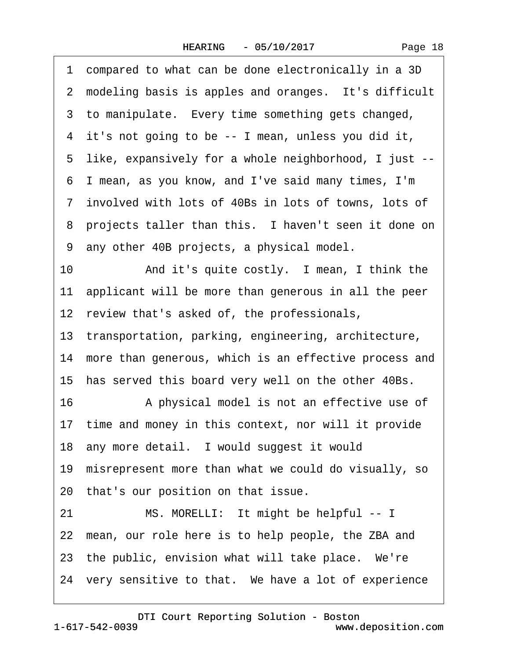·1· compared to what can be done electronically in a 3D 2 modeling basis is apples and oranges. It's difficult 3 to manipulate. Every time something gets changed, 4 it's not going to be -- I mean, unless you did it, ·5· like, expansively for a whole neighborhood, I just -- ·6· I mean, as you know, and I've said many times, I'm ·7· involved with lots of 40Bs in lots of towns, lots of 8 projects taller than this. I haven't seen it done on ·9· any other 40B projects, a physical model. 10 • And it's quite costly. I mean, I think the 11 applicant will be more than generous in all the peer 12 review that's asked of, the professionals, 13 transportation, parking, engineering, architecture, 14 more than generous, which is an effective process and 15 has served this board very well on the other 40Bs. 16 • A physical model is not an effective use of 17 time and money in this context, nor will it provide 18 any more detail. I would suggest it would 19 misrepresent more than what we could do visually, so 20 that's our position on that issue. 21 MS. MORELLI: It might be helpful -- I 22 mean, our role here is to help people, the ZBA and 23 the public, envision what will take place. We're 24 very sensitive to that. We have a lot of experience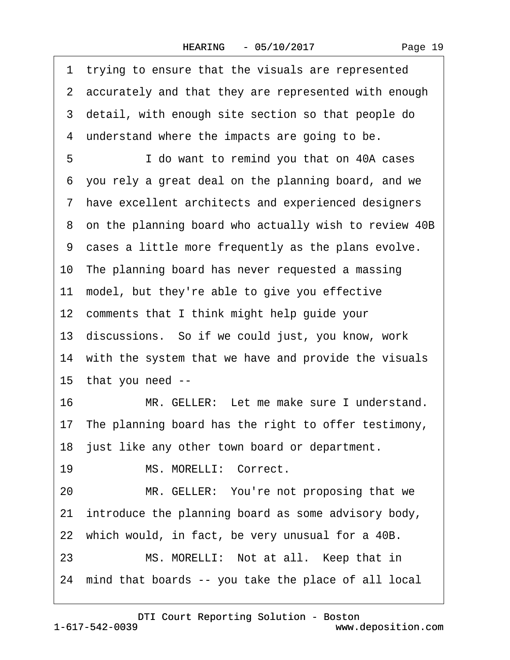| Page 19 |
|---------|
|---------|

| 1 trying to ensure that the visuals are represented     |
|---------------------------------------------------------|
| 2 accurately and that they are represented with enough  |
| 3 detail, with enough site section so that people do    |
| 4 understand where the impacts are going to be.         |
| I do want to remind you that on 40A cases               |
| 6 you rely a great deal on the planning board, and we   |
| 7 have excellent architects and experienced designers   |
| 8 on the planning board who actually wish to review 40B |
| 9 cases a little more frequently as the plans evolve.   |
| 10 The planning board has never requested a massing     |
| 11 model, but they're able to give you effective        |
| 12 comments that I think might help guide your          |
| 13 discussions. So if we could just, you know, work     |
| 14 with the system that we have and provide the visuals |
| 15 that you need --                                     |
| MR. GELLER: Let me make sure I understand.<br>16        |
| 17 The planning board has the right to offer testimony, |
| 18 just like any other town board or department.        |
| 19<br>MS. MORELLI: Correct.                             |
| MR. GELLER: You're not proposing that we<br>20          |
| 21 introduce the planning board as some advisory body,  |
| 22 which would, in fact, be very unusual for a 40B.     |
| MS. MORELLI: Not at all. Keep that in<br>23             |
| 24 mind that boards -- you take the place of all local  |
|                                                         |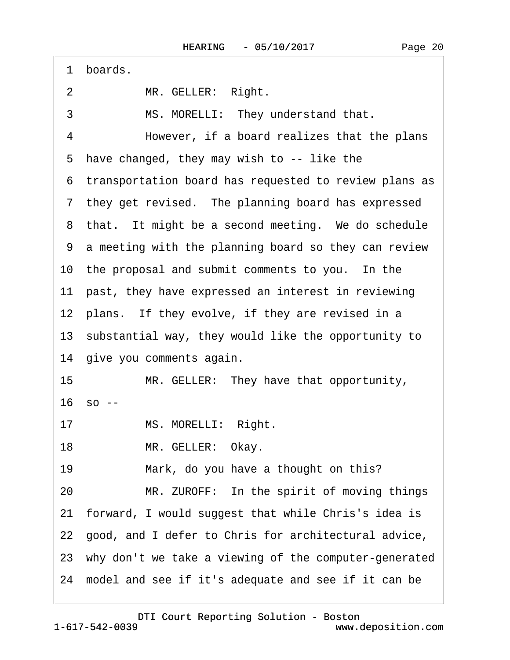| 1 boards.                                                |
|----------------------------------------------------------|
| 2<br>MR. GELLER: Right.                                  |
| MS. MORELLI: They understand that.<br>3                  |
| 4<br>However, if a board realizes that the plans         |
| 5 have changed, they may wish to -- like the             |
| 6 transportation board has requested to review plans as  |
| 7 they get revised. The planning board has expressed     |
| 8 that. It might be a second meeting. We do schedule     |
| 9 a meeting with the planning board so they can review   |
| 10 the proposal and submit comments to you. In the       |
| 11 past, they have expressed an interest in reviewing    |
| 12 plans. If they evolve, if they are revised in a       |
| 13 substantial way, they would like the opportunity to   |
| 14 give you comments again.                              |
| 15<br>MR. GELLER: They have that opportunity,            |
| $16$ so $-$                                              |
| 17 MS. MORELLI: Right.                                   |
| 18<br>MR. GELLER: Okay.                                  |
| Mark, do you have a thought on this?<br>19               |
| MR. ZUROFF: In the spirit of moving things<br>20         |
| 21 forward, I would suggest that while Chris's idea is   |
| 22 good, and I defer to Chris for architectural advice,  |
| 23 why don't we take a viewing of the computer-generated |
| 24 model and see if it's adequate and see if it can be   |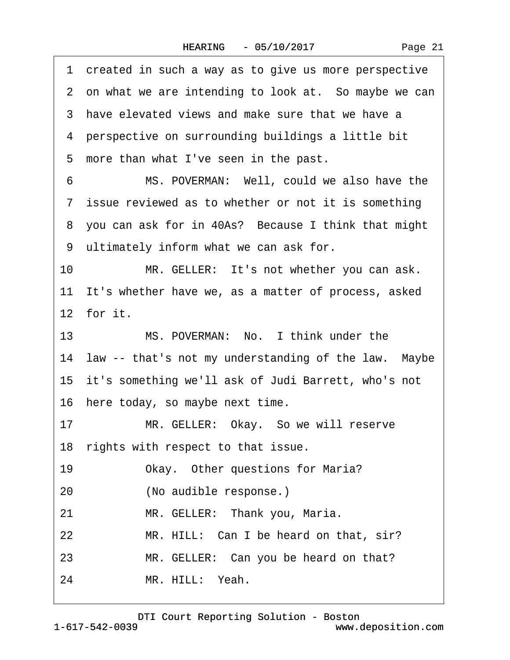|  | Page 21 |  |
|--|---------|--|
|--|---------|--|

| 1  | created in such a way as to give us more perspective    |
|----|---------------------------------------------------------|
|    | 2 on what we are intending to look at. So maybe we can  |
|    | 3 have elevated views and make sure that we have a      |
|    | 4 perspective on surrounding buildings a little bit     |
|    | 5 more than what I've seen in the past.                 |
| 6  | MS. POVERMAN: Well, could we also have the              |
|    | 7 issue reviewed as to whether or not it is something   |
|    | 8 you can ask for in 40As? Because I think that might   |
|    | 9 ultimately inform what we can ask for.                |
| 10 | MR. GELLER: It's not whether you can ask.               |
|    | 11 It's whether have we, as a matter of process, asked  |
|    | 12 for it.                                              |
|    | MS. POVERMAN: No. I think under the<br>13               |
|    | 14 law -- that's not my understanding of the law. Maybe |
|    | 15 it's something we'll ask of Judi Barrett, who's not  |
|    | 16 here today, so maybe next time.                      |
| 17 | MR. GELLER: Okay. So we will reserve                    |
|    | 18 rights with respect to that issue.                   |
| 19 | Okay. Other questions for Maria?                        |
| 20 | (No audible response.)                                  |
| 21 | MR. GELLER: Thank you, Maria.                           |
| 22 | MR. HILL: Can I be heard on that, sir?                  |
| 23 | MR. GELLER: Can you be heard on that?                   |
| 24 | MR. HILL: Yeah.                                         |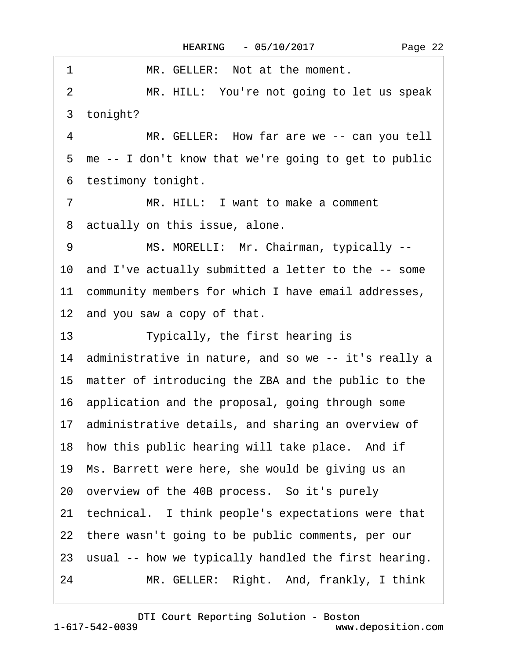| 1<br>MR. GELLER: Not at the moment.                     |
|---------------------------------------------------------|
| MR. HILL: You're not going to let us speak<br>2         |
| 3 tonight?                                              |
| 4<br>MR. GELLER: How far are we -- can you tell         |
| 5 me -- I don't know that we're going to get to public  |
| 6 testimony tonight.                                    |
| MR. HILL: I want to make a comment<br>7                 |
| 8 actually on this issue, alone.                        |
| 9<br>MS. MORELLI: Mr. Chairman, typically --            |
| 10 and I've actually submitted a letter to the -- some  |
| 11 community members for which I have email addresses,  |
| 12 and you saw a copy of that.                          |
| 13<br>Typically, the first hearing is                   |
| 14 administrative in nature, and so we -- it's really a |
| 15 matter of introducing the ZBA and the public to the  |
| 16 application and the proposal, going through some     |
| 17 administrative details, and sharing an overview of   |
| 18 how this public hearing will take place. And if      |
| 19 Ms. Barrett were here, she would be giving us an     |
| 20 overview of the 40B process. So it's purely          |
| 21 technical. I think people's expectations were that   |
| 22 there wasn't going to be public comments, per our    |
| 23 usual -- how we typically handled the first hearing. |
| 24<br>MR. GELLER: Right. And, frankly, I think          |

 $\Gamma$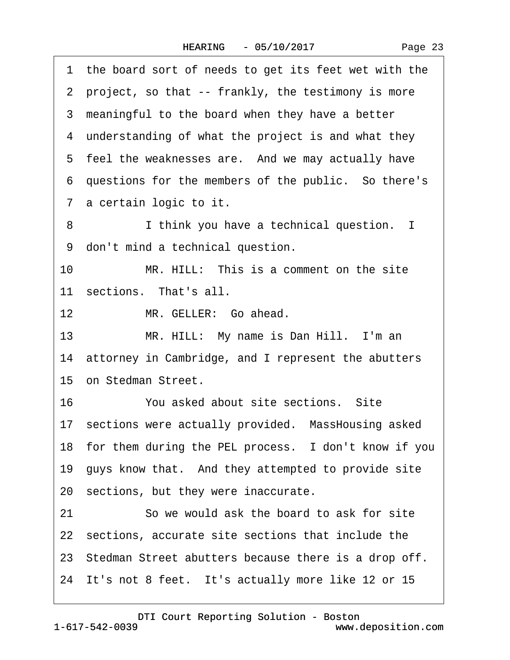| Page 23 |
|---------|
|---------|

·1· the board sort of needs to get its feet wet with the 2 project, so that -- frankly, the testimony is more 3 meaningful to the board when they have a better 4 understanding of what the project is and what they 5 feel the weaknesses are. And we may actually have ·6· questions for the members of the public.· So there's 7 a certain logic to it. 8 I think you have a technical question. I 9 don't mind a technical question. 10 MR, HILL: This is a comment on the site 11 sections. That's all. 12 MR. GELLER: Go ahead. 13 MR. HILL: My name is Dan Hill. I'm an 14 attorney in Cambridge, and I represent the abutters 15 on Stedman Street. 16 <sup>•</sup> You asked about site sections. Site 17 sections were actually provided. MassHousing asked 18 for them during the PEL process. I don't know if you 19· guys know that.· And they attempted to provide site 20 sections, but they were inaccurate. 21 So we would ask the board to ask for site 22· sections, accurate site sections that include the 23 Stedman Street abutters because there is a drop off. 24 It's not 8 feet. It's actually more like 12 or 15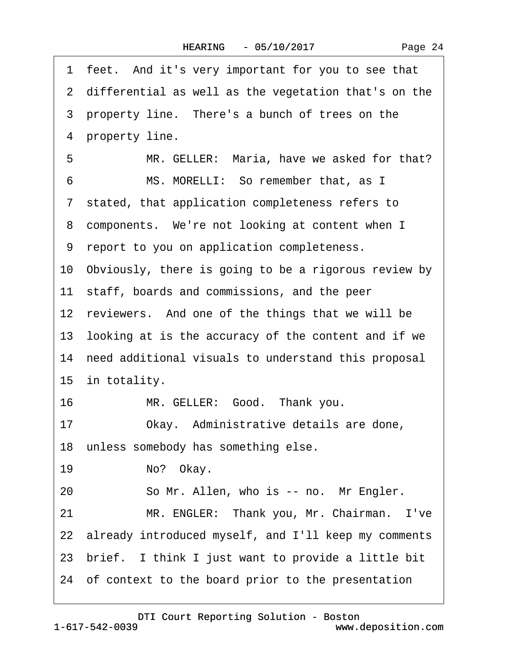|    | 1 feet. And it's very important for you to see that     |
|----|---------------------------------------------------------|
|    | 2 differential as well as the vegetation that's on the  |
|    | 3 property line. There's a bunch of trees on the        |
|    | 4 property line.                                        |
| 5  | MR. GELLER: Maria, have we asked for that?              |
| 6  | MS. MORELLI: So remember that, as I                     |
|    | 7 stated, that application completeness refers to       |
|    | 8 components. We're not looking at content when I       |
|    | 9 report to you on application completeness.            |
|    | 10 Obviously, there is going to be a rigorous review by |
|    | 11 staff, boards and commissions, and the peer          |
|    | 12 reviewers. And one of the things that we will be     |
|    | 13 looking at is the accuracy of the content and if we  |
|    | 14 need additional visuals to understand this proposal  |
|    | 15 in totality.                                         |
| 16 | MR. GELLER: Good. Thank you.                            |
| 17 | Okay. Administrative details are done,                  |
|    | 18 unless somebody has something else.                  |
| 19 | No? Okay.                                               |
| 20 | So Mr. Allen, who is -- no. Mr Engler.                  |
| 21 | MR. ENGLER: Thank you, Mr. Chairman. I've               |
|    | 22 already introduced myself, and I'll keep my comments |
|    | 23 brief. I think I just want to provide a little bit   |
|    | 24 of context to the board prior to the presentation    |
|    |                                                         |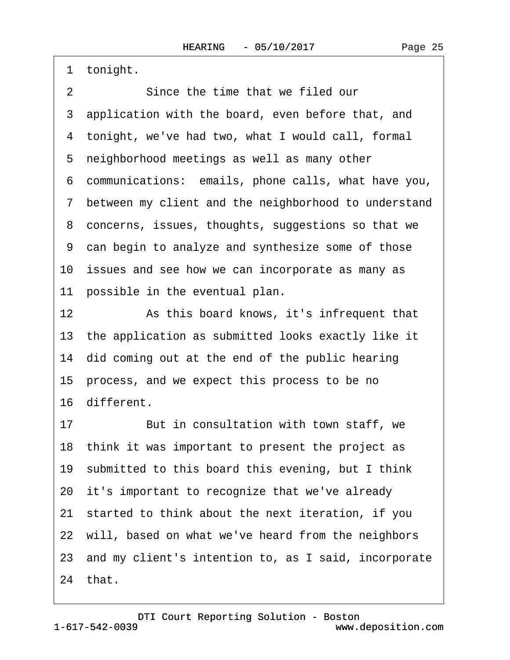1 tonight.

2 Since the time that we filed our 3 application with the board, even before that, and 4 tonight, we've had two, what I would call, formal 5 neighborhood meetings as well as many other ·6· communications:· emails, phone calls, what have you, 7 between my client and the neighborhood to understand 8 concerns, issues, thoughts, suggestions so that we ·9· can begin to analyze and synthesize some of those 10 issues and see how we can incorporate as many as 11 possible in the eventual plan. 12 **8** As this board knows, it's infrequent that

13 the application as submitted looks exactly like it 14 did coming out at the end of the public hearing 15 process, and we expect this process to be no 16· different.

17 But in consultation with town staff, we 18· think it was important to present the project as 19· submitted to this board this evening, but I think 20 it's important to recognize that we've already 21· started to think about the next iteration, if you 22 will, based on what we've heard from the neighbors 23· and my client's intention to, as I said, incorporate 24· that.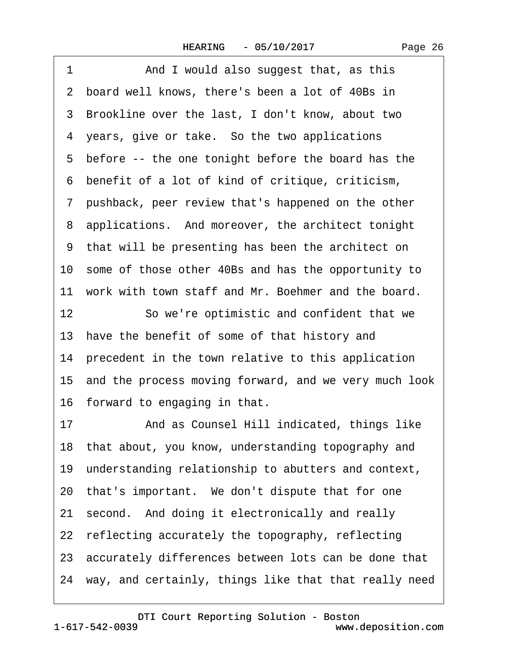| 1<br>And I would also suggest that, as this              |
|----------------------------------------------------------|
| 2 board well knows, there's been a lot of 40Bs in        |
| 3 Brookline over the last, I don't know, about two       |
| 4 years, give or take. So the two applications           |
| 5 before -- the one tonight before the board has the     |
| 6 benefit of a lot of kind of critique, criticism,       |
| 7 pushback, peer review that's happened on the other     |
| 8 applications. And moreover, the architect tonight      |
| 9 that will be presenting has been the architect on      |
| 10 some of those other 40Bs and has the opportunity to   |
| 11 work with town staff and Mr. Boehmer and the board.   |
| 12<br>So we're optimistic and confident that we          |
| 13 have the benefit of some of that history and          |
| 14 precedent in the town relative to this application    |
| 15 and the process moving forward, and we very much look |
| 16 forward to engaging in that.                          |
| And as Counsel Hill indicated, things like<br>17         |
| 18 that about, you know, understanding topography and    |
| 19 understanding relationship to abutters and context,   |
| 20 that's important. We don't dispute that for one       |
| second. And doing it electronically and really<br>21     |
| 22 reflecting accurately the topography, reflecting      |
| 23 accurately differences between lots can be done that  |
| 24 way, and certainly, things like that that really need |
|                                                          |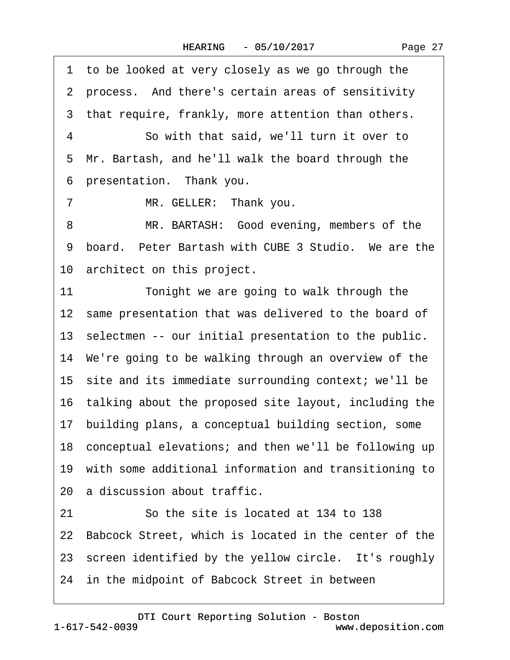Page 27

1 to be looked at very closely as we go through the 2 process. And there's certain areas of sensitivity 3 that require, frankly, more attention than others. 4 **So with that said, we'll turn it over to** 5 Mr. Bartash, and he'll walk the board through the 6 presentation. Thank you. 7 MR. GELLER: Thank you.

8 MR. BARTASH: Good evening, members of the 9 board. Peter Bartash with CUBE 3 Studio. We are the 10 architect on this project.

11 Tonight we are going to walk through the 12 same presentation that was delivered to the board of 13 selectmen -- our initial presentation to the public. 14 We're going to be walking through an overview of the 15 site and its immediate surrounding context; we'll be 16· talking about the proposed site layout, including the 17· building plans, a conceptual building section, some 18 conceptual elevations; and then we'll be following up 19· with some additional information and transitioning to 20 a discussion about traffic. 21 So the site is located at 134 to 138 22 Babcock Street, which is located in the center of the 23 screen identified by the yellow circle. It's roughly 24 in the midpoint of Babcock Street in between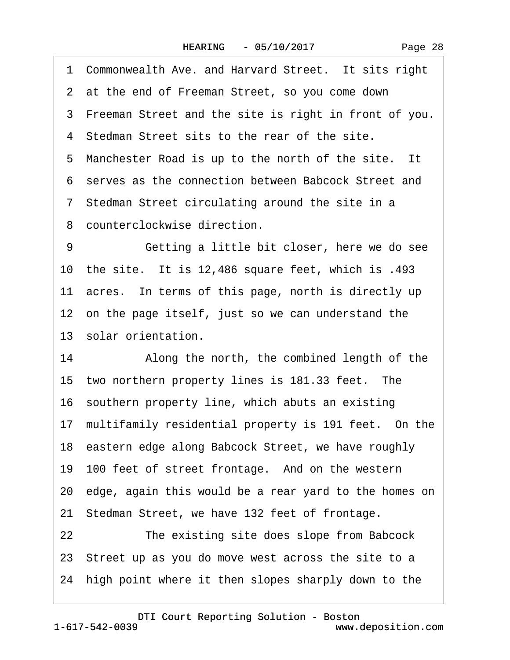1 Commonwealth Ave. and Harvard Street. It sits right

- 2 at the end of Freeman Street, so you come down
- 3 Freeman Street and the site is right in front of you.
- 4 Stedman Street sits to the rear of the site.
- 5 Manchester Road is up to the north of the site. It
- ·6· serves as the connection between Babcock Street and
- 7 Stedman Street circulating around the site in a
- 8 counterclockwise direction.

9 **••** Getting a little bit closer, here we do see 10 the site. It is 12,486 square feet, which is  $.493$ 11 acres. In terms of this page, north is directly up 12 on the page itself, just so we can understand the 13 solar orientation.

14 • Along the north, the combined length of the 15 two northern property lines is 181.33 feet. The 16· southern property line, which abuts an existing 17 multifamily residential property is 191 feet. On the 18 eastern edge along Babcock Street, we have roughly 19 100 feet of street frontage. And on the western 20· edge, again this would be a rear yard to the homes on 21 Stedman Street, we have 132 feet of frontage. 22 The existing site does slope from Babcock 23· Street up as you do move west across the site to a 24 high point where it then slopes sharply down to the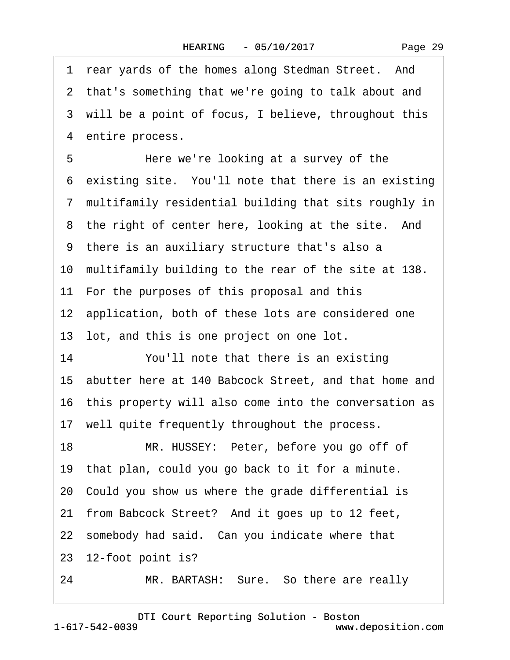|    | 1 rear yards of the homes along Stedman Street. And      |
|----|----------------------------------------------------------|
|    | 2 that's something that we're going to talk about and    |
|    | 3 will be a point of focus, I believe, throughout this   |
|    | 4 entire process.                                        |
| 5  | Here we're looking at a survey of the                    |
|    | 6 existing site. You'll note that there is an existing   |
|    | 7 multifamily residential building that sits roughly in  |
|    | 8 the right of center here, looking at the site. And     |
|    | 9 there is an auxiliary structure that's also a          |
|    | 10 multifamily building to the rear of the site at 138.  |
|    | 11 For the purposes of this proposal and this            |
|    | 12 application, both of these lots are considered one    |
|    | 13 lot, and this is one project on one lot.              |
| 14 | You'll note that there is an existing                    |
|    | 15 abutter here at 140 Babcock Street, and that home and |
|    | 16 this property will also come into the conversation as |
|    | 17 well quite frequently throughout the process.         |
| 18 | MR. HUSSEY: Peter, before you go off of                  |
|    | 19 that plan, could you go back to it for a minute.      |
|    | 20 Could you show us where the grade differential is     |
|    | 21 from Babcock Street? And it goes up to 12 feet,       |
|    | 22 somebody had said. Can you indicate where that        |
|    | 23 12-foot point is?                                     |
| 24 | MR. BARTASH: Sure. So there are really                   |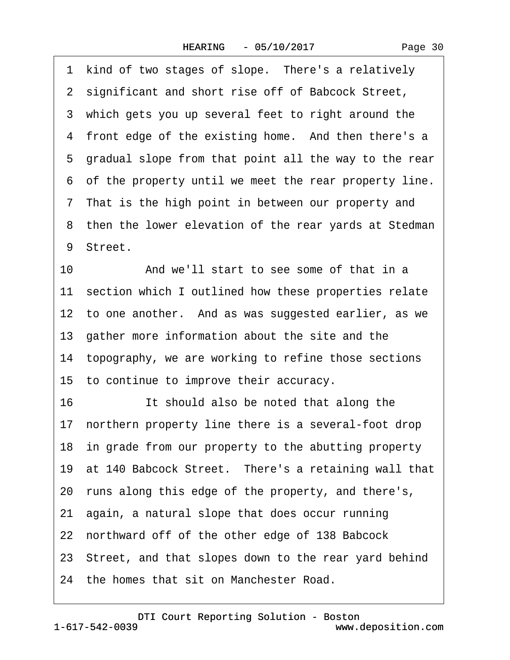1 kind of two stages of slope. There's a relatively 2 significant and short rise off of Babcock Street, 3 which gets you up several feet to right around the 4 front edge of the existing home. And then there's a 5 gradual slope from that point all the way to the rear ·6· of the property until we meet the rear property line. 7 That is the high point in between our property and 8 then the lower elevation of the rear yards at Stedman 9 Street. 10 And we'll start to see some of that in a 11 section which I outlined how these properties relate 12 to one another. And as was suggested earlier, as we 13· gather more information about the site and the 14 topography, we are working to refine those sections 15· to continue to improve their accuracy. 16 **If should also be noted that along the** 17 northern property line there is a several-foot drop 18 in grade from our property to the abutting property 19 at 140 Babcock Street. There's a retaining wall that 20· runs along this edge of the property, and there's, 21· again, a natural slope that does occur running 22 northward off of the other edge of 138 Babcock 23· Street, and that slopes down to the rear yard behind 24 the homes that sit on Manchester Road.

1-617-542-0039 [DTI Court Reporting Solution - Boston](http://www.deposition.com) www.deposition.com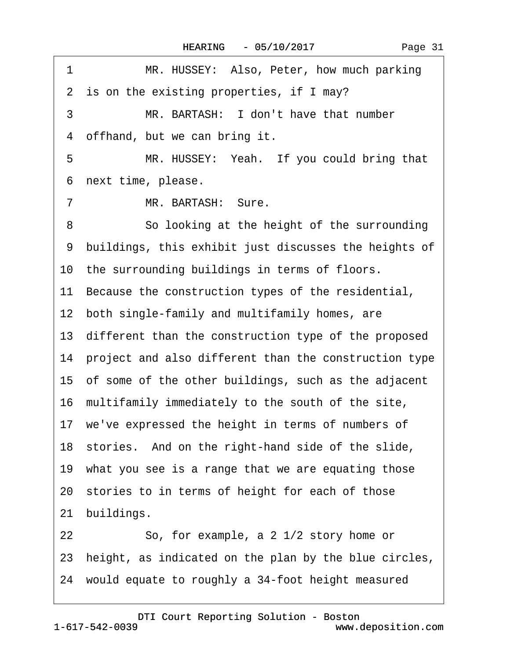| $\mathbf 1$<br>MR. HUSSEY: Also, Peter, how much parking |
|----------------------------------------------------------|
| 2 is on the existing properties, if I may?               |
| MR. BARTASH: I don't have that number<br>3               |
| 4 offhand, but we can bring it.                          |
| 5<br>MR. HUSSEY: Yeah. If you could bring that           |
| next time, please.<br>6                                  |
| $\overline{7}$<br>MR. BARTASH: Sure.                     |
| So looking at the height of the surrounding<br>8         |
| 9 buildings, this exhibit just discusses the heights of  |
| 10 the surrounding buildings in terms of floors.         |
| 11 Because the construction types of the residential,    |
| 12 both single-family and multifamily homes, are         |
| 13 different than the construction type of the proposed  |
| 14 project and also different than the construction type |
| 15 of some of the other buildings, such as the adjacent  |
| 16 multifamily immediately to the south of the site,     |
| 17 we've expressed the height in terms of numbers of     |
| 18 stories. And on the right-hand side of the slide,     |
| 19 what you see is a range that we are equating those    |
| 20 stories to in terms of height for each of those       |
| 21 buildings.                                            |
| So, for example, a 2 1/2 story home or<br>22             |
| 23 height, as indicated on the plan by the blue circles, |
| 24 would equate to roughly a 34-foot height measured     |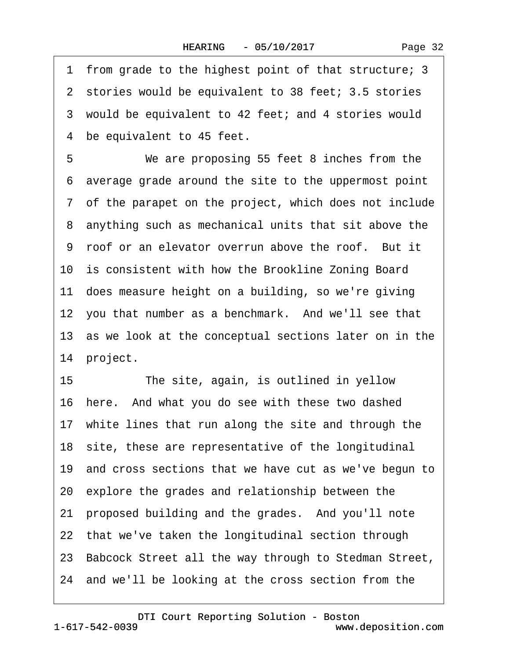·1· from grade to the highest point of that structure; 3 2 stories would be equivalent to 38 feet; 3.5 stories 3 would be equivalent to 42 feet; and 4 stories would 4 be equivalent to 45 feet. 5 We are proposing 55 feet 8 inches from the ·6· average grade around the site to the uppermost point ·7· of the parapet on the project, which does not include 8 anything such as mechanical units that sit above the 9 roof or an elevator overrun above the roof. But it 10 is consistent with how the Brookline Zoning Board 11 does measure height on a building, so we're giving 12 you that number as a benchmark. And we'll see that 13 as we look at the conceptual sections later on in the 14 project.

15 The site, again, is outlined in yellow 16 here. And what you do see with these two dashed 17 white lines that run along the site and through the 18 site, these are representative of the longitudinal 19 and cross sections that we have cut as we've begun to 20· explore the grades and relationship between the 21 proposed building and the grades. And you'll note 22 that we've taken the longitudinal section through 23· Babcock Street all the way through to Stedman Street, 24· and we'll be looking at the cross section from the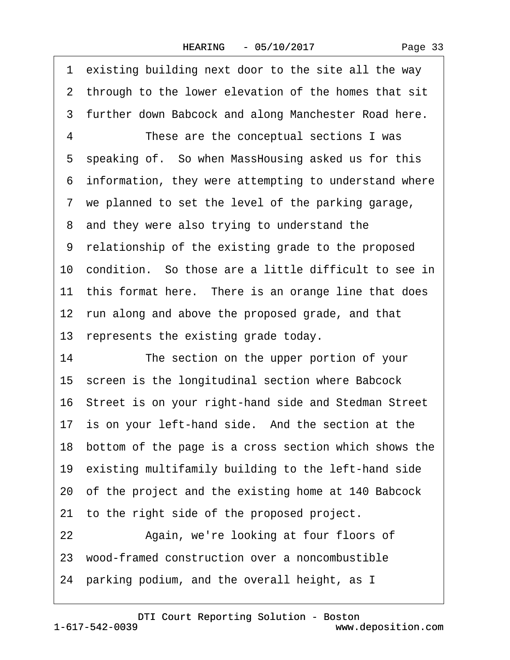1 existing building next door to the site all the way 2 through to the lower elevation of the homes that sit 3 further down Babcock and along Manchester Road here. 4 These are the conceptual sections I was 5 speaking of. So when MassHousing asked us for this ·6· information, they were attempting to understand where ·7· we planned to set the level of the parking garage, 8 and they were also trying to understand the ·9· relationship of the existing grade to the proposed 10· condition.· So those are a little difficult to see in 11 this format here. There is an orange line that does 12 run along and above the proposed grade, and that 13 represents the existing grade today. 14 The section on the upper portion of your 15 screen is the longitudinal section where Babcock 16· Street is on your right-hand side and Stedman Street 17 is on your left-hand side. And the section at the 18· bottom of the page is a cross section which shows the 19· existing multifamily building to the left-hand side 20· of the project and the existing home at 140 Babcock 21 to the right side of the proposed project. 22 Again, we're looking at four floors of 23· wood-framed construction over a noncombustible 24· parking podium, and the overall height, as I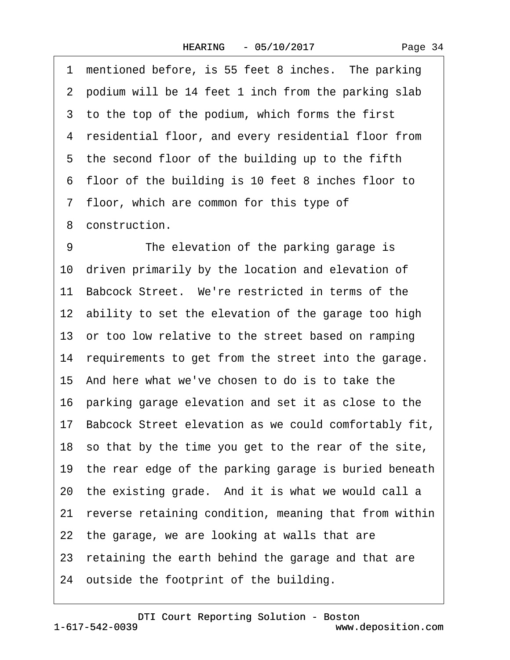1 mentioned before, is 55 feet 8 inches. The parking 2 podium will be 14 feet 1 inch from the parking slab 3 to the top of the podium, which forms the first 4 residential floor, and every residential floor from 5 the second floor of the building up to the fifth ·6· floor of the building is 10 feet 8 inches floor to ·7· floor, which are common for this type of 8 construction. 9 The elevation of the parking garage is 10 driven primarily by the location and elevation of 11 Babcock Street. We're restricted in terms of the 12 ability to set the elevation of the garage too high 13 or too low relative to the street based on ramping 14 requirements to get from the street into the garage. 15· And here what we've chosen to do is to take the 16 parking garage elevation and set it as close to the 17· Babcock Street elevation as we could comfortably fit, 18· so that by the time you get to the rear of the site, 19 the rear edge of the parking garage is buried beneath 20 the existing grade. And it is what we would call a 21 reverse retaining condition, meaning that from within 22 the garage, we are looking at walls that are 23 retaining the earth behind the garage and that are 24 outside the footprint of the building.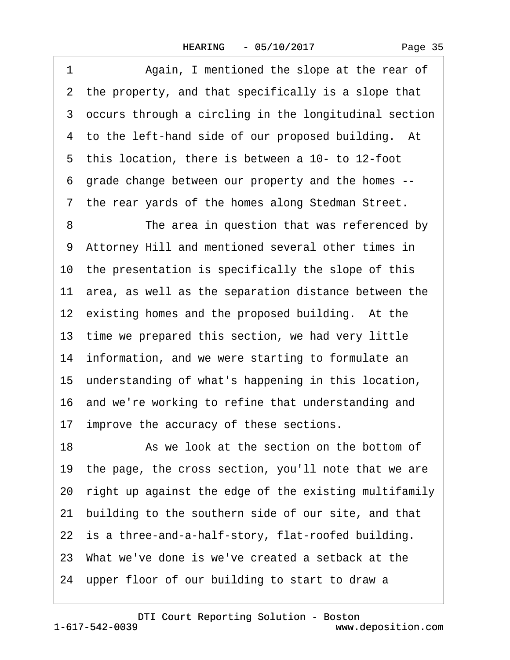1 Again, I mentioned the slope at the rear of 2 the property, and that specifically is a slope that 3 occurs through a circling in the longitudinal section 4 to the left-hand side of our proposed building. At 5 this location, there is between a 10- to 12-foot ·6· grade change between our property and the homes -- 7 the rear yards of the homes along Stedman Street. 8 The area in question that was referenced by 9 Attorney Hill and mentioned several other times in 10 the presentation is specifically the slope of this 11 area, as well as the separation distance between the 12 existing homes and the proposed building. At the 13 time we prepared this section, we had very little 14 information, and we were starting to formulate an 15· understanding of what's happening in this location, 16 and we're working to refine that understanding and 17 improve the accuracy of these sections. 18 **8** As we look at the section on the bottom of 19· the page, the cross section, you'll note that we are 20· right up against the edge of the existing multifamily 21 building to the southern side of our site, and that 22 is a three-and-a-half-story, flat-roofed building. 23· What we've done is we've created a setback at the 24 upper floor of our building to start to draw a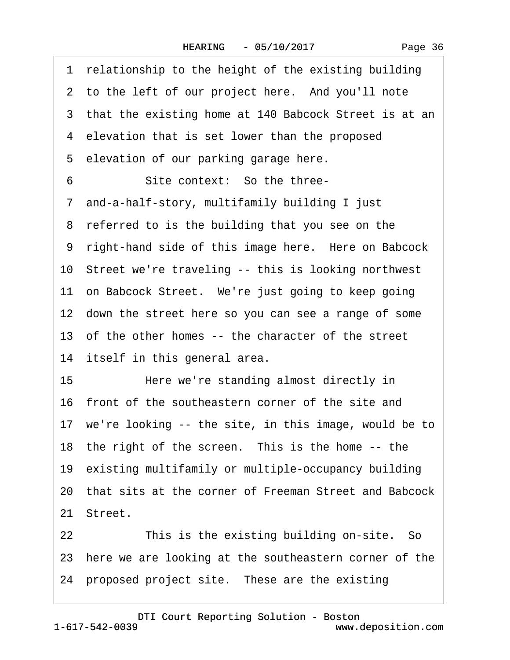| Page 36 |
|---------|
|---------|

|    | 1 relationship to the height of the existing building    |
|----|----------------------------------------------------------|
|    | 2 to the left of our project here. And you'll note       |
|    | 3 that the existing home at 140 Babcock Street is at an  |
|    | 4 elevation that is set lower than the proposed          |
|    | 5 elevation of our parking garage here.                  |
| 6  | Site context: So the three-                              |
|    | 7 and-a-half-story, multifamily building I just          |
|    | 8 referred to is the building that you see on the        |
|    | 9 right-hand side of this image here. Here on Babcock    |
|    | 10 Street we're traveling -- this is looking northwest   |
|    | 11 on Babcock Street. We're just going to keep going     |
|    | 12 down the street here so you can see a range of some   |
|    | 13 of the other homes -- the character of the street     |
|    | 14 itself in this general area.                          |
| 15 | Here we're standing almost directly in                   |
|    | 16 front of the southeastern corner of the site and      |
|    | 17 we're looking -- the site, in this image, would be to |
|    | 18 the right of the screen. This is the home -- the      |
|    | 19 existing multifamily or multiple-occupancy building   |
|    | 20 that sits at the corner of Freeman Street and Babcock |
|    | 21 Street.                                               |
| 22 | This is the existing building on-site. So                |
|    | 23 here we are looking at the southeastern corner of the |
|    | 24 proposed project site. These are the existing         |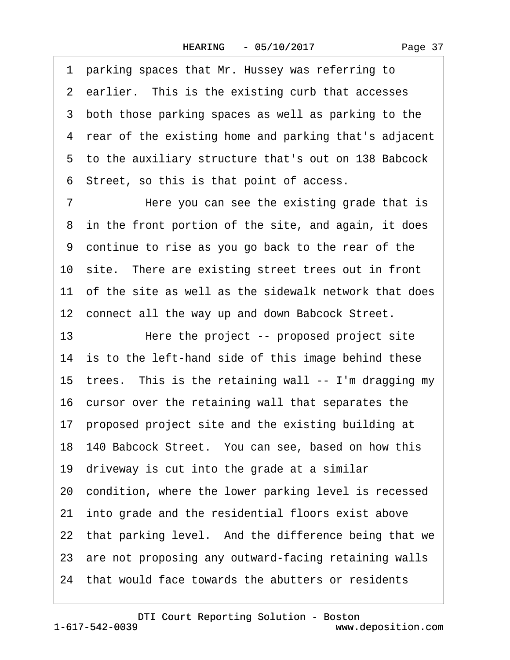·1· parking spaces that Mr. Hussey was referring to 2 earlier. This is the existing curb that accesses 3 both those parking spaces as well as parking to the ·4· rear of the existing home and parking that's adjacent ·5· to the auxiliary structure that's out on 138 Babcock ·6· Street, so this is that point of access.

7 Here you can see the existing grade that is 8 in the front portion of the site, and again, it does ·9· continue to rise as you go back to the rear of the 10 site. There are existing street trees out in front 11 of the site as well as the sidewalk network that does 12 connect all the way up and down Babcock Street.

13 • Here the project -- proposed project site 14 is to the left-hand side of this image behind these 15 trees. This is the retaining wall -- I'm dragging my 16 cursor over the retaining wall that separates the 17 proposed project site and the existing building at 18· 140 Babcock Street.· You can see, based on how this 19· driveway is cut into the grade at a similar 20 condition, where the lower parking level is recessed 21 into grade and the residential floors exist above 22 that parking level. And the difference being that we 23 are not proposing any outward-facing retaining walls 24 that would face towards the abutters or residents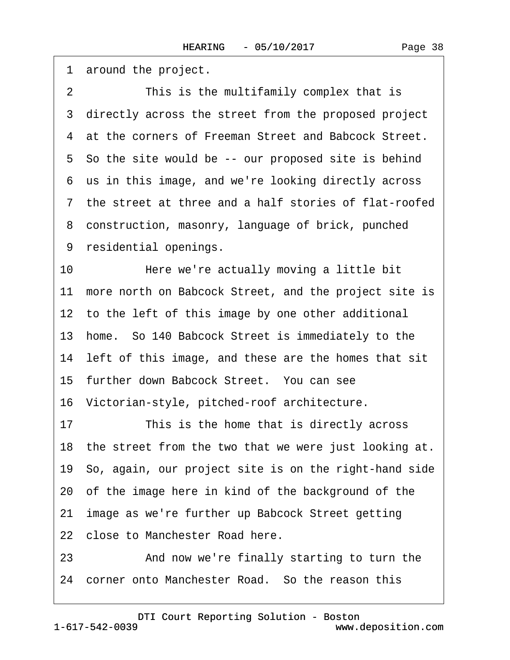1 around the project.

2 This is the multifamily complex that is 3 directly across the street from the proposed project 4 at the corners of Freeman Street and Babcock Street. 5 So the site would be -- our proposed site is behind ·6· us in this image, and we're looking directly across ·7· the street at three and a half stories of flat-roofed ·8· construction, masonry, language of brick, punched 9 residential openings. 10 • Here we're actually moving a little bit 11 more north on Babcock Street, and the project site is 12 to the left of this image by one other additional 13· home.· So 140 Babcock Street is immediately to the 14 left of this image, and these are the homes that sit 15 further down Babcock Street. You can see 16· Victorian-style, pitched-roof architecture. 17 This is the home that is directly across 18 the street from the two that we were just looking at. 19· So, again, our project site is on the right-hand side 20· of the image here in kind of the background of the 21 image as we're further up Babcock Street getting 22 close to Manchester Road here. 23 • And now we're finally starting to turn the 24 corner onto Manchester Road. So the reason this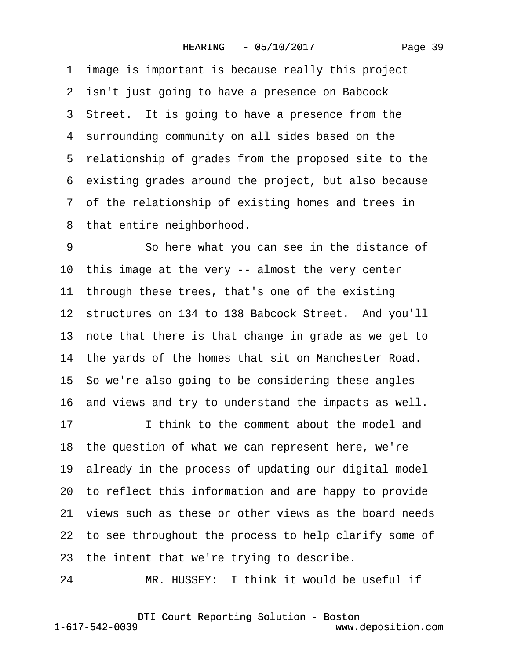·1· image is important is because really this project 2 isn't just going to have a presence on Babcock 3 Street. It is going to have a presence from the 4 surrounding community on all sides based on the 5 relationship of grades from the proposed site to the ·6· existing grades around the project, but also because ·7· of the relationship of existing homes and trees in 8 that entire neighborhood. 9 So here what you can see in the distance of

10 this image at the very -- almost the very center 11 through these trees, that's one of the existing 12 structures on 134 to 138 Babcock Street. And you'll 13 note that there is that change in grade as we get to 14· the yards of the homes that sit on Manchester Road. 15· So we're also going to be considering these angles 16 and views and try to understand the impacts as well. 17 **I** think to the comment about the model and

18· the question of what we can represent here, we're 19 already in the process of updating our digital model

20· to reflect this information and are happy to provide

21 views such as these or other views as the board needs

22 to see throughout the process to help clarify some of

23 the intent that we're trying to describe.

24 MR. HUSSEY: I think it would be useful if

1-617-542-0039 [DTI Court Reporting Solution - Boston](http://www.deposition.com) www.deposition.com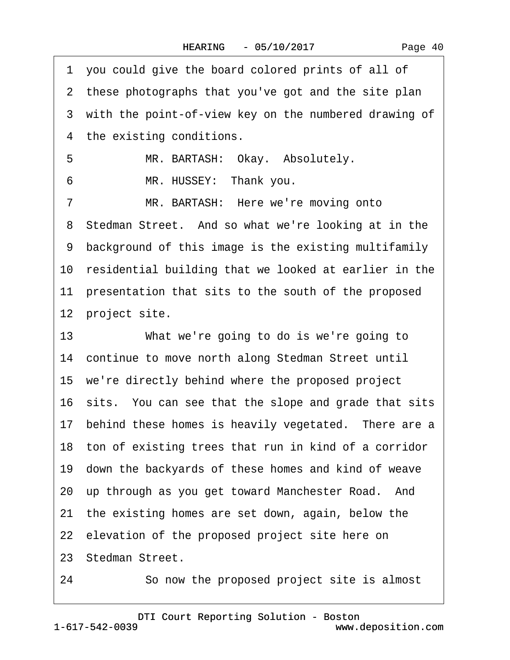|    | 1 you could give the board colored prints of all of      |
|----|----------------------------------------------------------|
|    | 2 these photographs that you've got and the site plan    |
|    | 3 with the point-of-view key on the numbered drawing of  |
|    | 4 the existing conditions.                               |
| 5  | MR. BARTASH: Okay. Absolutely.                           |
| 6  | MR. HUSSEY: Thank you.                                   |
| 7  | MR. BARTASH: Here we're moving onto                      |
|    | 8 Stedman Street. And so what we're looking at in the    |
|    | 9 background of this image is the existing multifamily   |
|    | 10 residential building that we looked at earlier in the |
|    | 11 presentation that sits to the south of the proposed   |
|    | 12 project site.                                         |
| 13 | What we're going to do is we're going to                 |
|    | 14 continue to move north along Stedman Street until     |
|    | 15 we're directly behind where the proposed project      |
|    | 16 sits. You can see that the slope and grade that sits  |
|    | 17 behind these homes is heavily vegetated. There are a  |
|    | 18 ton of existing trees that run in kind of a corridor  |
|    | 19 down the backyards of these homes and kind of weave   |
|    | 20 up through as you get toward Manchester Road. And     |
|    | 21 the existing homes are set down, again, below the     |
|    | 22 elevation of the proposed project site here on        |
|    | 23 Stedman Street.                                       |

24 So now the proposed project site is almost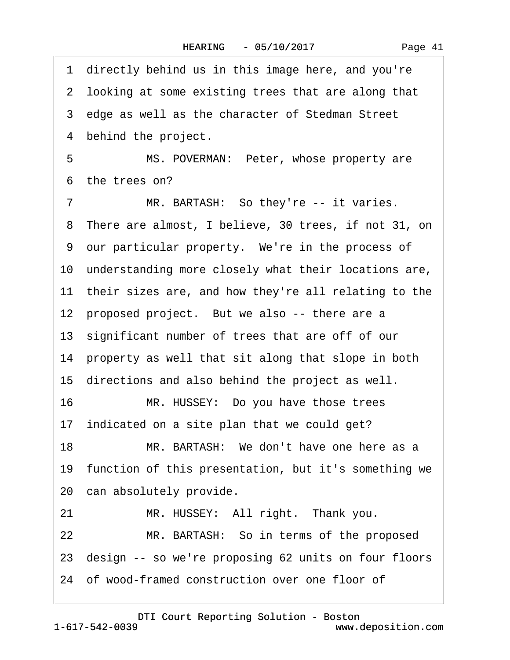·1· directly behind us in this image here, and you're 2 looking at some existing trees that are along that 3 edge as well as the character of Stedman Street 4 behind the project. 5 MS. POVERMAN: Peter, whose property are 6 the trees on? 7 MR. BARTASH: So they're -- it varies. 8 There are almost, I believe, 30 trees, if not 31, on ·9· our particular property.· We're in the process of 10 understanding more closely what their locations are, 11 their sizes are, and how they're all relating to the 12 proposed project. But we also -- there are a 13· significant number of trees that are off of our 14 property as well that sit along that slope in both 15 directions and also behind the project as well. 16 MR. HUSSEY: Do you have those trees 17 indicated on a site plan that we could get? 18 MR. BARTASH: We don't have one here as a 19 function of this presentation, but it's something we 20 can absolutely provide. 21 MR. HUSSEY: All right. Thank you. 22 MR. BARTASH: So in terms of the proposed 23 design -- so we're proposing 62 units on four floors 24 of wood-framed construction over one floor of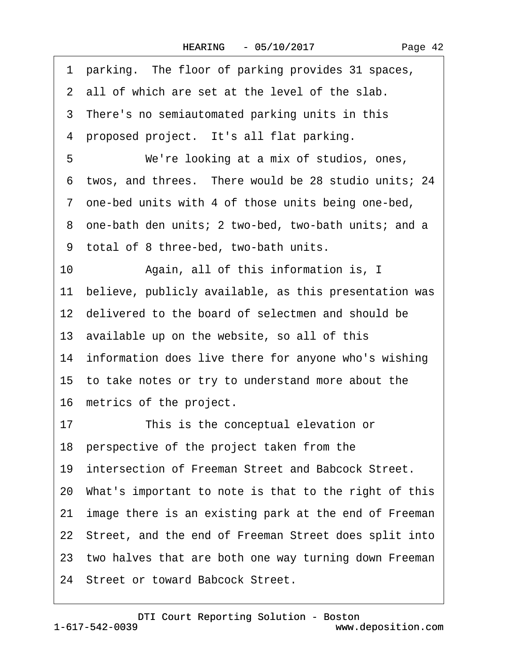|  | Page 42 |  |
|--|---------|--|
|--|---------|--|

|    | 1 parking. The floor of parking provides 31 spaces,      |
|----|----------------------------------------------------------|
|    | 2 all of which are set at the level of the slab.         |
|    | 3 There's no semiautomated parking units in this         |
|    | 4 proposed project. It's all flat parking.               |
| 5  | We're looking at a mix of studios, ones,                 |
|    | 6 twos, and threes. There would be 28 studio units; 24   |
|    | 7 one-bed units with 4 of those units being one-bed,     |
|    | 8 one-bath den units; 2 two-bed, two-bath units; and a   |
|    | 9 total of 8 three-bed, two-bath units.                  |
| 10 | Again, all of this information is, I                     |
|    | 11 believe, publicly available, as this presentation was |
|    | 12 delivered to the board of selectmen and should be     |
|    | 13 available up on the website, so all of this           |
|    | 14 information does live there for anyone who's wishing  |
|    | 15 to take notes or try to understand more about the     |
|    | 16 metrics of the project.                               |
| 17 | This is the conceptual elevation or                      |
|    | 18 perspective of the project taken from the             |
|    | 19 intersection of Freeman Street and Babcock Street.    |
|    | 20 What's important to note is that to the right of this |
|    | 21 image there is an existing park at the end of Freeman |
|    | 22 Street, and the end of Freeman Street does split into |
|    | 23 two halves that are both one way turning down Freeman |
|    | 24 Street or toward Babcock Street.                      |
|    |                                                          |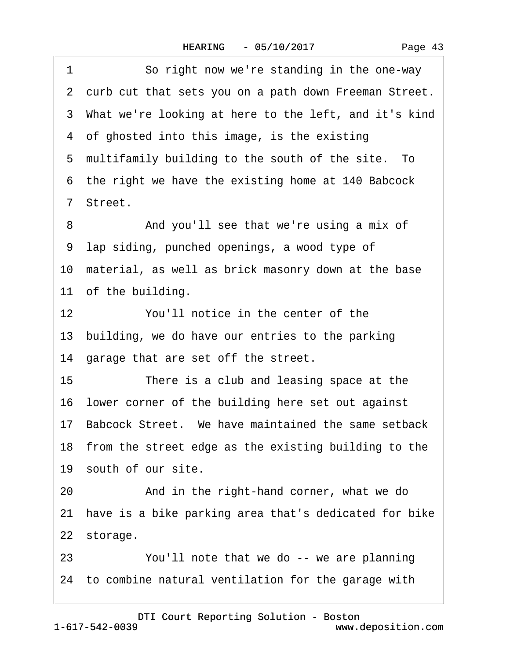| 1  | So right now we're standing in the one-way               |
|----|----------------------------------------------------------|
|    | 2 curb cut that sets you on a path down Freeman Street.  |
|    | 3 What we're looking at here to the left, and it's kind  |
|    | 4 of ghosted into this image, is the existing            |
|    | 5 multifamily building to the south of the site. To      |
|    | 6 the right we have the existing home at 140 Babcock     |
|    | 7 Street.                                                |
| 8  | And you'll see that we're using a mix of                 |
|    | 9 lap siding, punched openings, a wood type of           |
|    | 10 material, as well as brick masonry down at the base   |
|    | 11 of the building.                                      |
| 12 | You'll notice in the center of the                       |
|    | 13 building, we do have our entries to the parking       |
|    | 14 garage that are set off the street.                   |
| 15 | There is a club and leasing space at the                 |
|    | 16 lower corner of the building here set out against     |
|    | 17 Babcock Street. We have maintained the same setback   |
|    | 18 from the street edge as the existing building to the  |
|    | 19 south of our site.                                    |
| 20 | And in the right-hand corner, what we do                 |
|    | 21 have is a bike parking area that's dedicated for bike |
|    | 22 storage.                                              |
| 23 | You'll note that we do -- we are planning                |
|    | 24 to combine natural ventilation for the garage with    |
|    |                                                          |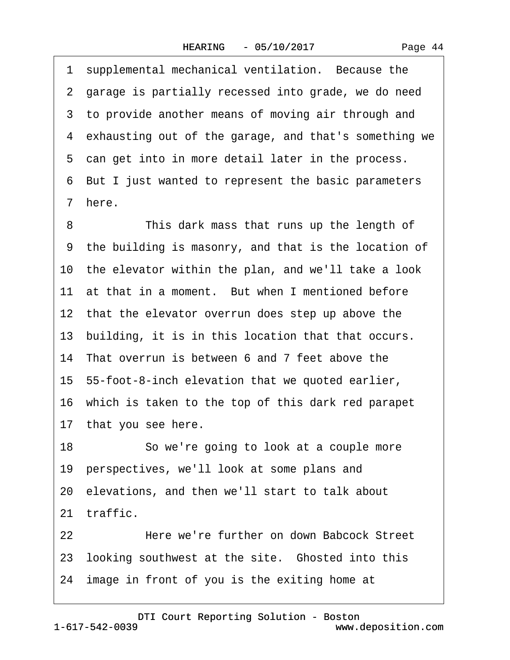1 supplemental mechanical ventilation. Because the 2 garage is partially recessed into grade, we do need 3 to provide another means of moving air through and ·4· exhausting out of the garage, and that's something we 5 can get into in more detail later in the process. ·6· But I just wanted to represent the basic parameters ·7· here. 8 This dark mass that runs up the length of ·9· the building is masonry, and that is the location of 10 the elevator within the plan, and we'll take a look 11 at that in a moment. But when I mentioned before 12 that the elevator overrun does step up above the 13 building, it is in this location that that occurs. 14 That overrun is between 6 and 7 feet above the 15· 55-foot-8-inch elevation that we quoted earlier, 16· which is taken to the top of this dark red parapet 17 that you see here. 18 So we're going to look at a couple more 19 perspectives, we'll look at some plans and 20· elevations, and then we'll start to talk about 21 traffic. 22· · · · · ·Here we're further on down Babcock Street 23 looking southwest at the site. Ghosted into this

24 image in front of you is the exiting home at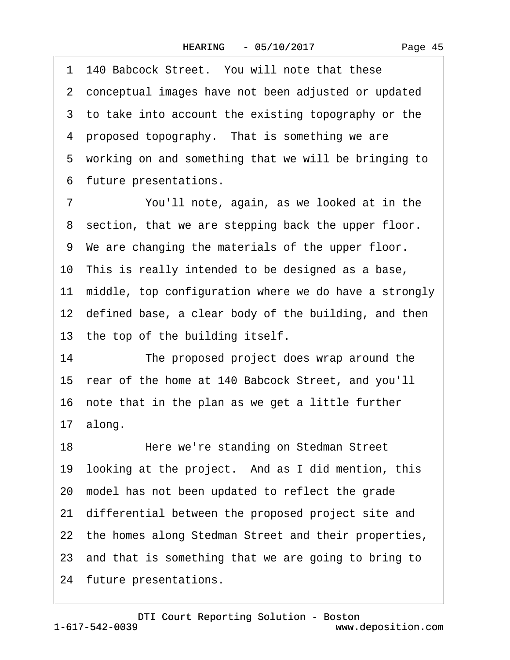Page 45

1 140 Babcock Street. You will note that these ·2· conceptual images have not been adjusted or updated 3 to take into account the existing topography or the 4 proposed topography. That is something we are 5 working on and something that we will be bringing to ·6· future presentations. 7 You'll note, again, as we looked at in the 8 section, that we are stepping back the upper floor. ·9· We are changing the materials of the upper floor. 10 This is really intended to be designed as a base, 11 middle, top configuration where we do have a strongly 12 defined base, a clear body of the building, and then 13 the top of the building itself. 14 The proposed project does wrap around the 15· rear of the home at 140 Babcock Street, and you'll 16 note that in the plan as we get a little further 17· along. 18 • Here we're standing on Stedman Street 19 looking at the project. And as I did mention, this 20· model has not been updated to reflect the grade 21 differential between the proposed project site and 22 the homes along Stedman Street and their properties, 23· and that is something that we are going to bring to

24 future presentations.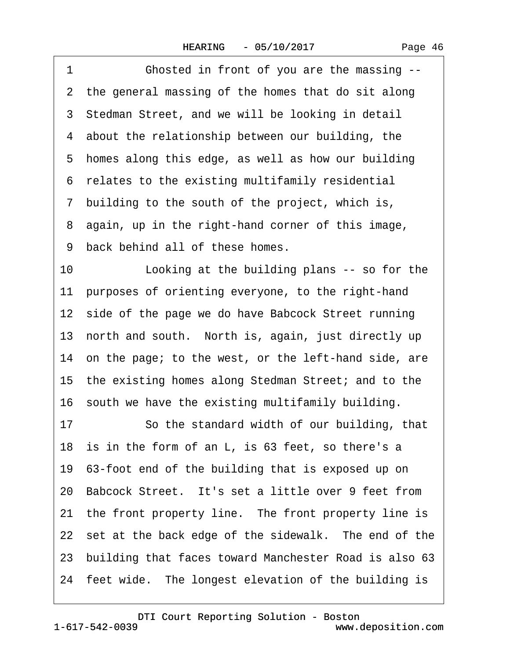1 **Chosted in front of you are the massing --**2 the general massing of the homes that do sit along 3 Stedman Street, and we will be looking in detail 4 about the relationship between our building, the 5 homes along this edge, as well as how our building ·6· relates to the existing multifamily residential ·7· building to the south of the project, which is, ·8· again, up in the right-hand corner of this image, 9 back behind all of these homes. 10 Looking at the building plans -- so for the 11 purposes of orienting everyone, to the right-hand 12 side of the page we do have Babcock Street running 13 north and south. North is, again, just directly up 14 on the page; to the west, or the left-hand side, are 15· the existing homes along Stedman Street; and to the 16· south we have the existing multifamily building. 17 So the standard width of our building, that 18 is in the form of an L, is 63 feet, so there's a 19· 63-foot end of the building that is exposed up on 20 Babcock Street. It's set a little over 9 feet from 21 the front property line. The front property line is 22 set at the back edge of the sidewalk. The end of the 23· building that faces toward Manchester Road is also 63 24 feet wide. The longest elevation of the building is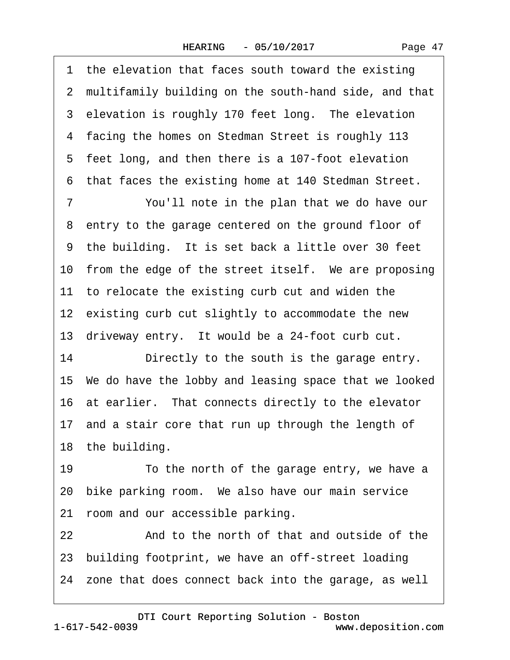1 the elevation that faces south toward the existing 2 multifamily building on the south-hand side, and that 3 elevation is roughly 170 feet long. The elevation ·4· facing the homes on Stedman Street is roughly 113 5 feet long, and then there is a 107-foot elevation ·6· that faces the existing home at 140 Stedman Street. 7 You'll note in the plan that we do have our 8 entry to the garage centered on the ground floor of 9 the building. It is set back a little over 30 feet 10 from the edge of the street itself. We are proposing 11 to relocate the existing curb cut and widen the 12 existing curb cut slightly to accommodate the new 13 driveway entry. It would be a 24-foot curb cut. 14 Directly to the south is the garage entry. 15· We do have the lobby and leasing space that we looked 16 at earlier. That connects directly to the elevator 17 and a stair core that run up through the length of 18 the building. 19 To the north of the garage entry, we have a 20 bike parking room. We also have our main service 21 room and our accessible parking. 22 And to the north of that and outside of the 23· building footprint, we have an off-street loading 24 zone that does connect back into the garage, as well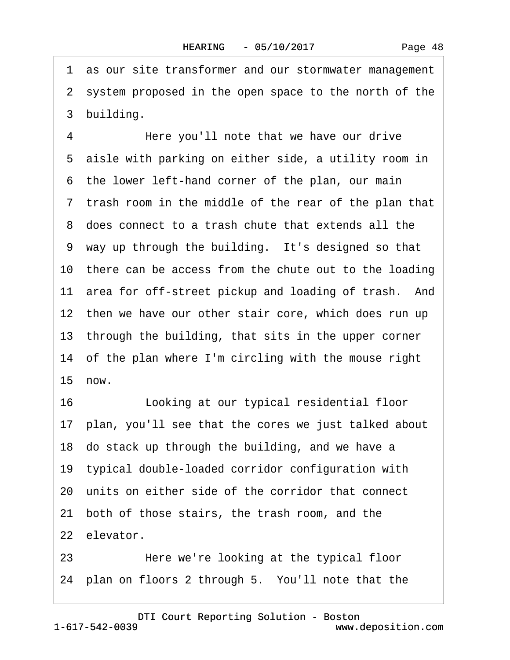Page 48

·1· as our site transformer and our stormwater management 2 system proposed in the open space to the north of the 3 building.

4 Here you'll note that we have our drive 5 aisle with parking on either side, a utility room in 6 the lower left-hand corner of the plan, our main ·7· trash room in the middle of the rear of the plan that ·8· does connect to a trash chute that extends all the 9 way up through the building. It's designed so that 10 there can be access from the chute out to the loading 11 area for off-street pickup and loading of trash. And 12 then we have our other stair core, which does run up 13 through the building, that sits in the upper corner 14 of the plan where I'm circling with the mouse right 15 now.

16 Looking at our typical residential floor 17 plan, you'll see that the cores we just talked about 18 do stack up through the building, and we have a 19· typical double-loaded corridor configuration with 20· units on either side of the corridor that connect 21 both of those stairs, the trash room, and the 22 elevator.

23 **• • • Here we're looking at the typical floor** 24· plan on floors 2 through 5.· You'll note that the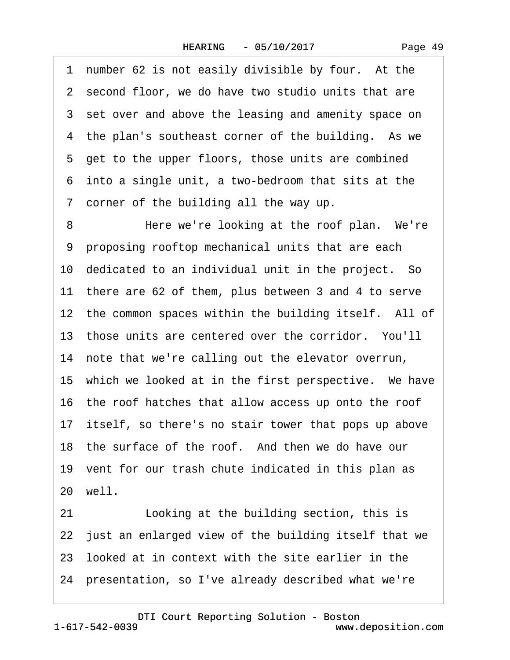1 number 62 is not easily divisible by four. At the 2 second floor, we do have two studio units that are 3 set over and above the leasing and amenity space on 4 the plan's southeast corner of the building. As we 5 get to the upper floors, those units are combined ·6· into a single unit, a two-bedroom that sits at the ·7· corner of the building all the way up.

8 Here we're looking at the roof plan. We're ·9· proposing rooftop mechanical units that are each 10 dedicated to an individual unit in the project. So 11 there are 62 of them, plus between 3 and 4 to serve 12 the common spaces within the building itself. All of 13 those units are centered over the corridor. You'll 14 note that we're calling out the elevator overrun, 15 which we looked at in the first perspective. We have 16 the roof hatches that allow access up onto the roof 17 itself, so there's no stair tower that pops up above 18 the surface of the roof. And then we do have our 19 vent for our trash chute indicated in this plan as 20 well. 21 Looking at the building section, this is 22 just an enlarged view of the building itself that we 23· looked at in context with the site earlier in the

24· presentation, so I've already described what we're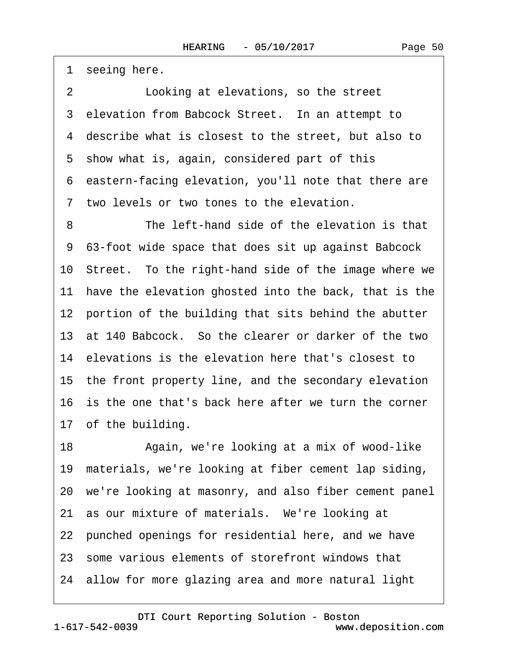1 seeing here.

2 **Looking at elevations, so the street** 3 elevation from Babcock Street. In an attempt to 4 describe what is closest to the street, but also to 5 show what is, again, considered part of this ·6· eastern-facing elevation, you'll note that there are 7 two levels or two tones to the elevation. 8 The left-hand side of the elevation is that

·9· 63-foot wide space that does sit up against Babcock 10· Street.· To the right-hand side of the image where we 11 have the elevation ghosted into the back, that is the 12 portion of the building that sits behind the abutter 13· at 140 Babcock.· So the clearer or darker of the two 14 elevations is the elevation here that's closest to 15 the front property line, and the secondary elevation 16 is the one that's back here after we turn the corner 17 of the building.

18 • Again, we're looking at a mix of wood-like 19 materials, we're looking at fiber cement lap siding, 20· we're looking at masonry, and also fiber cement panel 21 as our mixture of materials. We're looking at 22 punched openings for residential here, and we have 23· some various elements of storefront windows that 24· allow for more glazing area and more natural light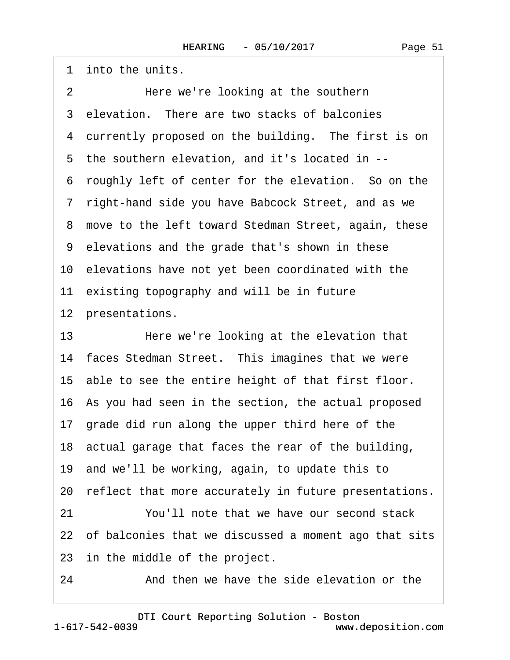1 into the units. 2 Here we're looking at the southern 3 elevation. There are two stacks of balconies 4 currently proposed on the building. The first is on 5 the southern elevation, and it's located in --·6· roughly left of center for the elevation.· So on the ·7· right-hand side you have Babcock Street, and as we 8 move to the left toward Stedman Street, again, these ·9· elevations and the grade that's shown in these 10· elevations have not yet been coordinated with the 11 existing topography and will be in future 12 presentations. 13 Here we're looking at the elevation that 14 faces Stedman Street. This imagines that we were 15· able to see the entire height of that first floor. 16· As you had seen in the section, the actual proposed 17 grade did run along the upper third here of the 18· actual garage that faces the rear of the building, 19· and we'll be working, again, to update this to 20 reflect that more accurately in future presentations. 21 You'll note that we have our second stack 22 of balconies that we discussed a moment ago that sits 23 in the middle of the project.

24 • **And then we have the side elevation or the**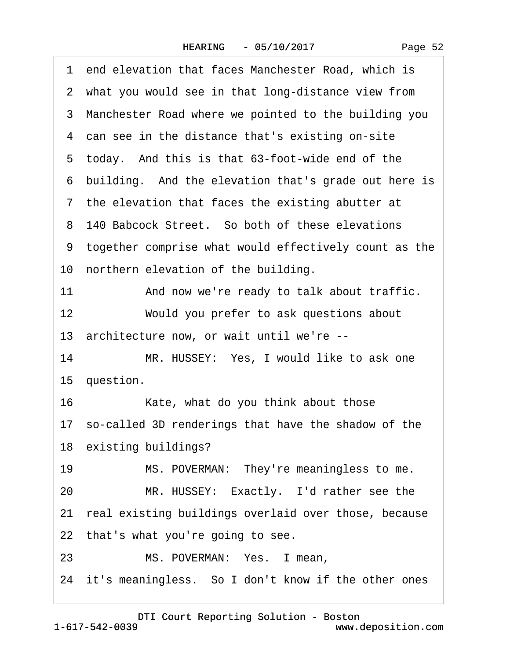|    | 1 end elevation that faces Manchester Road, which is    |
|----|---------------------------------------------------------|
|    | 2 what you would see in that long-distance view from    |
|    | 3 Manchester Road where we pointed to the building you  |
|    | 4 can see in the distance that's existing on-site       |
|    | 5 today. And this is that 63-foot-wide end of the       |
|    | 6 building. And the elevation that's grade out here is  |
|    | 7 the elevation that faces the existing abutter at      |
|    | 8 140 Babcock Street. So both of these elevations       |
|    | 9 together comprise what would effectively count as the |
|    | 10 northern elevation of the building.                  |
| 11 | And now we're ready to talk about traffic.              |
| 12 | Would you prefer to ask questions about                 |
|    | 13 architecture now, or wait until we're --             |
| 14 | MR. HUSSEY: Yes, I would like to ask one                |
|    | 15 question.                                            |
| 16 | Kate, what do you think about those                     |
|    | 17 so-called 3D renderings that have the shadow of the  |
|    | 18 existing buildings?                                  |
| 19 | MS. POVERMAN: They're meaningless to me.                |
| 20 | MR. HUSSEY: Exactly. I'd rather see the                 |
|    | 21 real existing buildings overlaid over those, because |
|    | 22 that's what you're going to see.                     |
| 23 | MS. POVERMAN: Yes. I mean,                              |
|    | 24 it's meaningless. So I don't know if the other ones  |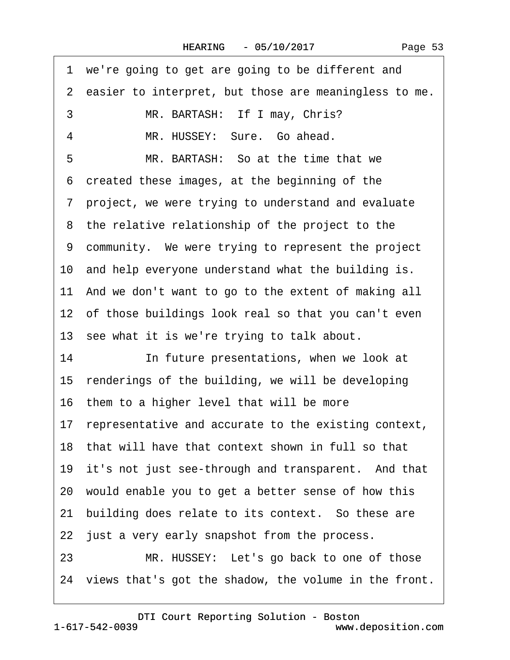|    | 1 we're going to get are going to be different and       |
|----|----------------------------------------------------------|
|    | 2 easier to interpret, but those are meaningless to me.  |
| 3  | MR. BARTASH: If I may, Chris?                            |
| 4  | MR. HUSSEY: Sure. Go ahead.                              |
| 5  | MR. BARTASH: So at the time that we                      |
|    | 6 created these images, at the beginning of the          |
|    | 7 project, we were trying to understand and evaluate     |
|    | 8 the relative relationship of the project to the        |
|    | 9 community. We were trying to represent the project     |
|    | 10 and help everyone understand what the building is.    |
|    | 11 And we don't want to go to the extent of making all   |
|    | 12 of those buildings look real so that you can't even   |
|    | 13 see what it is we're trying to talk about.            |
| 14 | In future presentations, when we look at                 |
|    | 15 renderings of the building, we will be developing     |
|    | 16 them to a higher level that will be more              |
|    | 17 representative and accurate to the existing context,  |
|    | 18 that will have that context shown in full so that     |
|    | 19 it's not just see-through and transparent. And that   |
|    | 20 would enable you to get a better sense of how this    |
|    | 21 building does relate to its context. So these are     |
|    | 22 just a very early snapshot from the process.          |
| 23 | MR. HUSSEY: Let's go back to one of those                |
|    | 24 views that's got the shadow, the volume in the front. |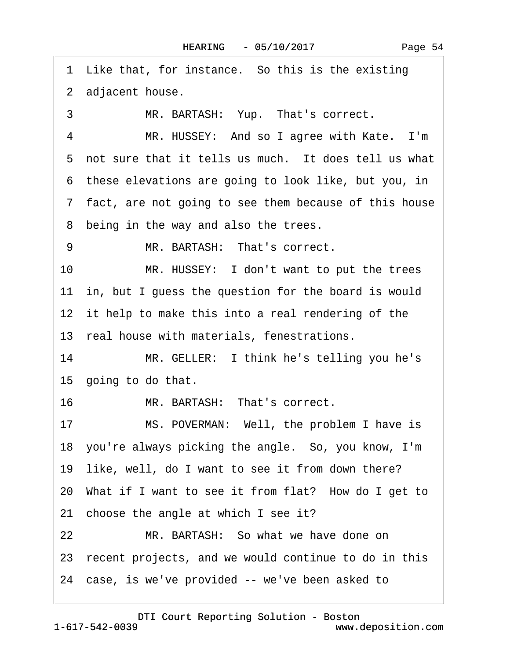1 Like that, for instance. So this is the existing 2 adjacent house. 3 MR. BARTASH: Yup. That's correct. 4 MR. HUSSEY: And so I agree with Kate. I'm 5 not sure that it tells us much. It does tell us what ·6· these elevations are going to look like, but you, in ·7· fact, are not going to see them because of this house 8 being in the way and also the trees. 9 MR. BARTASH: That's correct. 10 MR. HUSSEY: I don't want to put the trees 11 in, but I guess the question for the board is would 12 it help to make this into a real rendering of the 13 real house with materials, fenestrations. 14 MR. GELLER: I think he's telling you he's 15 going to do that. 16 MR. BARTASH: That's correct. 17 MS. POVERMAN: Well, the problem I have is 18 you're always picking the angle. So, you know, I'm 19 like, well, do I want to see it from down there? 20 What if I want to see it from flat? How do I get to 21 choose the angle at which I see it? 22 MR. BARTASH: So what we have done on 23 recent projects, and we would continue to do in this 24 case, is we've provided -- we've been asked to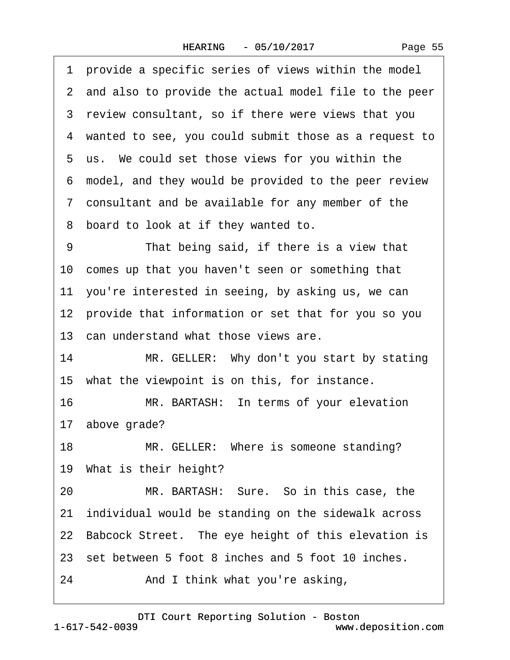|    | 1 provide a specific series of views within the model   |
|----|---------------------------------------------------------|
|    | 2 and also to provide the actual model file to the peer |
|    | 3 review consultant, so if there were views that you    |
|    | 4 wanted to see, you could submit those as a request to |
|    | 5 us. We could set those views for you within the       |
|    | 6 model, and they would be provided to the peer review  |
|    | 7 consultant and be available for any member of the     |
|    | 8 board to look at if they wanted to.                   |
| 9  | That being said, if there is a view that                |
|    | 10 comes up that you haven't seen or something that     |
|    | 11 you're interested in seeing, by asking us, we can    |
|    | 12 provide that information or set that for you so you  |
|    | 13 can understand what those views are.                 |
| 14 | MR. GELLER: Why don't you start by stating              |
|    | 15 what the viewpoint is on this, for instance.         |
| 16 | MR. BARTASH: In terms of your elevation                 |
|    | 17 above grade?                                         |
| 18 | MR. GELLER: Where is someone standing?                  |
|    | 19 What is their height?                                |
| 20 | MR. BARTASH: Sure. So in this case, the                 |
|    | 21 individual would be standing on the sidewalk across  |
|    | 22 Babcock Street. The eye height of this elevation is  |
|    | 23 set between 5 foot 8 inches and 5 foot 10 inches.    |
| 24 | And I think what you're asking,                         |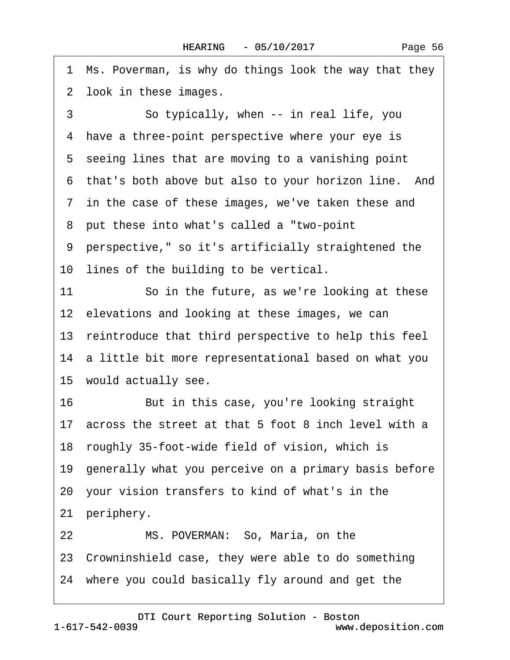1 Ms. Poverman, is why do things look the way that they 2 look in these images. 3 So typically, when -- in real life, you 4 have a three-point perspective where your eye is 5 seeing lines that are moving to a vanishing point 6 that's both above but also to your horizon line. And 7 in the case of these images, we've taken these and ·8· put these into what's called a "two-point ·9· perspective," so it's artificially straightened the 10 lines of the building to be vertical. 11 So in the future, as we're looking at these 12 elevations and looking at these images, we can 13 reintroduce that third perspective to help this feel 14 a little bit more representational based on what you 15 would actually see. 16 But in this case, you're looking straight 17· across the street at that 5 foot 8 inch level with a 18 roughly 35-foot-wide field of vision, which is 19· generally what you perceive on a primary basis before 20· your vision transfers to kind of what's in the 21 periphery. 22 MS. POVERMAN: So, Maria, on the 23· Crowninshield case, they were able to do something 24· where you could basically fly around and get the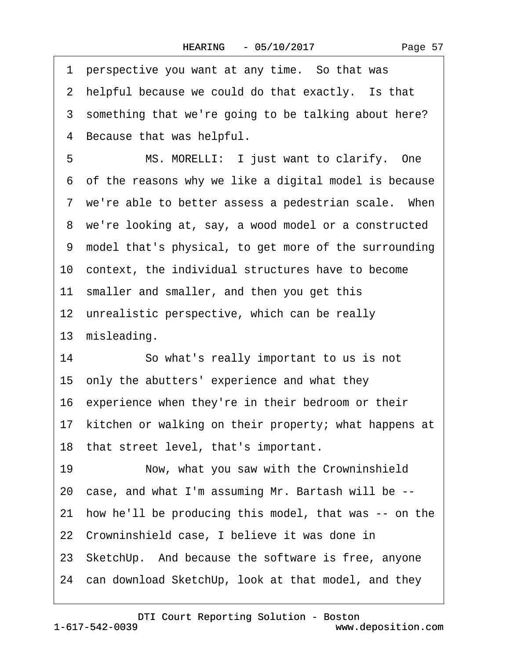|    | 1 perspective you want at any time. So that was          |
|----|----------------------------------------------------------|
|    | 2 helpful because we could do that exactly. Is that      |
|    | 3 something that we're going to be talking about here?   |
| 4  | Because that was helpful.                                |
| 5  | MS. MORELLI: I just want to clarify. One                 |
|    | 6 of the reasons why we like a digital model is because  |
|    | 7 we're able to better assess a pedestrian scale. When   |
|    | 8 we're looking at, say, a wood model or a constructed   |
|    | 9 model that's physical, to get more of the surrounding  |
|    | 10 context, the individual structures have to become     |
|    | 11 smaller and smaller, and then you get this            |
|    | 12 unrealistic perspective, which can be really          |
|    | 13 misleading.                                           |
| 14 | So what's really important to us is not                  |
|    | 15 only the abutters' experience and what they           |
|    | 16 experience when they're in their bedroom or their     |
|    | 17 kitchen or walking on their property; what happens at |
|    | 18 that street level, that's important.                  |
| 19 | Now, what you saw with the Crowninshield                 |
|    | 20 case, and what I'm assuming Mr. Bartash will be --    |
|    | 21 how he'll be producing this model, that was -- on the |
|    | 22 Crowninshield case, I believe it was done in          |
|    | 23 SketchUp. And because the software is free, anyone    |
|    | 24 can download SketchUp, look at that model, and they   |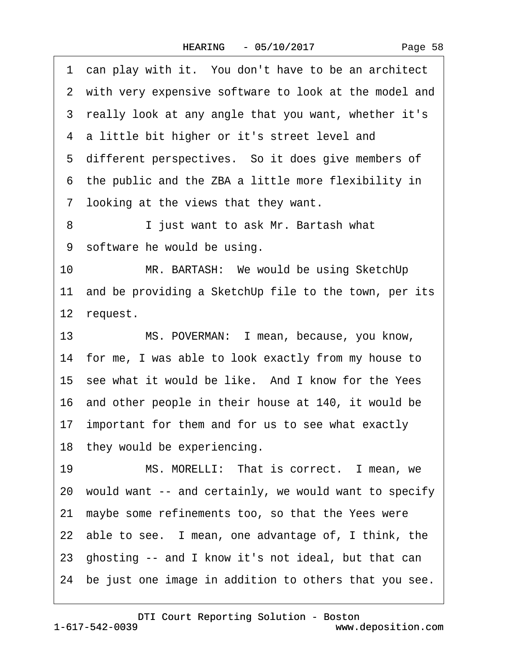1 can play with it. You don't have to be an architect 2 with very expensive software to look at the model and 3 really look at any angle that you want, whether it's 4 a little bit higher or it's street level and 5 different perspectives. So it does give members of ·6· the public and the ZBA a little more flexibility in ·7· looking at the views that they want. 8 **I** iust want to ask Mr. Bartash what 9 software he would be using. 10 MR. BARTASH: We would be using SketchUp 11 and be providing a SketchUp file to the town, per its 12 request. 13 MS. POVERMAN: I mean, because, you know, 14 for me, I was able to look exactly from my house to 15 see what it would be like. And I know for the Yees 16 and other people in their house at 140, it would be 17 important for them and for us to see what exactly 18 they would be experiencing. 19 MS. MORELLI: That is correct. I mean, we 20· would want -- and certainly, we would want to specify 21· maybe some refinements too, so that the Yees were 22 able to see. I mean, one advantage of, I think, the 23· ghosting -- and I know it's not ideal, but that can 24· be just one image in addition to others that you see.

[DTI Court Reporting Solution - Boston](http://www.deposition.com)

1-617-542-0039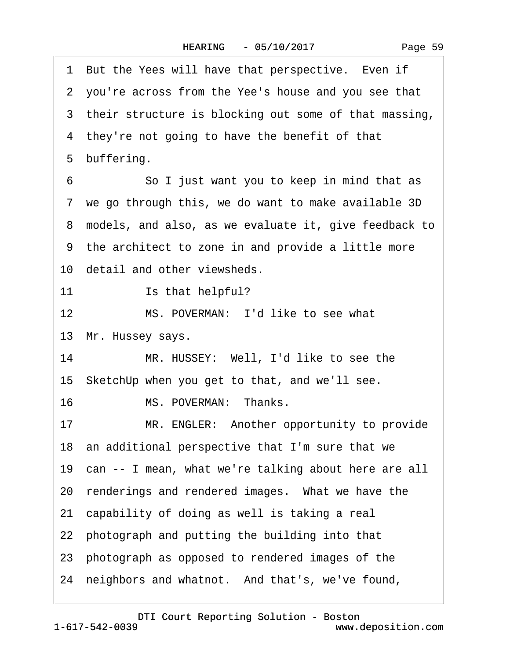1 But the Yees will have that perspective. Even if 2 you're across from the Yee's house and you see that 3 their structure is blocking out some of that massing, 4 they're not going to have the benefit of that 5 buffering. 6 **· · · · So I just want you to keep in mind that as** 7 we go through this, we do want to make available 3D ·8· models, and also, as we evaluate it, give feedback to ·9· the architect to zone in and provide a little more 10 detail and other viewsheds. 11 **Is that helpful?** 12 MS. POVERMAN: I'd like to see what 13 Mr. Hussey says. 14 MR. HUSSEY: Well, I'd like to see the 15 SketchUp when you get to that, and we'll see. 16 MS. POVERMAN: Thanks. 17 MR. ENGLER: Another opportunity to provide 18· an additional perspective that I'm sure that we 19 can -- I mean, what we're talking about here are all 20 renderings and rendered images. What we have the 21 capability of doing as well is taking a real 22 photograph and putting the building into that 23· photograph as opposed to rendered images of the 24 neighbors and whatnot. And that's, we've found,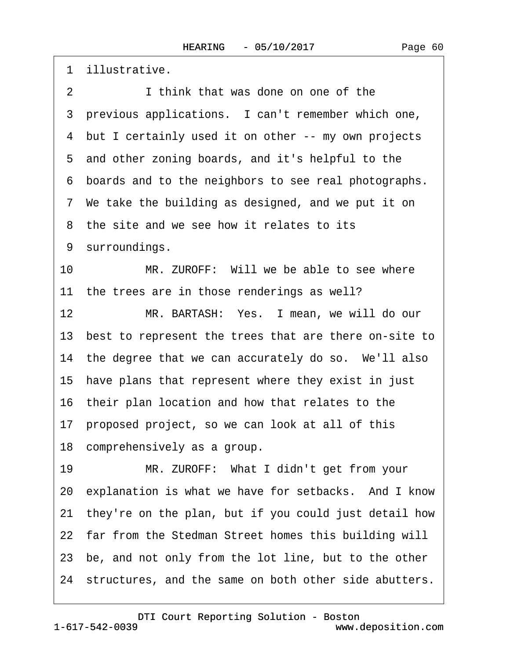·1· illustrative.

- 2 I think that was done on one of the
- 3 previous applications. I can't remember which one,
- 4 but I certainly used it on other -- my own projects
- 5 and other zoning boards, and it's helpful to the
- ·6· boards and to the neighbors to see real photographs.
- 7 We take the building as designed, and we put it on
- 8 the site and we see how it relates to its
- 9 surroundings.
- 10 MR. ZUROFF: Will we be able to see where 11 the trees are in those renderings as well?
- 12 MR. BARTASH: Yes. I mean, we will do our 13 best to represent the trees that are there on-site to
- 14 the degree that we can accurately do so. We'll also
- 15 have plans that represent where they exist in just
- 16 their plan location and how that relates to the
- 17· proposed project, so we can look at all of this
- 18 comprehensively as a group.
- 19 MR. ZUROFF: What I didn't get from your 20 explanation is what we have for setbacks. And I know 21· they're on the plan, but if you could just detail how 22 far from the Stedman Street homes this building will 23 be, and not only from the lot line, but to the other 24 structures, and the same on both other side abutters.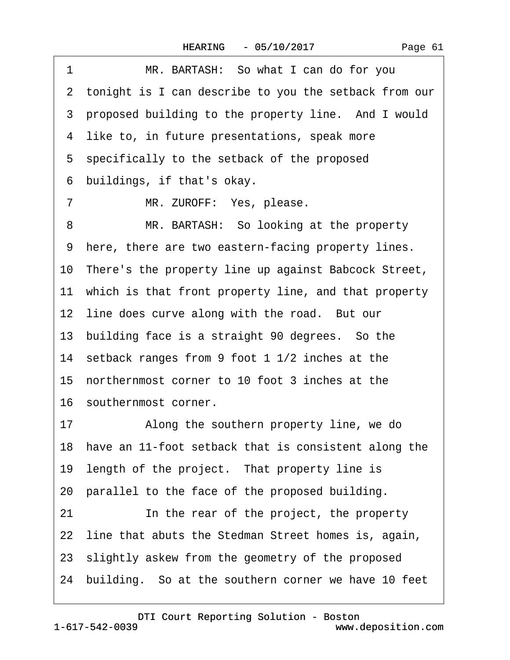| Page 61 |  |
|---------|--|
|         |  |

1 MR. BARTASH: So what I can do for you ·2· tonight is I can describe to you the setback from our 3 proposed building to the property line. And I would 4 like to, in future presentations, speak more 5 specifically to the setback of the proposed ·6· buildings, if that's okay. 7 MR. ZUROFF: Yes, please. 8 MR. BARTASH: So looking at the property 9 here, there are two eastern-facing property lines. 10 There's the property line up against Babcock Street, 11 which is that front property line, and that property 12 line does curve along with the road. But our 13 building face is a straight 90 degrees. So the 14· setback ranges from 9 foot 1 1/2 inches at the 15· northernmost corner to 10 foot 3 inches at the 16· southernmost corner. 17 • Along the southern property line, we do 18 have an 11-foot setback that is consistent along the 19 length of the project. That property line is 20 parallel to the face of the proposed building. 21 In the rear of the project, the property 22 line that abuts the Stedman Street homes is, again, 23· slightly askew from the geometry of the proposed 24· building.· So at the southern corner we have 10 feet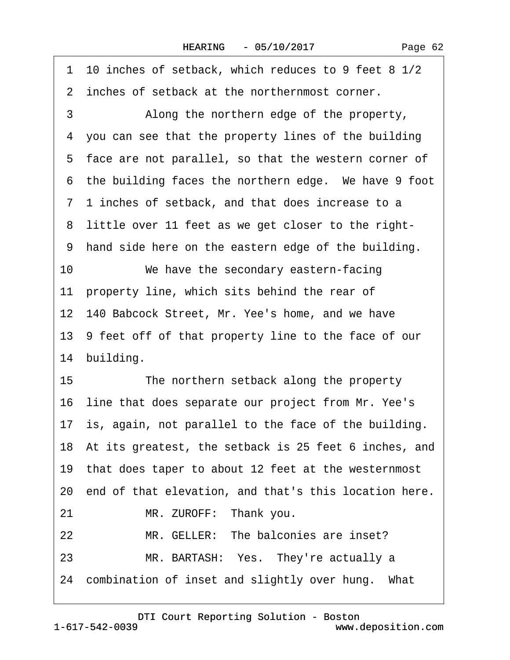|    | 1 10 inches of setback, which reduces to 9 feet 8 1/2    |  |  |
|----|----------------------------------------------------------|--|--|
|    | 2 inches of setback at the northernmost corner.          |  |  |
| 3  | Along the northern edge of the property,                 |  |  |
| 4  | you can see that the property lines of the building      |  |  |
|    | 5 face are not parallel, so that the western corner of   |  |  |
|    | 6 the building faces the northern edge. We have 9 foot   |  |  |
|    | 7 1 inches of setback, and that does increase to a       |  |  |
|    | 8 little over 11 feet as we get closer to the right-     |  |  |
|    | 9 hand side here on the eastern edge of the building.    |  |  |
| 10 | We have the secondary eastern-facing                     |  |  |
|    | 11 property line, which sits behind the rear of          |  |  |
|    | 12 140 Babcock Street, Mr. Yee's home, and we have       |  |  |
|    | 13 9 feet off of that property line to the face of our   |  |  |
|    | 14 building.                                             |  |  |
| 15 | The northern setback along the property                  |  |  |
|    | 16 line that does separate our project from Mr. Yee's    |  |  |
|    | 17 is, again, not parallel to the face of the building.  |  |  |
|    | 18 At its greatest, the setback is 25 feet 6 inches, and |  |  |
|    | 19 that does taper to about 12 feet at the westernmost   |  |  |
|    | 20 end of that elevation, and that's this location here. |  |  |
| 21 | MR. ZUROFF: Thank you.                                   |  |  |
| 22 | MR. GELLER: The balconies are inset?                     |  |  |
| 23 | MR. BARTASH: Yes. They're actually a                     |  |  |
|    | 24 combination of inset and slightly over hung. What     |  |  |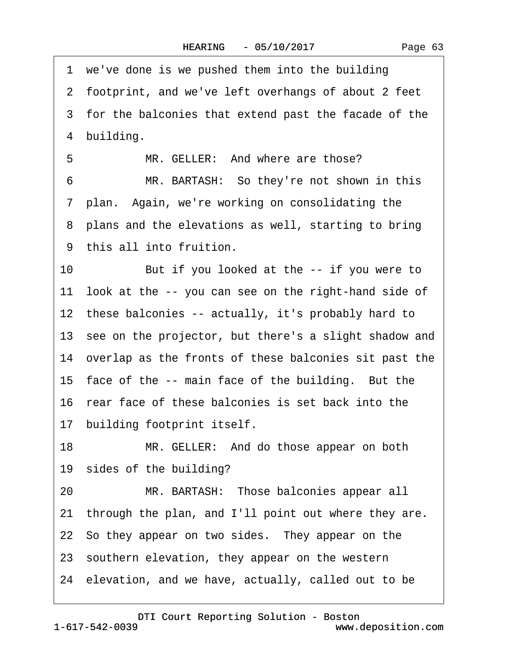1 we've done is we pushed them into the building 2 footprint, and we've left overhangs of about 2 feet 3 for the balconies that extend past the facade of the 4 building. 5 MR. GELLER: And where are those? 6 MR. BARTASH: So they're not shown in this 7 plan. Again, we're working on consolidating the 8 plans and the elevations as well, starting to bring ·9· this all into fruition. 10 But if you looked at the -- if you were to 11 look at the -- you can see on the right-hand side of 12 these balconies -- actually, it's probably hard to 13 see on the projector, but there's a slight shadow and 14 overlap as the fronts of these balconies sit past the 15 face of the -- main face of the building. But the 16· rear face of these balconies is set back into the 17 building footprint itself. 18 MR. GELLER: And do those appear on both 19 sides of the building? 20 MR. BARTASH: Those balconies appear all 21 through the plan, and I'll point out where they are. 22 So they appear on two sides. They appear on the 23 southern elevation, they appear on the western 24· elevation, and we have, actually, called out to be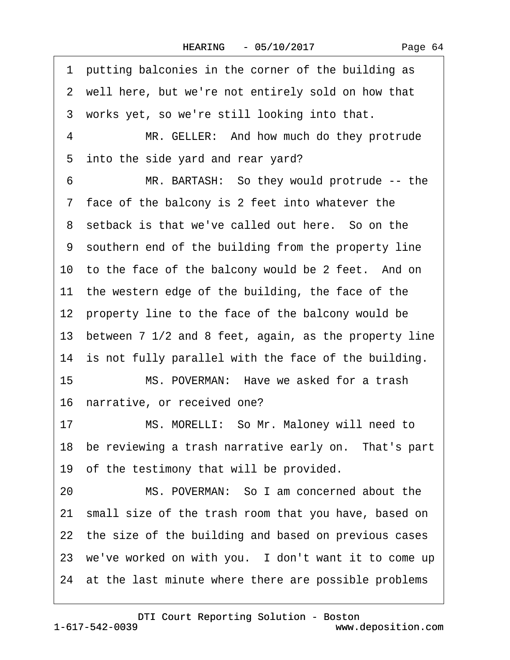·1· putting balconies in the corner of the building as 2 well here, but we're not entirely sold on how that 3 works yet, so we're still looking into that. 4 MR. GELLER: And how much do they protrude 5 into the side yard and rear yard? 6 MR. BARTASH: So they would protrude -- the ·7· face of the balcony is 2 feet into whatever the 8 setback is that we've called out here. So on the 9 southern end of the building from the property line 10 to the face of the balcony would be 2 feet. And on 11 the western edge of the building, the face of the 12 property line to the face of the balcony would be 13 between 7 1/2 and 8 feet, again, as the property line 14 is not fully parallel with the face of the building. 15 MS. POVERMAN: Have we asked for a trash 16 narrative, or received one? 17 MS. MORELLI: So Mr. Maloney will need to 18 be reviewing a trash narrative early on. That's part 19 of the testimony that will be provided. 20 MS. POVERMAN: So I am concerned about the 21 small size of the trash room that you have, based on 22 the size of the building and based on previous cases 23 we've worked on with you. I don't want it to come up 24 at the last minute where there are possible problems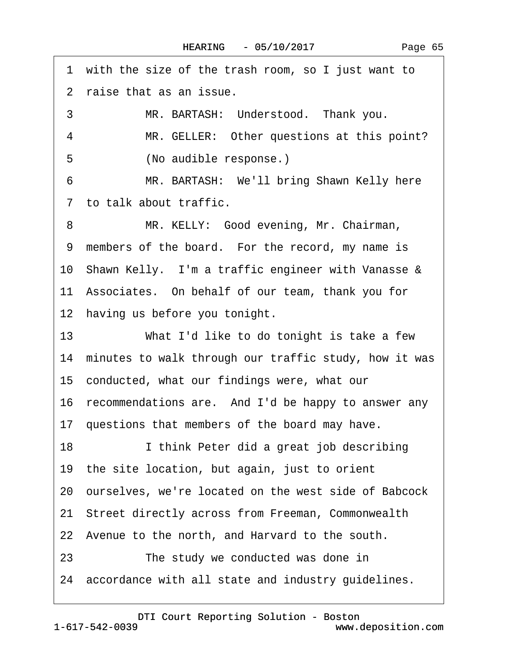1 with the size of the trash room, so I just want to ·2· raise that as an issue. 3 MR. BARTASH: Understood. Thank you. 4 MR. GELLER: Other questions at this point? 5 (No audible response.) 6 MR. BARTASH: We'll bring Shawn Kelly here ·7· to talk about traffic. 8 MR. KELLY: Good evening, Mr. Chairman, 9 members of the board. For the record, my name is 10 Shawn Kelly. I'm a traffic engineer with Vanasse & 11· Associates.· On behalf of our team, thank you for 12 having us before you tonight. 13 What I'd like to do tonight is take a few 14 minutes to walk through our traffic study, how it was 15· conducted, what our findings were, what our 16 recommendations are. And I'd be happy to answer any 17 questions that members of the board may have. 18 I think Peter did a great job describing 19· the site location, but again, just to orient 20· ourselves, we're located on the west side of Babcock 21 Street directly across from Freeman, Commonwealth 22 Avenue to the north, and Harvard to the south. 23 The study we conducted was done in 24 accordance with all state and industry guidelines.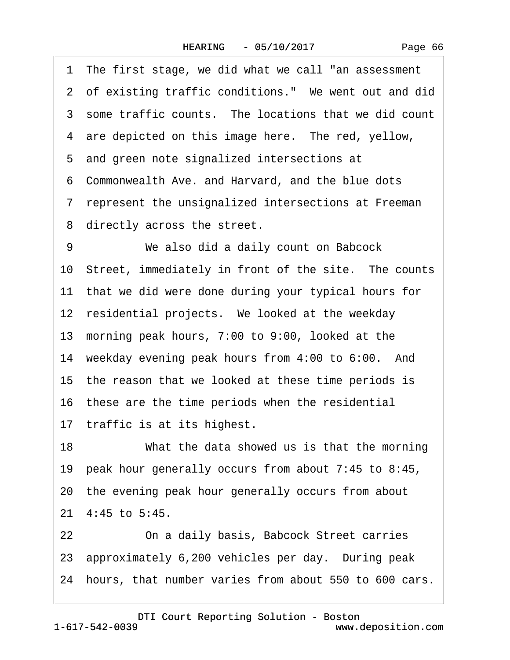·1· The first stage, we did what we call "an assessment 2 of existing traffic conditions." We went out and did 3 some traffic counts. The locations that we did count 4 are depicted on this image here. The red, yellow, 5 and green note signalized intersections at ·6· Commonwealth Ave. and Harvard, and the blue dots ·7· represent the unsignalized intersections at Freeman 8 directly across the street. 9 We also did a daily count on Babcock 10 Street, immediately in front of the site. The counts 11 that we did were done during your typical hours for 12 residential projects. We looked at the weekday 13· morning peak hours, 7:00 to 9:00, looked at the 14 weekday evening peak hours from 4:00 to 6:00. And 15 the reason that we looked at these time periods is 16 these are the time periods when the residential 17 traffic is at its highest. 18 What the data showed us is that the morning 19· peak hour generally occurs from about 7:45 to 8:45, 20· the evening peak hour generally occurs from about 21· 4:45 to 5:45. 22 **Degman Clubs** Changelian and adaily basis, Babcock Street carries 23 approximately 6,200 vehicles per day. During peak 24 hours, that number varies from about 550 to 600 cars.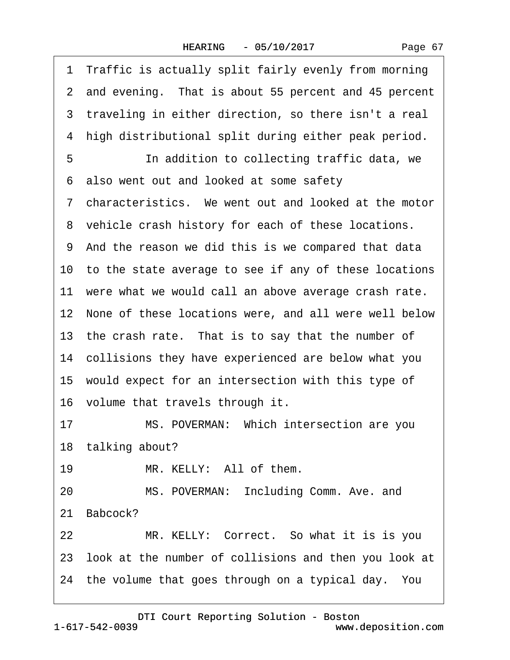|  | Page 67 |  |
|--|---------|--|
|  |         |  |

|    | 1 Traffic is actually split fairly evenly from morning   |
|----|----------------------------------------------------------|
|    | 2 and evening. That is about 55 percent and 45 percent   |
|    | 3 traveling in either direction, so there isn't a real   |
| 4  | high distributional split during either peak period.     |
| 5  | In addition to collecting traffic data, we               |
|    | 6 also went out and looked at some safety                |
|    | 7 characteristics. We went out and looked at the motor   |
|    | 8 vehicle crash history for each of these locations.     |
|    | 9 And the reason we did this is we compared that data    |
|    | 10 to the state average to see if any of these locations |
|    | 11 were what we would call an above average crash rate.  |
|    | 12 None of these locations were, and all were well below |
|    | 13 the crash rate. That is to say that the number of     |
|    | 14 collisions they have experienced are below what you   |
|    | 15 would expect for an intersection with this type of    |
|    | 16 volume that travels through it.                       |
| 17 | MS. POVERMAN: Which intersection are you                 |
|    | 18 talking about?                                        |
| 19 | MR. KELLY: All of them.                                  |
| 20 | MS. POVERMAN: Including Comm. Ave. and                   |
|    | 21 Babcock?                                              |
| 22 | MR. KELLY: Correct. So what it is is you                 |
|    | 23 look at the number of collisions and then you look at |
|    | 24 the volume that goes through on a typical day. You    |
|    |                                                          |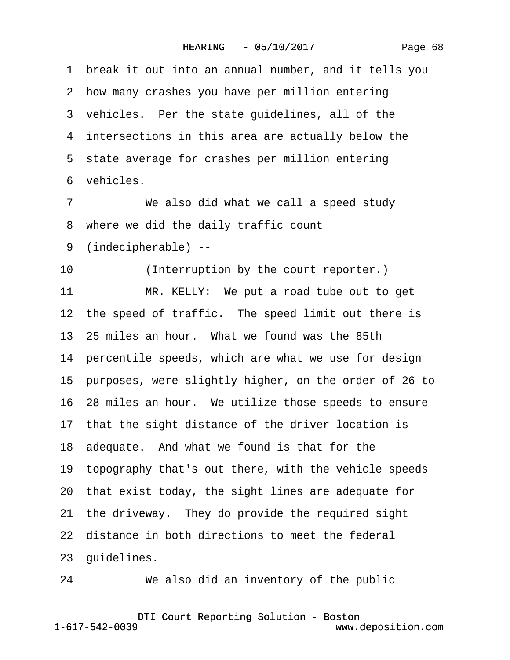·1· break it out into an annual number, and it tells you 2 how many crashes you have per million entering 3 vehicles. Per the state guidelines, all of the 4 intersections in this area are actually below the 5 state average for crashes per million entering 6 vehicles 7 We also did what we call a speed study ·8· where we did the daily traffic count ·9· (indecipherable) -- 10 (Interruption by the court reporter.) 11 MR. KELLY: We put a road tube out to get 12 the speed of traffic. The speed limit out there is 13· 25 miles an hour.· What we found was the 85th 14 percentile speeds, which are what we use for design 15· purposes, were slightly higher, on the order of 26 to 16· 28 miles an hour.· We utilize those speeds to ensure 17 that the sight distance of the driver location is 18 adequate. And what we found is that for the 19· topography that's out there, with the vehicle speeds 20· that exist today, the sight lines are adequate for 21 the driveway. They do provide the required sight 22 distance in both directions to meet the federal 23 guidelines. 24 We also did an inventory of the public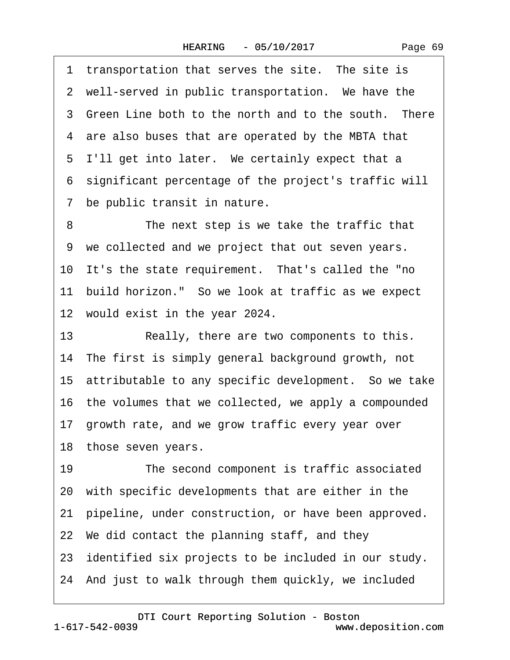1 transportation that serves the site. The site is 2 well-served in public transportation. We have the 3 Green Line both to the north and to the south. There 4 are also buses that are operated by the MBTA that 5 I'll get into later. We certainly expect that a ·6· significant percentage of the project's traffic will 7 be public transit in nature. 8 The next step is we take the traffic that ·9· we collected and we project that out seven years. 10 It's the state requirement. That's called the "no 11 build horizon." So we look at traffic as we expect 12 would exist in the year 2024. 13 Really, there are two components to this. 14 The first is simply general background growth, not 15 attributable to any specific development. So we take 16· the volumes that we collected, we apply a compounded 17 growth rate, and we grow traffic every year over 18 those seven years. 19 The second component is traffic associated 20· with specific developments that are either in the 21· pipeline, under construction, or have been approved. 22· We did contact the planning staff, and they 23 identified six projects to be included in our study. 24· And just to walk through them quickly, we included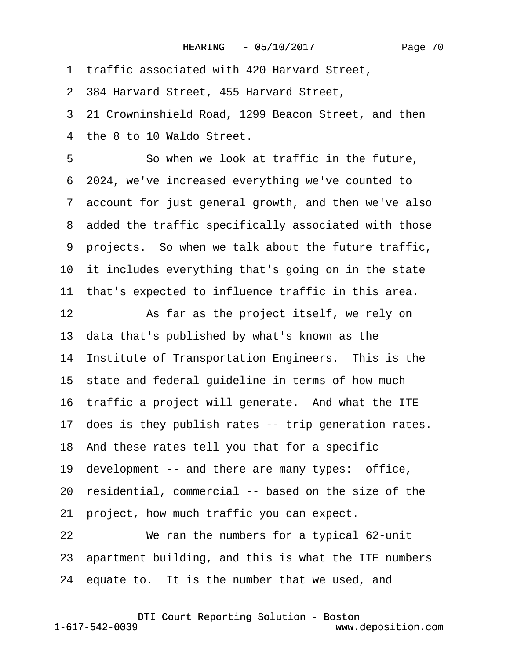·1· traffic associated with 420 Harvard Street, ·2· 384 Harvard Street, 455 Harvard Street, 3 21 Crowninshield Road, 1299 Beacon Street, and then 4 the 8 to 10 Waldo Street. 5 **· · · · So when we look at traffic in the future,** ·6· 2024, we've increased everything we've counted to ·7· account for just general growth, and then we've also 8 added the traffic specifically associated with those ·9· projects.· So when we talk about the future traffic, 10 it includes everything that's going on in the state 11 that's expected to influence traffic in this area. 12 As far as the project itself, we rely on 13· data that's published by what's known as the 14 Institute of Transportation Engineers. This is the 15 state and federal guideline in terms of how much 16 traffic a project will generate. And what the ITE 17 does is they publish rates -- trip generation rates. 18· And these rates tell you that for a specific 19 development -- and there are many types: office, 20· residential, commercial -- based on the size of the 21 project, how much traffic you can expect. 22 We ran the numbers for a typical 62-unit 23· apartment building, and this is what the ITE numbers 24 equate to. It is the number that we used, and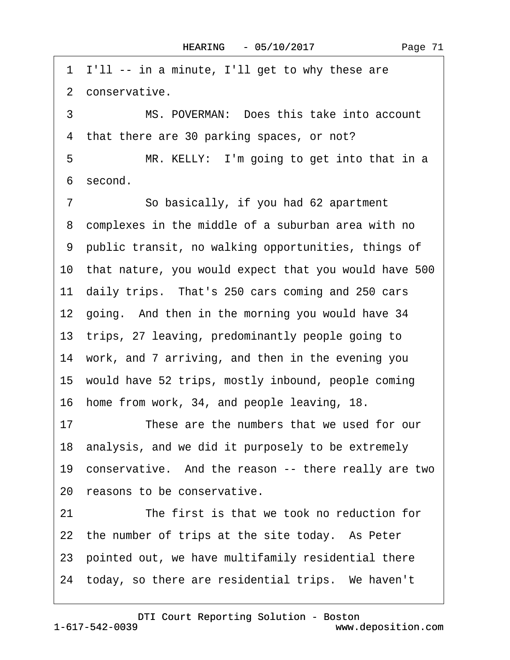·1· I'll -- in a minute, I'll get to why these are 2 conservative. 3 MS. POVERMAN: Does this take into account 4 that there are 30 parking spaces, or not? 5 MR. KELLY: I'm going to get into that in a ·6· second. 7 So basically, if you had 62 apartment 8 complexes in the middle of a suburban area with no ·9· public transit, no walking opportunities, things of 10 that nature, you would expect that you would have 500 11 daily trips. That's 250 cars coming and 250 cars 12 going. And then in the morning you would have 34 13 trips, 27 leaving, predominantly people going to 14 work, and 7 arriving, and then in the evening you 15 would have 52 trips, mostly inbound, people coming 16 home from work, 34, and people leaving, 18. 17 These are the numbers that we used for our 18 analysis, and we did it purposely to be extremely 19 conservative. And the reason -- there really are two 20 reasons to be conservative. 21 The first is that we took no reduction for 22 the number of trips at the site today. As Peter 23· pointed out, we have multifamily residential there 24 today, so there are residential trips. We haven't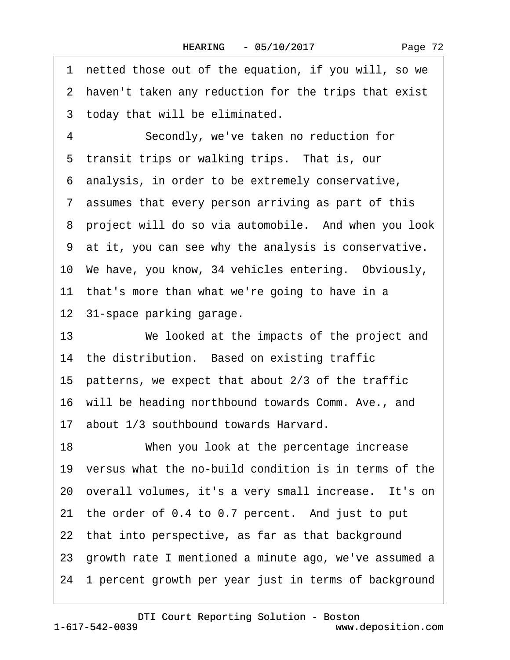| 1  | netted those out of the equation, if you will, so we     |
|----|----------------------------------------------------------|
|    | 2 haven't taken any reduction for the trips that exist   |
|    | 3 today that will be eliminated.                         |
| 4  | Secondly, we've taken no reduction for                   |
|    | 5 transit trips or walking trips. That is, our           |
|    | 6 analysis, in order to be extremely conservative,       |
|    | 7 assumes that every person arriving as part of this     |
|    | 8 project will do so via automobile. And when you look   |
|    | 9 at it, you can see why the analysis is conservative.   |
|    | 10 We have, you know, 34 vehicles entering. Obviously,   |
|    | 11 that's more than what we're going to have in a        |
|    | 12 31-space parking garage.                              |
| 13 | We looked at the impacts of the project and              |
|    | 14 the distribution. Based on existing traffic           |
|    | 15 patterns, we expect that about 2/3 of the traffic     |
|    | 16 will be heading northbound towards Comm. Ave., and    |
|    | 17 about 1/3 southbound towards Harvard.                 |
| 18 | When you look at the percentage increase                 |
|    | 19 versus what the no-build condition is in terms of the |
|    | 20 overall volumes, it's a very small increase. It's on  |
|    | 21 the order of 0.4 to 0.7 percent. And just to put      |
|    | 22 that into perspective, as far as that background      |
|    | 23 growth rate I mentioned a minute ago, we've assumed a |
|    | 24 1 percent growth per year just in terms of background |
|    |                                                          |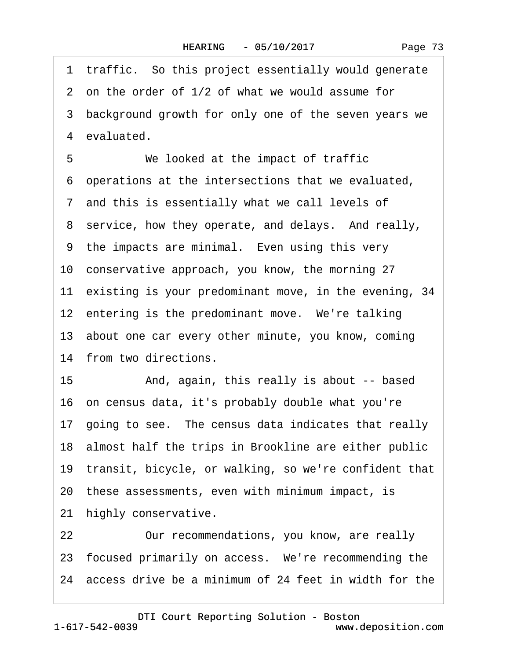<span id="page-72-0"></span>1 traffic. So this project essentially would generate 2 on the order of 1/2 of what we would assume for 3 background growth for only one of the seven years we 4 evaluated. 5 We looked at the impact of traffic ·6· operations at the intersections that we evaluated, 7 and this is essentially what we call levels of 8 service, how they operate, and delays. And really, 9 the impacts are minimal. Even using this very 10· conservative approach, you know, the morning 27 11 existing is your predominant move, in the evening, 34 12 entering is the predominant move. We're talking 13· about one car every other minute, you know, coming 14 from two directions. 15 • And, again, this really is about -- based 16· on census data, it's probably double what you're 17· going to see.· The census data indicates that really 18 almost half the trips in Brookline are either public 19 transit, bicycle, or walking, so we're confident that 20· these assessments, even with minimum impact, is 21 highly conservative.

22 Our recommendations, you know, are really 23 focused primarily on access. We're recommending the 24· access drive be a minimum of 24 feet in width for the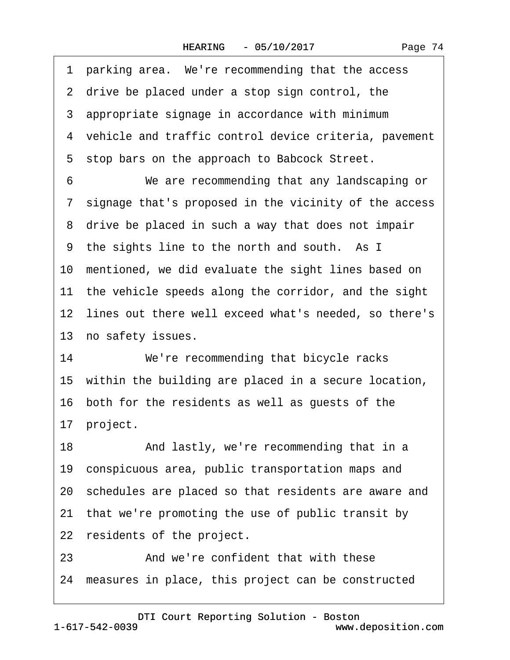|  | Page 74 |  |
|--|---------|--|
|--|---------|--|

<span id="page-73-0"></span>1 parking area. We're recommending that the access 2 drive be placed under a stop sign control, the 3 appropriate signage in accordance with minimum 4 vehicle and traffic control device criteria, pavement 5 stop bars on the approach to Babcock Street. 6 **We are recommending that any landscaping or** ·7· signage that's proposed in the vicinity of the access 8 drive be placed in such a way that does not impair 9 the sights line to the north and south. As I 10 mentioned, we did evaluate the sight lines based on 11 the vehicle speeds along the corridor, and the sight 12 lines out there well exceed what's needed, so there's 13 no safety issues. 14 We're recommending that bicycle racks 15 within the building are placed in a secure location, 16 both for the residents as well as guests of the 17 project. 18 • And lastly, we're recommending that in a 19 conspicuous area, public transportation maps and 20· schedules are placed so that residents are aware and 21 that we're promoting the use of public transit by 22 residents of the project. 23 **4. And we're confident that with these** 

24· measures in place, this project can be constructed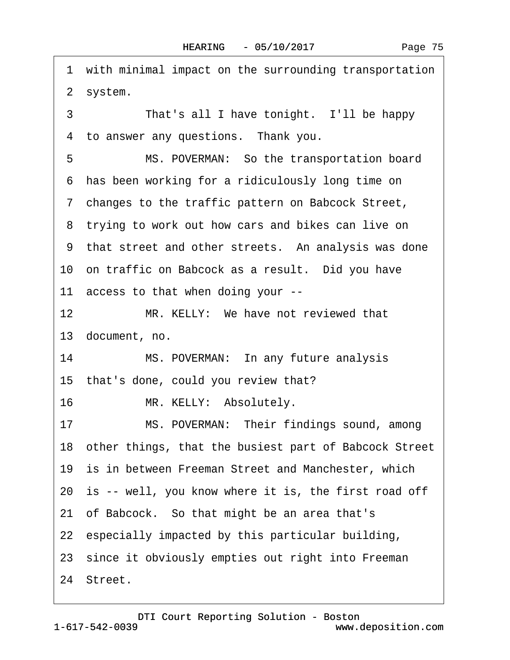<span id="page-74-0"></span>1 with minimal impact on the surrounding transportation 2 system. 3 That's all I have tonight. I'll be happy 4 to answer any questions. Thank you. 5 MS. POVERMAN: So the transportation board ·6· has been working for a ridiculously long time on ·7· changes to the traffic pattern on Babcock Street, 8 trying to work out how cars and bikes can live on 9 that street and other streets. An analysis was done 10 on traffic on Babcock as a result. Did you have 11 access to that when doing your --12 MR. KELLY: We have not reviewed that 13· document, no. 14 MS. POVERMAN: In any future analysis 15 that's done, could you review that? 16 MR. KELLY: Absolutely. 17 MS. POVERMAN: Their findings sound, among 18· other things, that the busiest part of Babcock Street 19 is in between Freeman Street and Manchester, which 20 is -- well, you know where it is, the first road off 21 of Babcock. So that might be an area that's 22 especially impacted by this particular building, 23 since it obviously empties out right into Freeman 24 Street.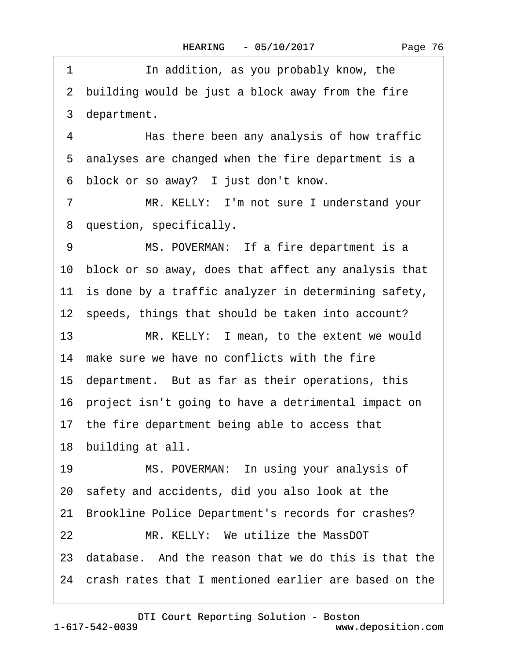<span id="page-75-0"></span>1 **In addition, as you probably know, the** 2 building would be just a block away from the fire 3 department.

4 • Has there been any analysis of how traffic 5 analyses are changed when the fire department is a 6 block or so away? I just don't know.

7 MR. KELLY: I'm not sure I understand your ·8· question, specifically.

9 MS. POVERMAN: If a fire department is a 10· block or so away, does that affect any analysis that 11 is done by a traffic analyzer in determining safety, 12 speeds, things that should be taken into account?

13 MR. KELLY: I mean, to the extent we would 14 make sure we have no conflicts with the fire 15· department.· But as far as their operations, this 16· project isn't going to have a detrimental impact on 17 the fire department being able to access that 18 building at all.

19 MS. POVERMAN: In using your analysis of 20· safety and accidents, did you also look at the 21 Brookline Police Department's records for crashes? 22 MR. KELLY: We utilize the MassDOT 23· database.· And the reason that we do this is that the 24· crash rates that I mentioned earlier are based on the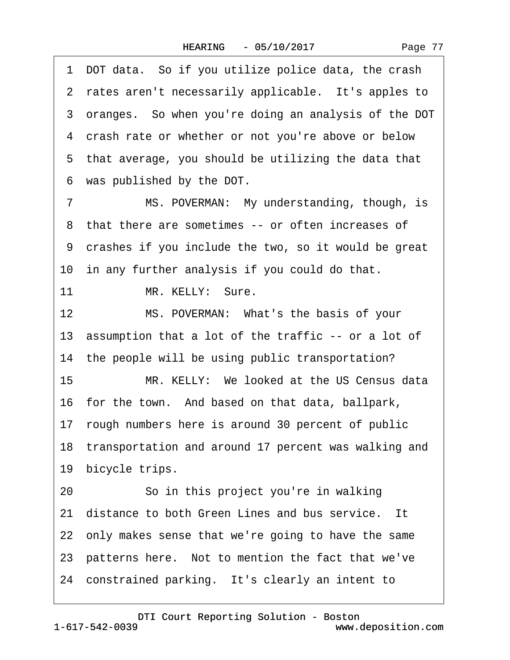<span id="page-76-0"></span>1 DOT data. So if you utilize police data, the crash 2 rates aren't necessarily applicable. It's apples to 3 oranges. So when you're doing an analysis of the DOT 4 crash rate or whether or not you're above or below 5 that average, you should be utilizing the data that ·6· was published by the DOT. 7 MS. POVERMAN: My understanding, though, is 8 that there are sometimes -- or often increases of ·9· crashes if you include the two, so it would be great 10 in any further analysis if you could do that. 11 MR. KELLY: Sure. 12 MS. POVERMAN: What's the basis of your 13 assumption that a lot of the traffic -- or a lot of 14 the people will be using public transportation? 15 MR. KELLY: We looked at the US Census data 16 for the town. And based on that data, ballpark, 17· rough numbers here is around 30 percent of public 18 transportation and around 17 percent was walking and 19 bicycle trips. 20 · · So in this project you're in walking 21 distance to both Green Lines and bus service. It 22· only makes sense that we're going to have the same 23 patterns here. Not to mention the fact that we've 24 constrained parking. It's clearly an intent to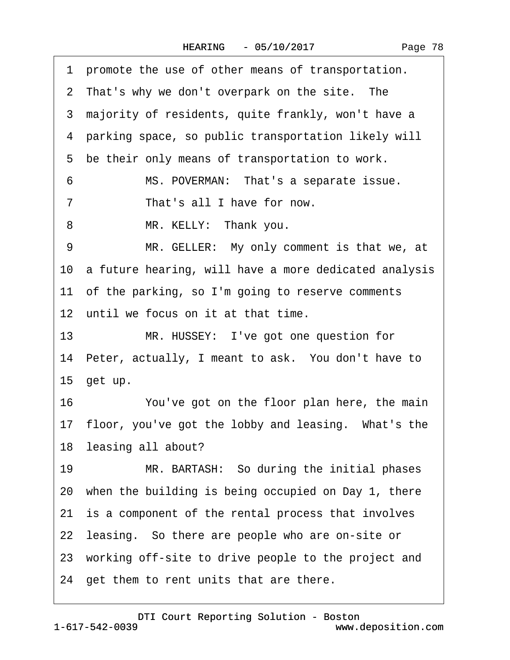| Page 78 |  |
|---------|--|
|         |  |

<span id="page-77-0"></span>·1· promote the use of other means of transportation. 2 That's why we don't overpark on the site. The 3 majority of residents, quite frankly, won't have a ·4· parking space, so public transportation likely will 5 be their only means of transportation to work. 6 MS. POVERMAN: That's a separate issue. 7 That's all I have for now. 8 MR. KELLY: Thank you. 9 MR. GELLER: My only comment is that we, at 10 a future hearing, will have a more dedicated analysis 11 of the parking, so I'm going to reserve comments 12 until we focus on it at that time. 13 MR. HUSSEY: I've got one question for 14 Peter, actually, I meant to ask. You don't have to 15 get up. 16 You've got on the floor plan here, the main 17 floor, you've got the lobby and leasing. What's the 18 leasing all about? 19 MR. BARTASH: So during the initial phases 20· when the building is being occupied on Day 1, there 21 is a component of the rental process that involves 22 leasing. So there are people who are on-site or 23 working off-site to drive people to the project and 24 get them to rent units that are there.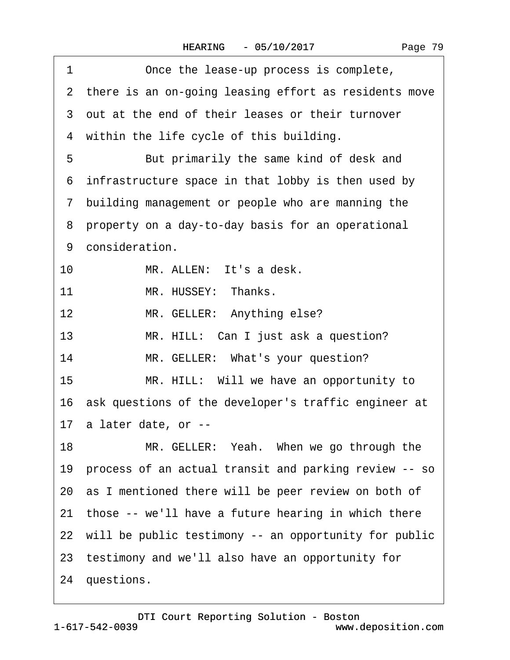<span id="page-78-0"></span>

| 1<br>Once the lease-up process is complete,              |
|----------------------------------------------------------|
| 2 there is an on-going leasing effort as residents move  |
| 3 out at the end of their leases or their turnover       |
| 4 within the life cycle of this building.                |
| 5<br>But primarily the same kind of desk and             |
| 6 infrastructure space in that lobby is then used by     |
| 7 building management or people who are manning the      |
| 8 property on a day-to-day basis for an operational      |
| 9 consideration.                                         |
| 10<br>MR. ALLEN: It's a desk.                            |
| MR. HUSSEY: Thanks.<br>11                                |
| MR. GELLER: Anything else?<br>12 <sub>2</sub>            |
| 13<br>MR. HILL: Can I just ask a question?               |
| MR. GELLER: What's your question?<br>14                  |
| 15<br>MR. HILL: Will we have an opportunity to           |
| 16 ask questions of the developer's traffic engineer at  |
| 17 a later date, or --                                   |
| 18<br>MR. GELLER: Yeah. When we go through the           |
| 19 process of an actual transit and parking review -- so |
| 20 as I mentioned there will be peer review on both of   |
| 21 those -- we'll have a future hearing in which there   |
| 22 will be public testimony -- an opportunity for public |
| 23 testimony and we'll also have an opportunity for      |
| 24 questions.                                            |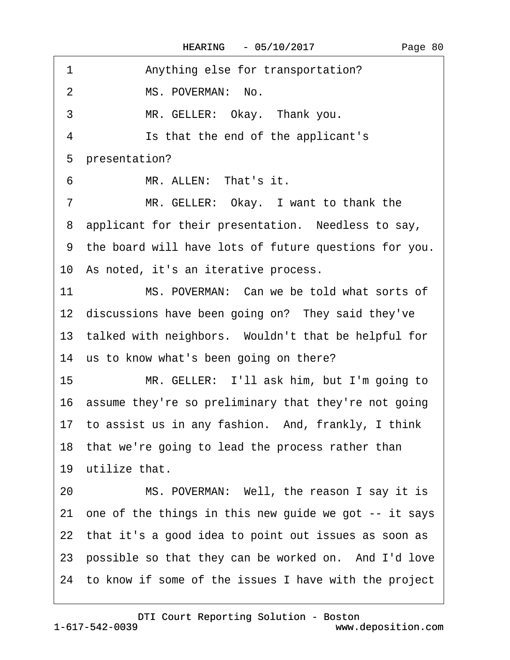| 1              | Anything else for transportation?                        |
|----------------|----------------------------------------------------------|
| $\overline{2}$ | MS. POVERMAN: No.                                        |
| 3              | MR. GELLER: Okay. Thank you.                             |
| 4              | Is that the end of the applicant's                       |
|                | 5 presentation?                                          |
| 6              | MR. ALLEN: That's it.                                    |
| $\overline{7}$ | MR. GELLER: Okay. I want to thank the                    |
|                | 8 applicant for their presentation. Needless to say,     |
|                | 9 the board will have lots of future questions for you.  |
|                | 10 As noted, it's an iterative process.                  |
| 11             | MS. POVERMAN: Can we be told what sorts of               |
|                | 12 discussions have been going on? They said they've     |
|                | 13 talked with neighbors. Wouldn't that be helpful for   |
|                | 14 us to know what's been going on there?                |
| 15             | MR. GELLER: I'll ask him, but I'm going to               |
|                | 16 assume they're so preliminary that they're not going  |
|                | 17 to assist us in any fashion. And, frankly, I think    |
|                | 18 that we're going to lead the process rather than      |
|                | 19 utilize that.                                         |
| 20             | MS. POVERMAN: Well, the reason I say it is               |
|                | 21 one of the things in this new guide we got -- it says |
|                | 22 that it's a good idea to point out issues as soon as  |
|                | 23 possible so that they can be worked on. And I'd love  |
|                | 24 to know if some of the issues I have with the project |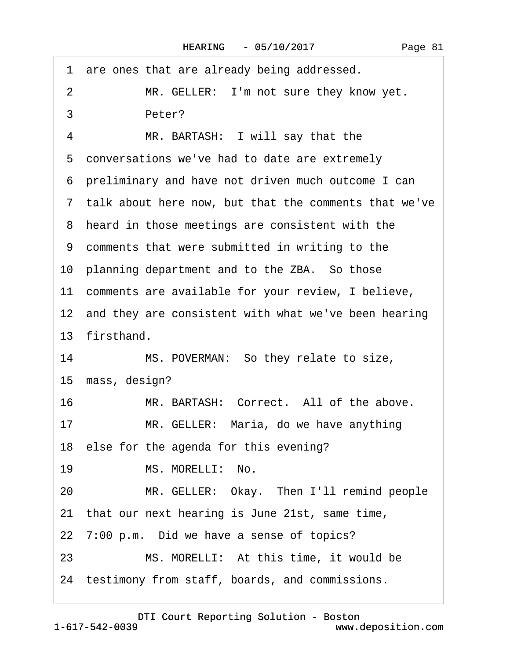|    | 1 are ones that are already being addressed.            |
|----|---------------------------------------------------------|
| 2  | MR. GELLER: I'm not sure they know yet.                 |
| 3  | Peter?                                                  |
| 4  | MR. BARTASH: I will say that the                        |
|    | 5 conversations we've had to date are extremely         |
|    | 6 preliminary and have not driven much outcome I can    |
|    | 7 talk about here now, but that the comments that we've |
|    | 8 heard in those meetings are consistent with the       |
|    | 9 comments that were submitted in writing to the        |
|    | 10 planning department and to the ZBA. So those         |
|    | 11 comments are available for your review, I believe,   |
|    | 12 and they are consistent with what we've been hearing |
|    | 13 firsthand.                                           |
| 14 | MS. POVERMAN: So they relate to size,                   |
|    | 15 mass, design?                                        |
| 16 | MR. BARTASH: Correct. All of the above.                 |
| 17 | MR. GELLER: Maria, do we have anything                  |
|    | 18 else for the agenda for this evening?                |
| 19 | MS. MORELLI: No.                                        |
| 20 | MR. GELLER: Okay. Then I'll remind people               |
|    | 21 that our next hearing is June 21st, same time,       |
|    | 22 7:00 p.m. Did we have a sense of topics?             |
| 23 | MS. MORELLI: At this time, it would be                  |
|    | 24 testimony from staff, boards, and commissions.       |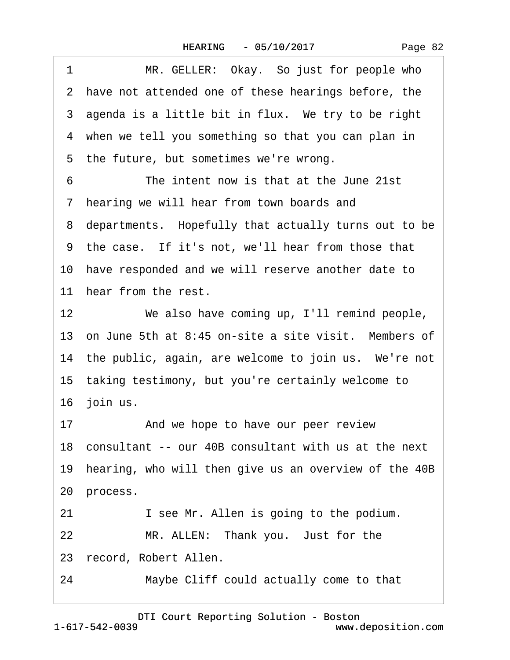| Page 82 |
|---------|
|---------|

| 1                 | MR. GELLER: Okay. So just for people who                 |  |  |  |
|-------------------|----------------------------------------------------------|--|--|--|
|                   | 2 have not attended one of these hearings before, the    |  |  |  |
|                   | 3 agenda is a little bit in flux. We try to be right     |  |  |  |
|                   | 4 when we tell you something so that you can plan in     |  |  |  |
|                   | 5 the future, but sometimes we're wrong.                 |  |  |  |
| 6                 | The intent now is that at the June 21st                  |  |  |  |
|                   | 7 hearing we will hear from town boards and              |  |  |  |
|                   | 8 departments. Hopefully that actually turns out to be   |  |  |  |
|                   | 9 the case. If it's not, we'll hear from those that      |  |  |  |
|                   | 10 have responded and we will reserve another date to    |  |  |  |
|                   | 11 hear from the rest.                                   |  |  |  |
| $12 \overline{ }$ | We also have coming up, I'll remind people,              |  |  |  |
|                   | 13 on June 5th at 8:45 on-site a site visit. Members of  |  |  |  |
|                   | 14 the public, again, are welcome to join us. We're not  |  |  |  |
|                   | 15 taking testimony, but you're certainly welcome to     |  |  |  |
|                   | 16 join us.                                              |  |  |  |
| 17                | And we hope to have our peer review                      |  |  |  |
|                   | 18 consultant -- our 40B consultant with us at the next  |  |  |  |
|                   | 19 hearing, who will then give us an overview of the 40B |  |  |  |
|                   | 20 process.                                              |  |  |  |
| 21                | I see Mr. Allen is going to the podium.                  |  |  |  |
| 22                | MR. ALLEN: Thank you. Just for the                       |  |  |  |
|                   | 23 record, Robert Allen.                                 |  |  |  |

24 Maybe Cliff could actually come to that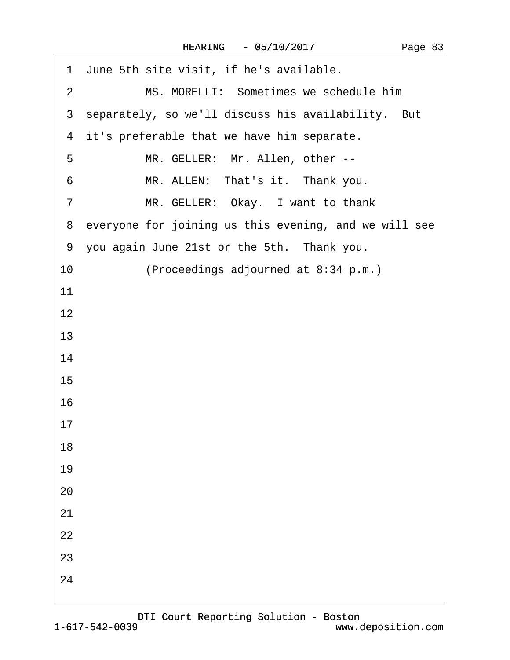| 1 June 5th site visit, if he's available.                |
|----------------------------------------------------------|
| MS. MORELLI: Sometimes we schedule him<br>$\overline{2}$ |
| 3 separately, so we'll discuss his availability. But     |
| 4 it's preferable that we have him separate.             |
| MR. GELLER: Mr. Allen, other --<br>5                     |
| MR. ALLEN: That's it. Thank you.<br>6                    |
| MR. GELLER: Okay. I want to thank<br>7                   |
| 8 everyone for joining us this evening, and we will see  |
| 9 you again June 21st or the 5th. Thank you.             |
| (Proceedings adjourned at 8:34 p.m.)<br>10               |
| 11                                                       |
| 12                                                       |
| 13                                                       |
| 14                                                       |
| 15                                                       |
| 16                                                       |
| 17                                                       |
| 18                                                       |
| 19                                                       |
| 20                                                       |
| 21                                                       |
| 22                                                       |
| 23                                                       |
| 24                                                       |
|                                                          |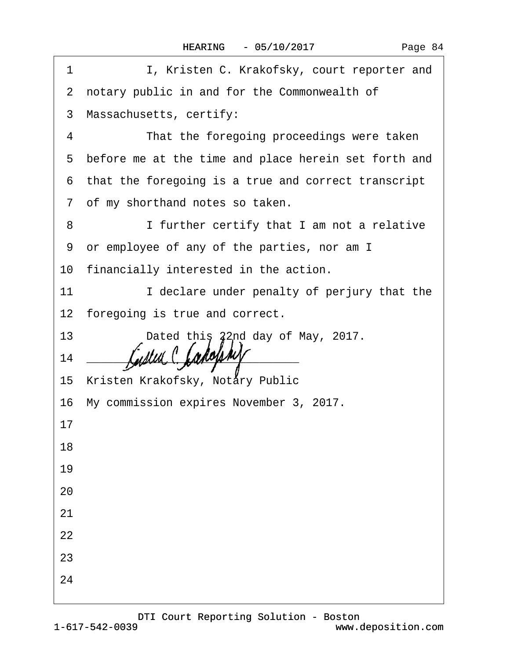| 1  | I, Kristen C. Krakofsky, court reporter and                                                                          |
|----|----------------------------------------------------------------------------------------------------------------------|
|    | 2 notary public in and for the Commonwealth of                                                                       |
|    | 3 Massachusetts, certify:                                                                                            |
| 4  | That the foregoing proceedings were taken                                                                            |
|    | 5 before me at the time and place herein set forth and                                                               |
|    | 6 that the foregoing is a true and correct transcript                                                                |
|    | 7 of my shorthand notes so taken.                                                                                    |
| 8  | I further certify that I am not a relative                                                                           |
|    | 9 or employee of any of the parties, nor am I                                                                        |
|    | 10 financially interested in the action.                                                                             |
| 11 | I declare under penalty of perjury that the                                                                          |
|    | 12 foregoing is true and correct.                                                                                    |
| 13 | Dated this 22nd day of May, 2017.                                                                                    |
| 14 | <u> 2000 - Jan James James James James James James James James James James James James James James James James J</u> |
|    | 15 Kristen Krakofsky, Notary Public                                                                                  |
|    | 16 My commission expires November 3, 2017.                                                                           |
| 17 |                                                                                                                      |
| 18 |                                                                                                                      |
| 19 |                                                                                                                      |
| 20 |                                                                                                                      |
| 21 |                                                                                                                      |
| 22 |                                                                                                                      |
| 23 |                                                                                                                      |
| 24 |                                                                                                                      |
|    |                                                                                                                      |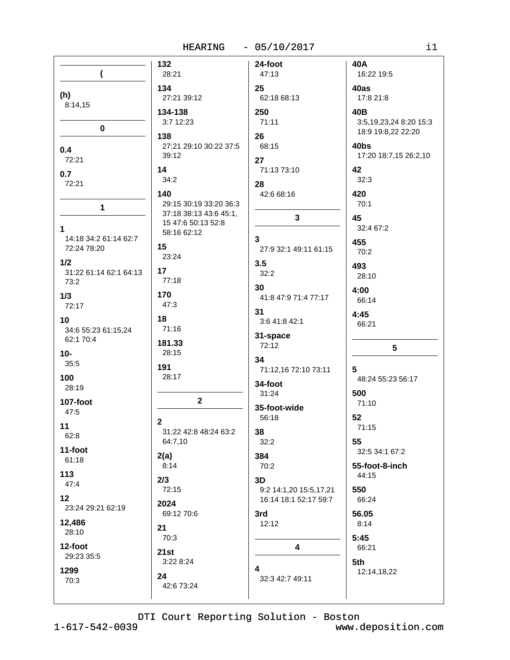|                                           | <b>HEARING</b>                                   | $-05/10/2017$                         | i1                                           |
|-------------------------------------------|--------------------------------------------------|---------------------------------------|----------------------------------------------|
| (                                         | 132<br>28:21                                     | 24-foot<br>47:13                      | 40A<br>16:22 19:5                            |
| (h)<br>8:14,15                            | 134<br>27:21 39:12<br>134-138                    | 25<br>62:18 68:13<br>250              | 40as<br>17:8 21:8<br>40B                     |
| $\mathbf 0$                               | 3:7 12:23<br>138                                 | 71:11<br>26                           | 3:5,19,23,24 8:20 15:3<br>18:9 19:8,22 22:20 |
| 0.4<br>72:21                              | 27:21 29:10 30:22 37:5<br>39:12                  | 68:15<br>27                           | 40bs<br>17:20 18:7,15 26:2,10                |
| 0.7<br>72:21                              | 14<br>34:2<br>140                                | 71:13 73:10<br>28<br>42:6 68:16       | 42<br>32:3<br>420                            |
| $\mathbf{1}$                              | 29:15 30:19 33:20 36:3<br>37:18 38:13 43:6 45:1, | 3                                     | 70:1<br>45                                   |
| 1<br>14:18 34:2 61:14 62:7<br>72:24 78:20 | 15 47:6 50:13 52:8<br>58:16 62:12<br>15          | 3<br>27:9 32:1 49:11 61:15            | 32:4 67:2<br>455<br>70:2                     |
| 1/2<br>31:22 61:14 62:1 64:13<br>73:2     | 23:24<br>17<br>77:18                             | 3.5<br>32:2                           | 493<br>28:10                                 |
| 1/3<br>72:17                              | 170<br>47:3                                      | 30<br>41:8 47:9 71:4 77:17<br>31      | 4:00<br>66:14                                |
| 10<br>34:6 55:23 61:15,24<br>62:1 70:4    | 18<br>71:16                                      | 3:6 41:8 42:1<br>31-space             | 4:45<br>66:21                                |
| $10-$<br>35:5                             | 181.33<br>28:15<br>191                           | 72:12<br>34<br>71:12,16 72:10 73:11   | 5<br>5                                       |
| 100<br>28:19                              | 28:17                                            | 34-foot<br>31:24                      | 48:24 55:23 56:17<br>500                     |
| <b>107-foot</b><br>47:5                   | $\overline{\mathbf{2}}$                          | 35-foot-wide<br>56:18                 | 71:10<br>52                                  |
| 11<br>62:8                                | $\mathbf{2}$<br>31:22 42:8 48:24 63:2<br>64:7,10 | 38<br>32:2                            | 71:15<br>55                                  |
| 11-foot<br>61:18                          | 2(a)<br>8:14                                     | 384<br>70:2                           | 32:5 34:1 67:2<br>55-foot-8-inch             |
| 113<br>47:4<br>12                         | 2/3<br>72:15                                     | 3D<br>9:2 14:1,20 15:5,17,21          | 44:15<br>550<br>66:24                        |
| 23:24 29:21 62:19<br>12,486               | 2024<br>69:12 70:6                               | 16:14 18:1 52:17 59:7<br>3rd<br>12:12 | 56.05<br>8:14                                |
| 28:10<br>12-foot                          | 21<br>70:3                                       | 4                                     | 5:45<br>66:21                                |
| 29:23 35:5<br>1299                        | 21st<br>3:22 8:24                                | 4                                     | 5th                                          |
| 70:3                                      | 24<br>42:6 73:24                                 | 32:3 42:7 49:11                       | 12:14,18,22                                  |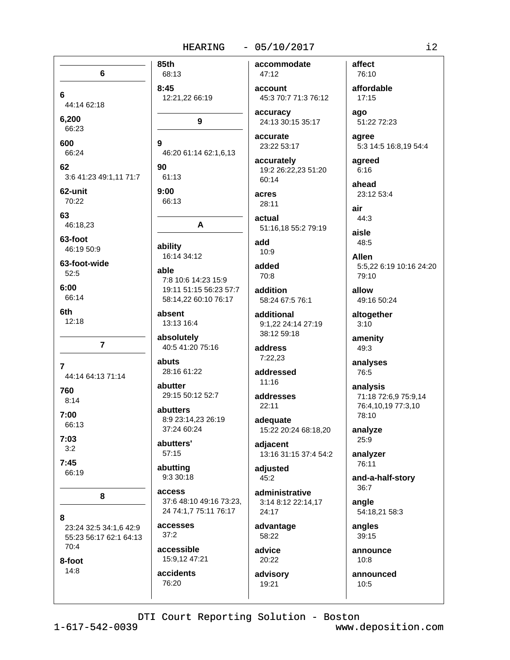### $-05/10/2017$

85th 6  $8:45$ 6 44:14 62:18 6.200 66:23 600 9 66:24 62 90 3:6 41:23 49:1,11 71:7 62-unit  $9:00$ 70:22 63 46:18,23 63-foot 46:19 50:9 63-foot-wide able 52:5  $6:00$ 66:14 6th  $12:18$  $\overline{7}$  $\overline{7}$ 44:14 64:13 71:14 760  $8:14$  $7:00$ 66:13  $7:03$  $3:2$  $7:45$ 66:19 8 8 23:24 32:5 34:1,6 42:9 55:23 56:17 62:1 64:13 70:4 8-foot  $14:8$ 76:20

accommodate 68:13 47:12 account 12:21,22 66:19 accuracy 9 accurate 46:20 61:14 62:1,6,13 accurately  $61.13$ 60:14 acres 66:13 28:11 actual A add ability  $10.9$ 16:14 34:12 added  $70:8$ 7:8 10:6 14:23 15:9 19:11 51:15 56:23 57:7 addition 58:14,22 60:10 76:17 absent additional 13:13 16:4 38:12 59:18 absolutely 40:5 41:20 75:16 address  $7:22.23$ abuts 28:16 61:22 addressed  $11.16$ abutter 29:15 50:12 52:7 addresses  $22:11$ abutters 8:9 23:14,23 26:19 adequate 37:24 60:24 abutters' adjacent 57:15 abutting adjusted 9:3 30:18  $45:2$ **ACCASS** 37:6 48:10 49:16 73:23, 24 74:1,7 75:11 76:17 24:17 accesses advantage  $37:2$ 58:22 accessible advice 15:9.12 47:21  $20:22$ accidents

45:3 70:7 71:3 76:12

24:13 30:15 35:17

23:22 53:17

19:2 26:22,23 51:20

51:16,18 55:2 79:19

58:24 67:5 76:1

9:1.22 24:14 27:19

15:22 20:24 68:18,20

13:16 31:15 37:4 54:2

administrative 3:14 8:12 22:14.17

advisory 19:21

affect 76:10 affordable  $17:15$ 

ago 51:22 72:23

aaree 5:3 14:5 16:8,19 54:4

agreed  $6:16$ ahead

23:12 53:4 air

 $44:3$ aisle 48:5

**Allen** 5:5.22 6:19 10:16 24:20 79:10

allow 49:16 50:24

altogether  $3:10$ 

amenity 49:3

analyses 76:5

analysis 71:18 72:6,9 75:9,14 76:4,10,19 77:3,10 78:10

analyze 25:9

analyzer 76:11

and-a-half-story 36:7

angle 54:18,21 58:3

angles 39:15

announce  $10:8$ 

announced  $10:5$ 

DTI Court Reporting Solution - Boston

 $1 - 617 - 542 - 0039$ 

www.deposition.com

 $i2$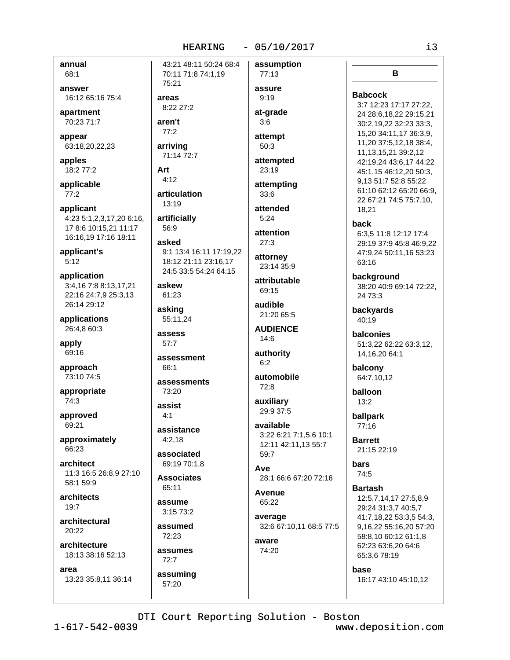annual  $68:1$ 

answer 16:12 65:16 75:4

apartment 70:23 71:7

appear 63:18,20,22,23

apples 18:2 77:2

applicable  $77:2$ 

applicant 4:23 5:1,2,3,17,20 6:16, 17 8:6 10:15,21 11:17 16:16.19 17:16 18:11

applicant's  $5:12$ 

application 3:4,16 7:8 8:13,17,21 22:16 24:7,9 25:3,13 26:14 29:12

applications 26:4,8 60:3

apply 69:16

approach 73:10 74:5

appropriate  $74:3$ 

approved 69:21

approximately 66:23

architect 11:3 16:5 26:8,9 27:10 58:1 59:9

architects  $19.7$ 

architectural  $20:22$ 

architecture 18:13 38:16 52:13

area 13:23 35:8,11 36:14

43:21 48:11 50:24 68:4 70:11 71:8 74:1,19 75:21 areas  $8:2227:2$ 

aren't  $77:2$ 

arriving 71:14 72:7

Art  $4:12$ 

56:9

articulation  $13:19$ 

artificially

asked 9:1 13:4 16:11 17:19.22 18:12 21:11 23:16,17 24:5 33:5 54:24 64:15

askew 61:23

asking 55:11,24

assess 57:7

assessment 66:1

assessments 73:20

assist  $4:1$ 

assistance  $4:2,18$ 

associated 69:19 70:1,8

**Associates** 65:11

assume  $3.1573.2$ 

assumed 72:23

assumes  $72:7$ 

assuming

57:20

assure  $9:19$ at-grade  $3:6$ attempt  $50:3$ attempted 23:19 attempting

assumption

77:13

attended  $5:24$ 

 $33:6$ 

attention  $27:3$ 

attorney 23:14 35:9

attributable 69:15

audible 21:20 65:5

**AUDIENCE**  $14:6$ 

authority  $6:2$ 

automobile  $72:8$ 

auxiliary 29:9 37:5

available 3:22 6:21 7:1,5,6 10:1 12:11 42:11,13 55:7 59:7

Ave 28:1 66:6 67:20 72:16

Avenue 65:22

average 32:6 67:10,11 68:5 77:5

aware 74:20 B

### **Babcock**

3:7 12:23 17:17 27:22, 24 28:6,18,22 29:15,21 30:2,19,22 32:23 33:3, 15,20 34:11,17 36:3,9, 11,20 37:5,12,18 38:4, 11, 13, 15, 21 39: 2, 12 42:19.24 43:6.17 44:22 45:1.15 46:12.20 50:3. 9.13 51:7 52:8 55:22 61:10 62:12 65:20 66:9, 22 67:21 74:5 75:7,10, 18,21

back

6:3.5 11:8 12:12 17:4 29:19 37:9 45:8 46:9,22 47:9,24 50:11,16 53:23 63:16

background 38:20 40:9 69:14 72:22, 24 73:3

**backvards** 40:19

balconies 51:3,22 62:22 63:3,12, 14, 16, 20 64: 1

balcony 64:7,10,12

balloon  $13:2$ 

ballpark 77:16

**Barrett** 21:15 22:19

> bars 74:5

**Bartash** 12:5,7,14,17 27:5,8,9 29:24 31:3,7 40:5,7 41:7,18,22 53:3,5 54:3, 9,16,22 55:16,20 57:20 58:8,10 60:12 61:1,8 62:23 63:6,20 64:6 65:3,6 78:19

base

16:17 43:10 45:10,12

DTI Court Reporting Solution - Boston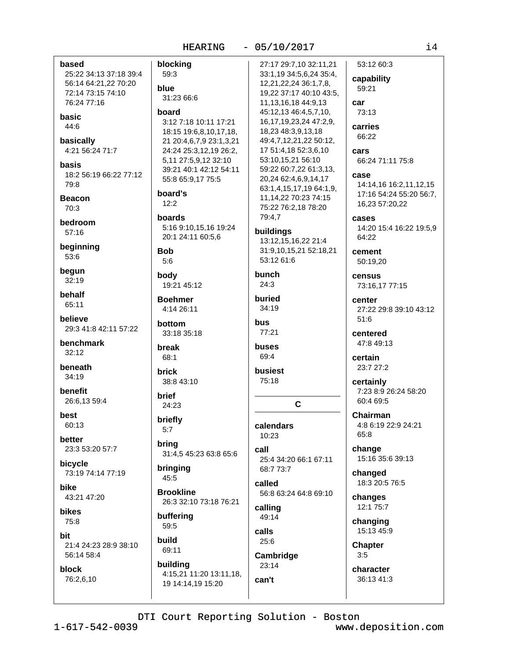$-05/10/2017$ 

based blocking 25:22 34:13 37:18 39:4 59:3 56:14 64:21,22 70:20 blue 72:14 73:15 74:10 31:23 66:6 76:24 77:16 board basic 3:12 7:18 10:11 17:21 18:15 19:6,8,10,17,18, basically 21 20:4,6,7,9 23:1,3,21 4:21 56:24 71:7 24:24 25:3,12,19 26:2, 5,11 27:5,9,12 32:10 hasis 39:21 40:1 42:12 54:11 18:2 56:19 66:22 77:12 55:8 65:9,17 75:5 board's **Beacon**  $12:2$ boards bedroom 5:16 9:10,15,16 19:24  $57.16$ 20:1 24:11 60:5,6 beginning **Bob**  $5:6$ begun body  $32:19$ 19:21 45:12 behalf **Boehmer**  $65:11$ 4:14 26:11 believe hottom 29:3 41:8 42:11 57:22 33:18 35:18 benchmark break  $32:12$ 68:1 beneath **brick**  $34:19$ 38:8 43:10 benefit brief 26:6.13 59:4 24:23 briefly 60:13  $5:7$ better bring 23:3 53:20 57:7 31:4.5 45:23 63:8 65:6 bicycle bringing 73:19 74:14 77:19 45:5 **Brookline** 43:21 47:20 26:3 32:10 73:18 76:21 **bikes** buffering 59:5 build 21:4 24:23 28:9 38:10 69:11 56:14 58:4 building block 4:15,21 11:20 13:11,18, 76:2,6,10 19 14:14,19 15:20

44:6

79:8

 $70:3$ 

53:6

best

hike

75:8

 $1 - 617 - 542 - 0039$ 

bit

53:12 60:3 27:17 29:7,10 32:11,21 33:1,19 34:5,6,24 35:4, capability 12,21,22,24 36:1,7,8, 59:21 19.22 37:17 40:10 43:5. 11, 13, 16, 18 44: 9, 13 car 45:12,13 46:4,5,7,10, 73:13 16, 17, 19, 23, 24 47: 2, 9, carries 18,23 48:3,9,13,18 66:22 49:4,7,12,21,22 50:12, 17 51:4,18 52:3,6,10 cars 53:10,15,21 56:10 66:24 71:11 75:8 59:22 60:7,22 61:3,13, case 20,24 62:4,6,9,14,17 14:14.16 16:2.11.12.15 63:1,4,15,17,19 64:1,9, 17:16 54:24 55:20 56:7. 11, 14, 22 70: 23 74: 15 16,23 57:20,22 75:22 76:2,18 78:20 79:4,7 **CASES** 14:20 15:4 16:22 19:5,9 buildings 64:22 13:12,15,16,22 21:4 31:9,10,15,21 52:18,21 cement 53:12 61:6 50:19,20 bunch census  $24:3$ 73:16,17 77:15 buried center 34:19 27:22 29:8 39:10 43:12 51:6 **bus** 77:21 centered 47:8 49:13 **buses** 69:4 certain 23:7 27:2 busiest 75:18 certainly 7:23 8:9 26:24 58:20  $60:469:5$  $\mathbf{C}$ **Chairman** 4:8 6:19 22:9 24:21 calendars 65:8 10:23 call change 15:16 35:6 39:13 25:4 34:20 66:1 67:11 68:7 73:7 changed called 18:3 20:5 76:5 56:8 63:24 64:8 69:10 changes 12:1 75:7 calling 49:14 changing calls 15:13 45:9 25:6 **Chapter**  $3:5$ Cambridge 23:14 character 36:13 41:3 can't

 $i4$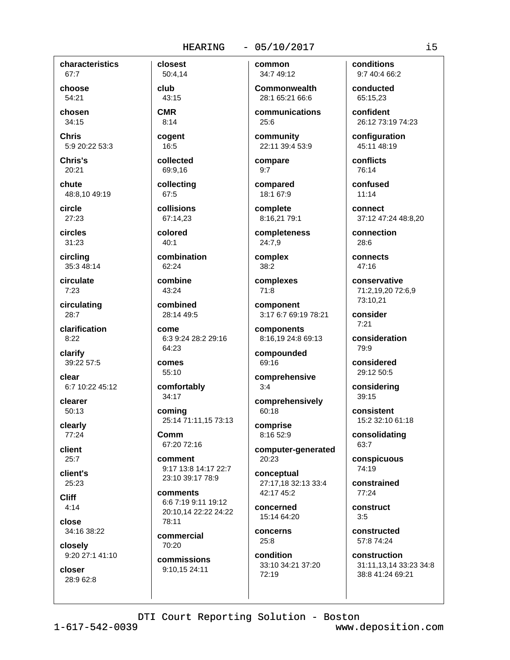characteristics 67:7

choose 54:21

chosen 34:15

**Chris** 5:9 20:22 53:3

Chris's 20:21

chute 48:8.10 49:19

circle  $27:23$ 

circles  $31:23$ 

circling 35:3 48:14

circulate  $7:23$ 

circulating 28:7

clarification  $8:22$ 

clarify 39:22 57:5

clear 6:7 10:22 45:12

clearer  $50:13$ 

clearly  $77:24$ 

client  $25:7$ 

client's 25:23

**Cliff**  $4:14$ 

close 34:16 38:22

closely 9:20 27:1 41:10

closer 28:9 62:8

50:4,14 club 43:15

closest

**CMR** 

 $8:14$ cogent

 $16:5$ collected

69:9,16 collecting

67:5

collisions 67:14.23

colored  $40.1$ 

combination 62:24

combine 43:24

combined 28:14 49:5

come 6:3 9:24 28:2 29:16 64:23

comes 55:10

comfortably 34:17

coming 25:14 71:11,15 73:13

Comm 67:20 72:16

comment 9:17 13:8 14:17 22:7 23:10 39:17 78:9

comments 6:6 7:19 9:11 19:12 20:10,14 22:22 24:22  $78.11$ 

commercial 70:20

commissions 9:10,15 24:11

common 34:7 49:12

**Commonwealth** 28:1 65:21 66:6

communications 25:6

community 22:11 39:4 53:9

compare  $9:7$ 

compared 18:1 67:9

complete 8:16,21 79:1

completeness 24:7,9

complex  $38:2$ 

complexes  $71:8$ 

component 3:17 6:7 69:19 78:21

components 8:16,19 24:8 69:13

compounded 69:16

comprehensive  $3:4$ comprehensively

60:18 comprise 8:16 52:9

computer-generated 20:23

conceptual 27:17,18 32:13 33:4 42:17 45:2

concerned 15:14 64:20

concerns  $25:8$ 

condition 33:10 34:21 37:20 72:19

conditions 9:7 40:4 66:2

conducted 65:15.23

confident 26:12 73:19 74:23

configuration 45:11 48:19

conflicts 76:14

confused  $11:14$ 

connect 37:12 47:24 48:8,20

connection  $28:6$ 

connects 47:16

conservative 71:2.19.20 72:6.9 73:10,21

consider  $7:21$ 

consideration 79:9

considered 29:12 50:5

considering  $39:15$ 

consistent 15:2 32:10 61:18

consolidating 63:7

conspicuous 74:19

constrained 77:24

construct  $3:5$ 

constructed 57:8 74:24

construction 31:11,13,14 33:23 34:8 38:8 41:24 69:21

DTI Court Reporting Solution - Boston

 $1 - 617 - 542 - 0039$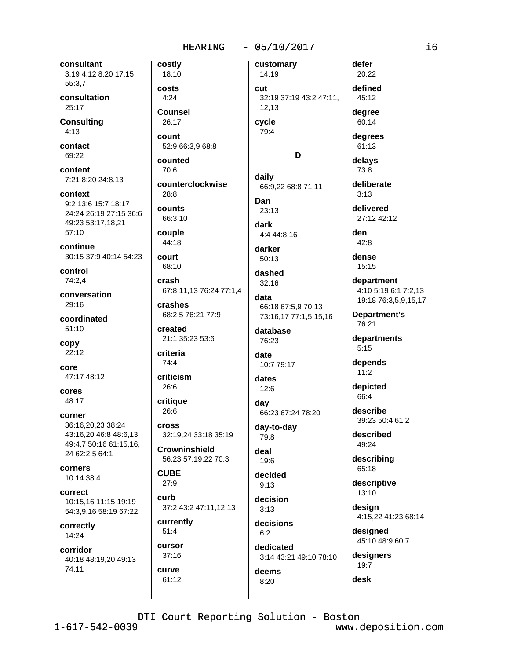$4:24$ 

70:6

 $28:8$ 

74:4

 $26:6$ 

26:6

 $27:9$ 

 $51:4$ 

cursor

 $37:16$ 

61:12

curve

curb

### $-05/10/2017$

consultant 3:19 4:12 8:20 17:15 55:3,7

consultation  $25:17$ 

**Consulting**  $4:13$ 

contact 69:22

content 7:21 8:20 24:8,13

context 9:2 13:6 15:7 18:17 24:24 26:19 27:15 36:6 49:23 53:17,18,21 57:10

continue 30:15 37:9 40:14 54:23

control 74:2,4

conversation 29:16

coordinated  $51:10$ 

copy  $22:12$ 

core 47:17 48:12

cores 48:17

corner 36:16.20.23 38:24 43:16,20 46:8 48:6,13 49:4,7 50:16 61:15,16, 24 62:2,5 64:1

corners 10:14 38:4

correct 10:15.16 11:15 19:19 54:3,9,16 58:19 67:22

correctly 14:24

corridor 40:18 48:19,20 49:13 74:11

costly customary 18:10 14:19 costs cut Counsel 26:17 count 52:9 66:3,9 68:8 counted daily counterclockwise Dan counts 66:3,10 dark couple 44:18 court 68:10 crash 67:8.11.13 76:24 77:1.4 data crashes 68:2,5 76:21 77:9 created 21:1 35:23 53:6 criteria date criticism critique dav **Cross** 32:19,24 33:18 35:19 **Crowninshield** deal 56:23 57:19,22 70:3 **CUBE** 37:2 43:2 47:11,12,13 currently

32:19 37:19 43:2 47:11. 12.13 cycle 79:4 D 66:9,22 68:8 71:11 23:13 4:4 44:8,16 darker  $50:13$ dashed  $32:16$ 66:18 67:5,9 70:13 73:16,17 77:1,5,15,16 database 76:23 10:7 79:17 dates  $12:6$ 66:23 67:24 78:20 day-to-day 79:8  $19:6$ decided  $9.13$ decision  $3:13$ decisions  $6:2$ 

dedicated 3:14 43:21 49:10 78:10 deems

20:22 defined 45:12 dearee 60:14 dearees

defer

61:13 delays

73:8 deliberate  $3:13$ 

delivered 27:12 42:12

den  $42:8$ 

dense 15:15

department 4:10 5:19 6:1 7:2.13 19:18 76:3,5,9,15,17

Department's 76:21

departments  $5:15$ 

depends  $11:2$ 

depicted 66:4

describe 39:23 50:4 61:2

described 49:24

describing 65:18

descriptive  $13:10$ 

design 4:15,22 41:23 68:14

designed 45:10 48:9 60:7

designers 19:7

desk

DTI Court Reporting Solution - Boston

 $8:20$ 

 $1 - 617 - 542 - 0039$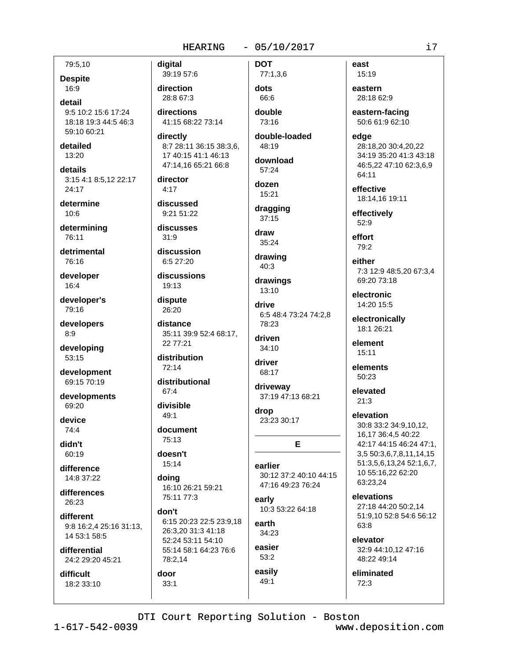79:5,10

**Despite** 16:9

detail 9:5 10:2 15:6 17:24 18:18 19:3 44:5 46:3 59:10 60:21

detailed  $13:20$ 

details 3:15 4:1 8:5,12 22:17 24:17

determine  $10:6$ 

determining 76:11

detrimental 76:16

developer  $16:4$ 

developer's 79:16

developers  $8:9$ 

developing 53:15

development 69:15 70:19

developments 69:20

device  $74.4$ 

didn't  $60:19$ 

difference 14:8 37:22

differences 26:23

different 9:8 16:2,4 25:16 31:13, 14 53:1 58:5

differential 24:2 29:20 45:21

difficult 18:2 33:10

39:19 57:6 direction 28:8 67:3 directions 41:15 68:22 73:14

directly 8:7 28:11 36:15 38:3,6, 17 40:15 41:1 46:13 47:14,16 65:21 66:8

director  $4:17$ 

digital

discussed 9:21 51:22

discusses  $31:9$ 

discussion 6:5 27:20

discussions 19:13

dispute 26:20

distance 35:11 39:9 52:4 68:17, 22 77:21

distribution  $72:14$ 

distributional  $67:4$ 

divisible 49:1

document 75:13

doesn't 15:14

 $33:1$ 

doing 16:10 26:21 59:21 75:11 77:3

don't 6:15 20:23 22:5 23:9,18 26:3.20 31:3 41:18 52:24 53:11 54:10 55:14 58:1 64:23 76:6 78:2,14 door

dots 66:6 double

77:1,3,6

**DOT** 

73:16

double-loaded 48:19

download 57:24 dozen

15:21 dragging  $37:15$ 

draw  $35:24$ 

drawing  $40:3$ 

drawings  $13:10$ 

drive 6:5 48:4 73:24 74:2,8 78:23

driven 34:10

driver 68:17

driveway 37:19 47:13 68:21

drop 23:23 30:17

earlier 30:12 37:2 40:10 44:15 47:16 49:23 76:24

E

early 10:3 53:22 64:18

earth  $34:23$ 

easier  $53:2$ easily

49:1

east 15:19

eastern 28:18 62:9

eastern-facing 50:6 61:9 62:10

edae 28:18,20 30:4,20,22 34:19 35:20 41:3 43:18 46:5,22 47:10 62:3,6,9 64:11

effective 18:14.16 19:11

effectively 52:9

effort 79:2

either 7:3 12:9 48:5,20 67:3,4 69:20 73:18

electronic 14:20 15:5

electronically  $18.126.21$ 

element  $15:11$ 

elements 50:23

elevated  $21:3$ 

elevation 30:8 33:2 34:9.10.12. 16,17 36:4,5 40:22 42:17 44:15 46:24 47:1, 3,5 50:3,6,7,8,11,14,15 51:3,5,6,13,24 52:1,6,7, 10 55:16,22 62:20 63:23.24

elevations

27:18 44:20 50:2.14 51:9,10 52:8 54:6 56:12 63:8

elevator 32:9 44:10,12 47:16 48:22 49:14

eliminated  $72:3$ 

DTI Court Reporting Solution - Boston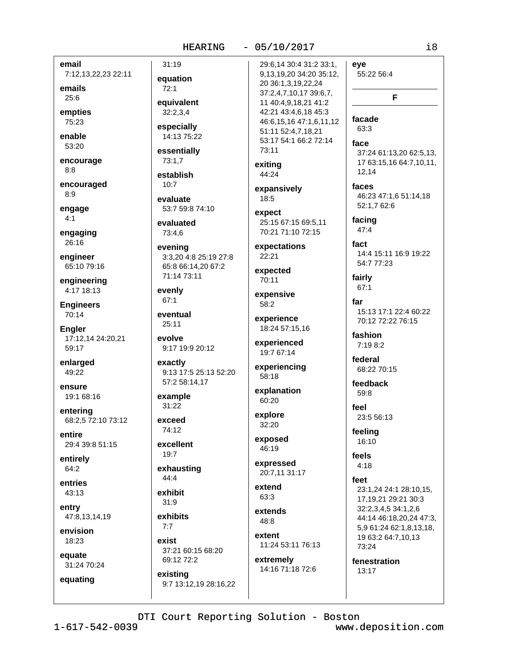email 7:12,13,22,23 22:11

emails

 $25:6$ empties

75:23 enable

53:20

encourage  $8:8$ 

encouraged  $8:9$ 

engage  $4:1$ 

engaging  $26:16$ 

engineer 65:10 79:16

engineering 4:17 18:13

**Engineers** 70:14

**Engler** 17:12,14 24:20,21 59:17

enlarged 49:22

ensure 19:1 68:16

entering 68:2.5 72:10 73:12

entire 29:4 39:8 51:15

entirely 64:2

entries 43:13

entry 47:8,13,14,19

envision 18:23

equate 31:24 70:24

equating

equation  $72:1$ equivalent  $32:2.3.4$ 

 $31:19$ 

especially 14:13 75:22

essentially 73:1,7

establish  $10:7$ 

evaluate 53:7 59:8 74:10

evaluated 73:4.6

evening 3:3,20 4:8 25:19 27:8 65:8 66:14,20 67:2 71:14 73:11

evenly 67:1

eventual  $25:11$ 

evolve 9:17 19:9 20:12

exactly 9:13 17:5 25:13 52:20 57:2 58:14,17

example 31:22

exceed  $74.12$ 

excellent 19:7

exhausting  $44:4$ 

exhibit  $31:9$ 

exhibits

 $7:7$ exist 37:21 60:15 68:20 69:12 72:2

existing 9:7 13:12,19 28:16,22 29:6,14 30:4 31:2 33:1, 9,13,19,20 34:20 35:12, 20 36:1,3,19,22,24 37:2.4.7.10.17 39:6.7. 11 40:4,9,18,21 41:2 42:21 43:4,6,18 45:3 46:6,15,16 47:1,6,11,12 51:11 52:4,7,18,21 53:17 54:1 66:2 72:14 73:11

exiting 44:24

expansively 18:5

expect 25:15 67:15 69:5.11 70.21 71.10 72.15

expectations  $22:21$ 

expected 70:11

expensive 58:2

experience 18:24 57:15,16

experienced 19:7 67:14

experiencing 58:18

explanation 60:20

explore 32:20

exposed 46:19

expressed 20:7,11 31:17

extend 63:3

extends 48:8

extent 11:24 53:11 76:13

extremely 14:16 71:18 72:6 eye 55:22 56:4

facade 63:3

face 37:24 61:13,20 62:5,13, 17 63:15,16 64:7,10,11, 12.14

F

faces 46:23 47:1.6 51:14.18 52:1,7 62:6

facing  $47:4$ 

fact 14:4 15:11 16:9 19:22 54:7 77:23

fairly  $67:1$ 

far 15:13 17:1 22:4 60:22 70:12 72:22 76:15

fashion 7:19 8:2

federal 68:22 70:15

feedback 59:8

feel 23:5 56:13

feeling 16:10

feels  $4:18$ 

### feet

23:1,24 24:1 28:10,15, 17,19,21 29:21 30:3 32:2,3,4,5 34:1,2,6 44:14 46:18,20,24 47:3, 5,9 61:24 62:1,8,13,18, 19 63:2 64:7,10,13 73:24

fenestration 13:17

DTI Court Reporting Solution - Boston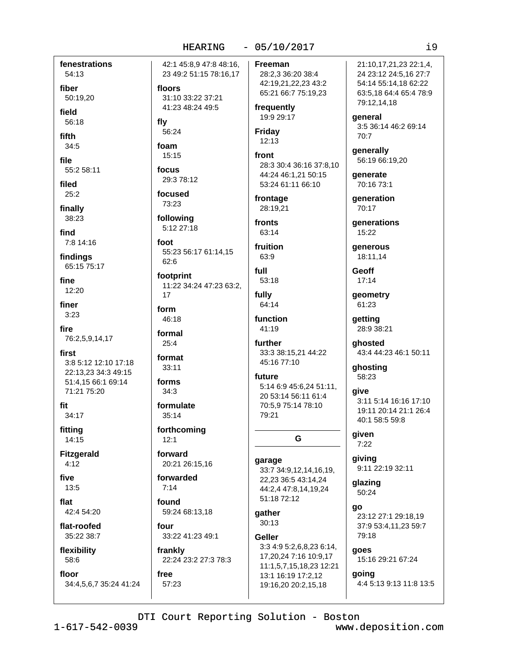fenestrations 54:13

fiber

50:19.20

field

56:18

fifth  $34:5$ 

file

55:2 58:11

filed  $25:2$ 

finally 38:23

find 7:8 14:16

findings 65:15 75:17

fine  $12:20$ 

finer  $3:23$ 

fire 76:2,5,9,14,17

first 3:8 5:12 12:10 17:18 22:13.23 34:3 49:15 51:4,15 66:1 69:14 71:21 75:20

fit 34:17

fitting 14:15

**Fitzgerald**  $4:12$ 

five 13:5

flat

42:4 54:20

flat-roofed 35:22 38:7

flexibility 58:6

floor

34:4,5,6,7 35:24 41:24

42:1 45:8.9 47:8 48:16. 23 49:2 51:15 78:16,17 floors 31:10 33:22 37:21

41:23 48:24 49:5

56:24

foam 15:15

fly

focus 29:3 78:12

focused 73:23

following 5:12 27:18

foot 55:23 56:17 61:14,15 62:6

footprint 11:22 34:24 47:23 63:2,  $17$ 

form 46:18

formal  $25:4$ 

format  $33:11$ 

forms

 $34:3$ 

formulate  $35:14$ 

forthcoming  $12:1$ 

forward 20:21 26:15,16

forwarded  $7:14$ 

found 59:24 68:13,18

57:23

four 33:22 41:23 49:1

frankly 22:24 23:2 27:3 78:3 free

Freeman 28:2,3 36:20 38:4 42:19,21,22,23 43:2

65:21 66:7 75:19,23 frequently 19:9 29:17

**Friday**  $12:13$ 

front 28:3 30:4 36:16 37:8,10 44:24 46:1,21 50:15 53:24 61:11 66:10

frontage 28:19,21

fronts  $63.14$ 

fruition 63:9

full 53:18

fully 64:14

function  $41.19$ 

further 33:3 38:15,21 44:22 45:16 77:10

future 5:14 6:9 45:6,24 51:11, 20 53:14 56:11 61:4 70:5.9 75:14 78:10 79:21

G

garage 33:7 34:9,12,14,16,19, 22,23 36:5 43:14,24 44:2,4 47:8,14,19,24 51:18 72:12

qather 30:13

**Geller** 

3:3 4:9 5:2,6,8,23 6:14, 17,20,24 7:16 10:9,17 11:1,5,7,15,18,23 12:21 13:1 16:19 17:2,12 19:16,20 20:2,15,18

21:10.17.21.23 22:1.4. 24 23:12 24:5,16 27:7 54:14 55:14,18 62:22 63:5.18 64:4 65:4 78:9 79:12,14,18

qeneral 3:5 36:14 46:2 69:14 70:7

generally 56:19 66:19,20

generate 70:16 73:1

qeneration 70:17

**generations** 15:22

generous 18:11,14

**Geoff**  $17:14$ 

geometry 61:23

getting 28:9 38:21

qhosted 43:4 44:23 46:1 50:11

ghosting 58:23

give 3:11 5:14 16:16 17:10 19:11 20:14 21:1 26:4 40:1 58:5 59:8

given  $7:22$ 

giving 9:11 22:19 32:11

glazing 50:24

go 23:12 27:1 29:18,19 37:9 53:4,11,23 59:7 79:18

qoes 15:16 29:21 67:24 going

4:4 5:13 9:13 11:8 13:5

DTI Court Reporting Solution - Boston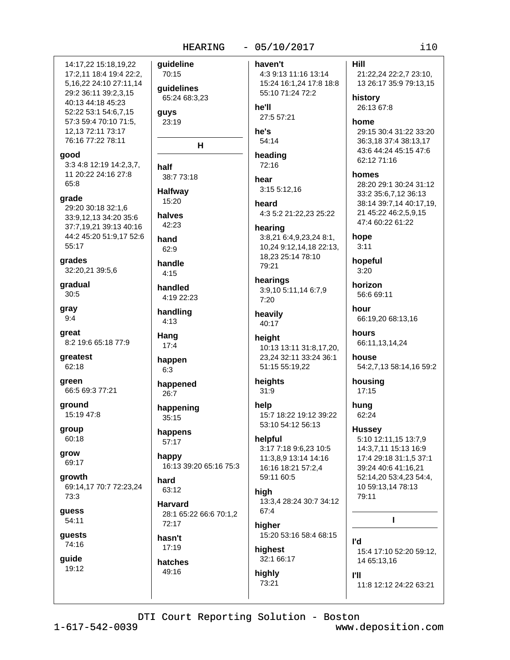### 14:17.22 15:18.19.22 17:2,11 18:4 19:4 22:2, 5, 16, 22 24: 10 27: 11, 14 29:2 36:11 39:2.3.15 40:13 44:18 45:23 52:22 53:1 54:6,7,15 57:3 59:4 70:10 71:5. 12, 13 72: 11 73: 17 76:16 77:22 78:11

### good

3:3 4:8 12:19 14:2,3,7, 11 20:22 24:16 27:8  $65.8$ 

grade 29:20 30:18 32:1,6 33:9.12.13 34:20 35:6 37:7.19.21 39:13 40:16 44:2 45:20 51:9,17 52:6 55:17

grades 32:20,21 39:5,6

gradual 30:5

qray  $9:4$ 

- great 8:2 19:6 65:18 77:9
- greatest 62:18
- green 66:5 69:3 77:21

ground 15:19 47:8

group 60:18

grow 69:17

growth 69:14,17 70:7 72:23,24 73:3

guess 54:11

quests

74:16

guide 19:12 **auideline** 70:15 quidelines 65:24 68:3.23 he'll quys 23:19 he's н 72:16 half 38:7 73:18 hear **Halfway** 15:20 heard halves 42:23 hand  $62:9$ handle  $4:15$ handled 4:19 22:23  $7:20$ handling  $4:13$ Hang height  $17:4$ happen  $6:3$ happened  $31:9$ 26:7 help happening 35:15 happens  $57:17$ happy 16:13 39:20 65:16 75:3 hard 63:12 high **Harvard**  $67:4$ 28:1 65:22 66:6 70:1,2 72:17

hasn't 17:19

hatches 49:16

# $-05/10/2017$

haven't 4:3 9:13 11:16 13:14 15:24 16:1,24 17:8 18:8 55:10 71:24 72:2

27:5 57:21

54:14

# heading

3:15 5:12,16

4:3 5:2 21:22,23 25:22

hearing 3:8,21 6:4,9,23,24 8:1, 10,24 9:12,14,18 22:13, 18,23 25:14 78:10 79:21

hearings 3:9,10 5:11,14 6:7,9

heavily 40:17

## 10:13 13:11 31:8.17.20. 23.24 32:11 33:24 36:1 51:15 55:19,22

## heights

15:7 18:22 19:12 39:22 53:10 54:12 56:13

### helpful

3:17 7:18 9:6,23 10:5 11:3.8.9 13:14 14:16 16:16 18:21 57:2,4 59:11 60:5

13:3,4 28:24 30:7 34:12

higher 15:20 53:16 58:4 68:15

## highest 32:1 66:17

highly 73:21

### **Hill**

21:22,24 22:2,7 23:10, 13 26:17 35:9 79:13,15

history 26:13 67:8

## home

29:15 30:4 31:22 33:20 36:3.18 37:4 38:13.17 43:6 44:24 45:15 47:6 62:12 71:16

homes

28:20 29:1 30:24 31:12 33:2 35:6,7,12 36:13 38:14 39:7,14 40:17,19, 21 45:22 46:2,5,9,15 47:4 60:22 61:22

hope  $3:11$ 

hopeful  $3:20$ 

horizon 56:6 69:11

hour 66:19,20 68:13,16

hours 66:11,13,14,24

house 54:2,7,13 58:14,16 59:2

housing  $17:15$ 

hung 62:24

l'd

**PH** 

### **Hussey** 5:10 12:11,15 13:7,9 14:3,7,11 15:13 16:9 17:4 29:18 31:1,5 37:1

39:24 40:6 41:16,21 52:14,20 53:4,23 54:4, 10 59:13,14 78:13 79:11

I.

15:4 17:10 52:20 59:12, 14 65:13,16

11:8 12:12 24:22 63:21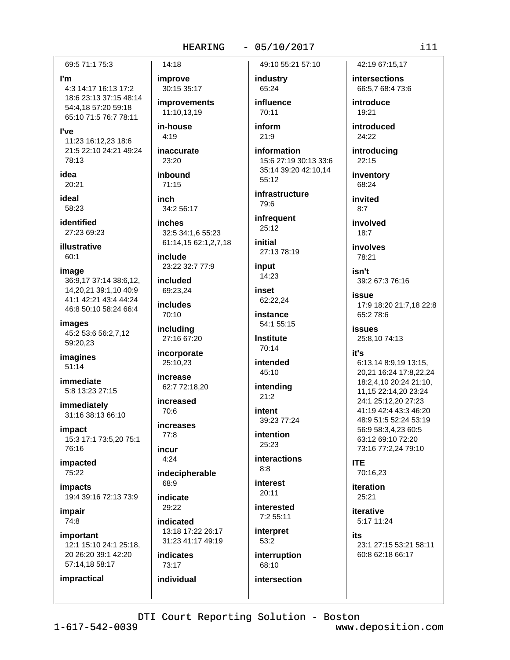### 69:5 71:1 75:3

### I'm

4:3 14:17 16:13 17:2 18:6 23:13 37:15 48:14 54:4,18 57:20 59:18 65:10 71:5 76:7 78:11

**l've** 

11:23 16:12.23 18:6 21:5 22:10 24:21 49:24 78:13

idea 20:21

ideal 58:23

identified 27:23 69:23

illustrative 60:1

image 36:9,17 37:14 38:6,12, 14,20,21 39:1,10 40:9 41:1 42:21 43:4 44:24 46:8 50:10 58:24 66:4

images 45:2 53:6 56:2,7,12 59:20,23

imagines  $51:14$ 

immediate 5:8 13:23 27:15

immediately 31:16 38:13 66:10

impact 15:3 17:1 73:5,20 75:1 76:16

impacted 75:22

*impacts* 19:4 39:16 72:13 73:9

impair 74:8

impractical

important 12:1 15:10 24:1 25:18, 20 26:20 39:1 42:20 57:14,18 58:17

improve 30:15 35:17

14:18

improvements 11:10.13.19

in-house  $4.19$ 

inaccurate 23:20

inbound  $71:15$ 

inch 34:2 56:17

*inches* 32:5 34:1,6 55:23 61:14,15 62:1,2,7,18

include 23:22 32:7 77:9

included 69:23.24

**includes** 70:10

including 27:16 67:20

incorporate 25:10,23

increase 62:7 72:18,20

increased 70:6

increases  $77:8$ 

incur  $4:24$ 

indecipherable 68:9

indicate 29:22

indicated 13:18 17:22 26:17 31:23 41:17 49:19

**indicates** 73:17

individual

49:10 55:21 57:10

industry 65:24

 $-05/10/2017$ 

influence  $70.11$ inform

 $21:9$ information

15:6 27:19 30:13 33:6 35:14 39:20 42:10,14 55:12

infrastructure 79:6

infrequent 25:12

initial 27:13 78:19

input 14:23

inset 62:22,24

instance 54:1 55:15

**Institute** 70:14

intended 45:10

intending  $21:2$ intent

39:23 77:24 intention

25:23 **interactions** 

 $8:8$ 

**interest**  $20:11$ 

interested  $7:255:11$ 

interpret 53:2

interruption 68:10

intersection

42:19 67:15.17

intersections 66:5,7 68:4 73:6

introduce  $19.21$ 

introduced 24:22

introducing  $22:15$ 

inventory 68:24

invited  $8.7$ 

involved  $18:7$ 

involves 78:21

isn't 39:2 67:3 76:16

issue 17:9 18:20 21:7,18 22:8 65:2 78:6

**issues** 25:8,10 74:13

### it's

6:13,14 8:9,19 13:15, 20,21 16:24 17:8,22,24 18:2,4,10 20:24 21:10, 11,15 22:14,20 23:24 24:1 25:12.20 27:23 41:19 42:4 43:3 46:20 48:9 51:5 52:24 53:19 56:9 58:3,4,23 60:5 63:12 69:10 72:20 73:16 77:2,24 79:10

**ITE** 

70:16,23 iteration

 $25:21$ iterative

5:17 11:24

its 23:1 27:15 53:21 58:11 60:8 62:18 66:17

DTI Court Reporting Solution - Boston

 $1 - 617 - 542 - 0039$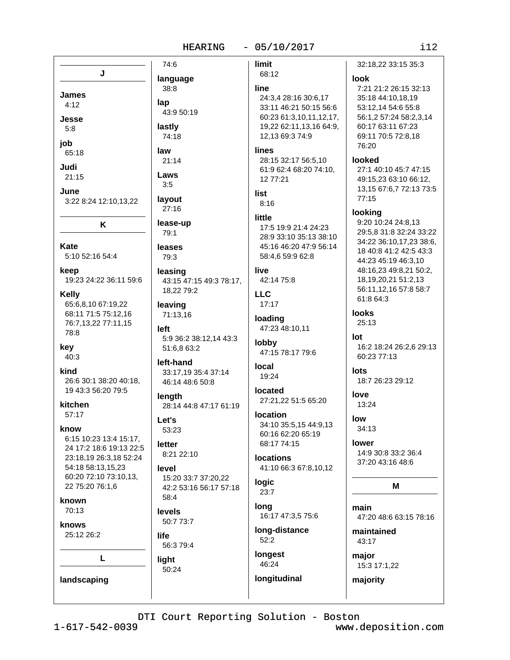| n e s |  |  |
|-------|--|--|
|       |  |  |

|                                                                                                                                                                                                                                                                                                                                                                               | 74:6                                                                                                                                                                                                                                                                                                                            | limit                                                                                                                                                                                                                                                                  |
|-------------------------------------------------------------------------------------------------------------------------------------------------------------------------------------------------------------------------------------------------------------------------------------------------------------------------------------------------------------------------------|---------------------------------------------------------------------------------------------------------------------------------------------------------------------------------------------------------------------------------------------------------------------------------------------------------------------------------|------------------------------------------------------------------------------------------------------------------------------------------------------------------------------------------------------------------------------------------------------------------------|
| J                                                                                                                                                                                                                                                                                                                                                                             | language                                                                                                                                                                                                                                                                                                                        | 68:12                                                                                                                                                                                                                                                                  |
| James<br>4:12<br>Jesse<br>5:8<br>job                                                                                                                                                                                                                                                                                                                                          | 38:8<br>lap<br>43:9 50:19<br>lastly<br>74:18                                                                                                                                                                                                                                                                                    | line<br>24:3,4 28:16<br>33:11 46:21<br>60:23 61:3,1<br>19,22 62:11,<br>12,13 69:37                                                                                                                                                                                     |
| 65:18<br>Judi<br>21:15<br>June<br>3:22 8:24 12:10,13,22<br>K                                                                                                                                                                                                                                                                                                                  | law<br>21:14<br>Laws<br>3:5<br>layout<br>27:16<br>lease-up<br>79:1                                                                                                                                                                                                                                                              | lines<br>28:15 32:17<br>61:9 62:4 68<br>12 77:21<br>list<br>8:16<br>little<br>17:5 19:9 21<br>28:9 33:10 3                                                                                                                                                             |
| Kate<br>5:10 52:16 54:4                                                                                                                                                                                                                                                                                                                                                       | leases<br>79:3                                                                                                                                                                                                                                                                                                                  | 45:16 46:20<br>58:4,6 59:9 6                                                                                                                                                                                                                                           |
| keep<br>19:23 24:22 36:11 59:6<br><b>Kelly</b><br>65:6,8,10 67:19,22<br>68:11 71:5 75:12,16<br>76:7,13,22 77:11,15<br>78:8<br>key<br>40:3<br>kind<br>26:6 30:1 38:20 40:18,<br>19 43:3 56:20 79:5<br>kitchen<br>57:17<br>know<br>6:15 10:23 13:4 15:17,<br>24 17:2 18:6 19:13 22:5<br>23:18,19 26:3,18 52:24<br>54:18 58:13,15,23<br>60:20 72:10 73:10,13,<br>22 75:20 76:1,6 | leasing<br>43:15 47:15 49:3 78:17,<br>18,22 79:2<br>leaving<br>71:13,16<br>left<br>5:9 36:2 38:12,14 43:3<br>51:6,8 63:2<br>left-hand<br>33:17,19 35:4 37:14<br>46:14 48:6 50:8<br>length<br>28:14 44:8 47:17 61:19<br>Let's<br>53:23<br>letter<br>8:21 22:10<br>level<br>15:20 33:7 37:20,22<br>42:2 53:16 56:17 57:18<br>58:4 | live<br>42:14 75:8<br><b>LLC</b><br>17:17<br>loading<br>47:23 48:10,<br>lobby<br>47:15 78:17<br><b>local</b><br>19:24<br>located<br>27:21,22 51:<br><b>location</b><br>34:10 35:5,1<br>60:16 62:20<br>68:17 74:15<br><b>locations</b><br>41:10 66:3 6<br>logic<br>23:7 |
| known<br>70:13                                                                                                                                                                                                                                                                                                                                                                | levels<br>50:7 73:7                                                                                                                                                                                                                                                                                                             | long<br>16:17 47:3,5                                                                                                                                                                                                                                                   |
| knows<br>25:12 26:2                                                                                                                                                                                                                                                                                                                                                           | life<br>56:3 79:4                                                                                                                                                                                                                                                                                                               | long-distand<br>52:2                                                                                                                                                                                                                                                   |
| L<br>landscaping                                                                                                                                                                                                                                                                                                                                                              | light<br>50:24                                                                                                                                                                                                                                                                                                                  | longest<br>46:24<br>longitudinal                                                                                                                                                                                                                                       |

32:18,22 33:15 35:3 look 7:21 21:2 26:15 32:13 30:6,17 35:18 44:10,18,19 50:15 56:6 53:12,14 54:6 55:8  $0, 11, 12, 17,$ 56:1,2 57:24 58:2,3,14 13,16 64:9, 60:17 63:11 67:23 4:9 69:11 70:5 72:8,18 76:20 56:5,10 looked :20 74:10, 27:1 40:10 45:7 47:15 49:15,23 63:10 66:12, 13,15 67:6,7 72:13 73:5 77:15 looking 9:20 10:24 24:8,13  $:424:23$ 29:5,8 31:8 32:24 33:22 5:13 38:10 34:22 36:10,17,23 38:6, 47:9 56:14 18 40:8 41:2 42:5 43:3  $32:8$ 44:23 45:19 46:3,10 48:16,23 49:8,21 50:2, 18, 19, 20, 21 51: 2, 13 56:11,12,16 57:8 58:7 61:8 64:3 looks 25:13  $11$ lot 16:2 18:24 26:2,6 29:13 79:6 60:23 77:13 lots 18:7 26:23 29:12 love 5 65:20 13:24 low 5 44:9,13 34:13 65:19 lower 14:9 30:8 33:2 36:4 37:20 43:16 48:6 7:8,10,12 M main 75:6 47:20 48:6 63:15 78:16  $ce$ maintained

43:17 major 15:3 17:1,22

majority

DTI Court Reporting Solution - Boston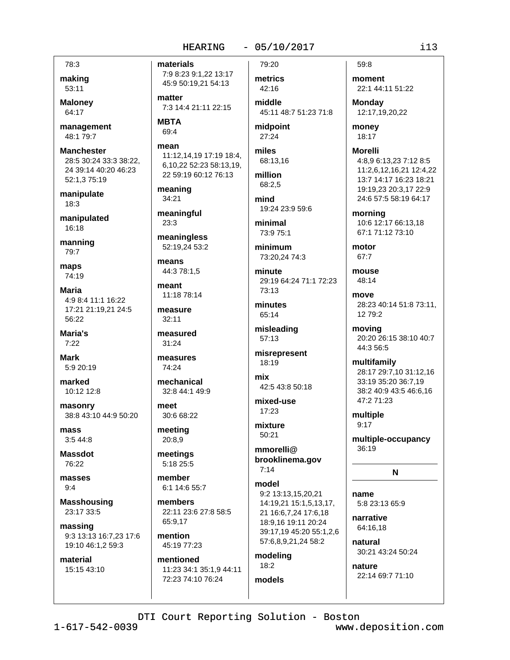### $-05/10/2017$

78:3 making 53:11

**Maloney** 64:17

management 48:1 79:7

**Manchester** 28:5 30:24 33:3 38:22, 24 39:14 40:20 46:23 52:1,3 75:19

manipulate  $18:3$ 

manipulated 16:18

manning 79:7

maps 74:19

**Maria** 4:9 8:4 11:1 16:22 17:21 21:19,21 24:5 56:22

Maria's  $7:22$ 

**Mark** 5:9 20:19

marked 10:12 12:8

masonry 38:8 43:10 44:9 50:20

mass  $3:544:8$ 

**Massdot** 76:22

masses  $9:4$ 

**Masshousing** 23:17 33:5

massing 9:3 13:13 16:7,23 17:6 19:10 46:1,2 59:3

material 15:15 43:10 materials 7:9 8:23 9:1,22 13:17 45:9 50:19,21 54:13

matter 7:3 14:4 21:11 22:15

**MBTA** 69:4

mean 11:12,14,19 17:19 18:4, 6,10,22 52:23 58:13,19, 22 59:19 60:12 76:13

meaning 34:21

meaningful  $23:3$ 

meaningless 52:19,24 53:2

means 44:3 78:1,5

meant 11:18 78:14

measure  $32:11$ 

measured 31:24

measures 74:24

mechanical 32:8 44:1 49:9

meet 30:6 68:22

meeting 20:8,9

meetings 5:18 25:5

member 6:1 14:6 55:7

members 22:11 23:6 27:8 58:5 65:9,17

mention 45:19 77:23

mentioned 11:23 34:1 35:1,9 44:11 72:23 74:10 76:24

79:20

metrics 42:16 middle

45:11 48:7 51:23 71:8

midpoint  $27:24$ 

miles 68:13.16

million 68:2.5

mind 19:24 23:9 59:6

minimal 73:9 75:1

minimum 73:20,24 74:3

minute 29:19 64:24 71:1 72:23 73:13

minutes 65:14

misleading 57:13

misrepresent 18:19

mix 42:5 43:8 50:18

mixed-use  $17:23$ 

mixture  $50.21$ 

mmorelli@ brooklinema.gov  $7:14$ 

model 9:2 13:13,15,20,21 14:19.21 15:1.5.13.17. 21 16:6,7,24 17:6,18 18:9,16 19:11 20:24 39:17,19 45:20 55:1,2,6 57:6,8,9,21,24 58:2

modeling  $18:2$ models

moment 22:1 44:11 51:22

**Monday** 12:17,19,20,22

money 18:17

**Morelli** 

4:8,9 6:13,23 7:12 8:5 11:2,6,12,16,21 12:4,22 13:7 14:17 16:23 18:21 19:19,23 20:3,17 22:9 24:6 57:5 58:19 64:17

morning 10:6 12:17 66:13.18 67:1 71:12 73:10

motor 67:7

mouse 48:14

move 28:23 40:14 51:8 73:11, 12 79:2

movina 20:20 26:15 38:10 40:7 44:3 56:5

multifamily 28:17 29:7,10 31:12,16 33:19 35:20 36:7,19 38:2 40:9 43:5 46:6.16 47:2 71:23

multiple  $9:17$ 

multiple-occupancy 36:19

 $\mathbf N$ 

name 5:8 23:13 65:9

narrative 64:16,18

nature

natural 30:21 43:24 50:24

22:14 69:7 71:10

DTI Court Reporting Solution - Boston

 $1 - 617 - 542 - 0039$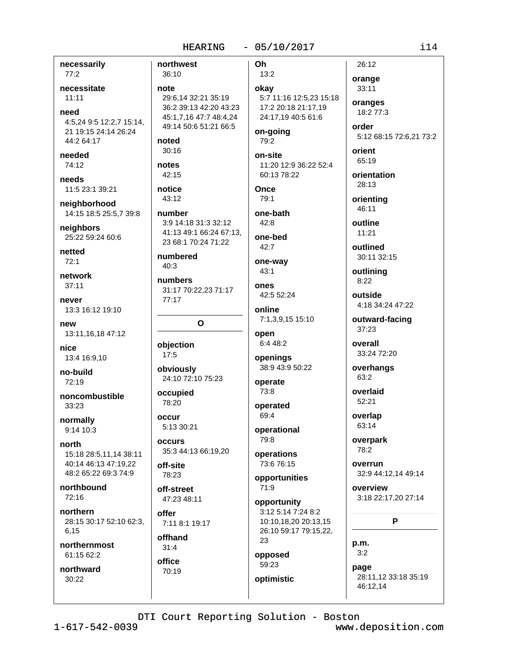necessarily  $77:2$ 

necessitate

 $11:11$ 

need 4:5,24 9:5 12:2,7 15:14, 21 19:15 24:14 26:24 44:2 64:17

needed 74:12

needs 11:5 23:1 39:21

neighborhood 14:15 18:5 25:5,7 39:8

neighbors 25:22 59:24 60:6

netted  $72:1$ 

network  $37:11$ 

never 13:3 16:12 19:10

new 13:11,16,18 47:12

nice 13:4 16:9,10

no-build  $72.19$ 

noncombustible 33:23

normally  $9:14$  10:3

north 15:18 28:5,11,14 38:11 40:14 46:13 47:19,22 48:2 65:22 69:3 74:9

northbound  $72:16$ 

northern 28:15 30:17 52:10 62:3, 6.15

northernmost 61:15 62:2

northward 30:22

northwest Oh 36:10 note okay 29:6.14 32:21 35:19 36:2 39:13 42:20 43:23 45:1,7,16 47:7 48:4,24 49:14 50:6 51:21 66:5 noted  $30:16$ notes 42:15 notice **Once** 43:12 number one-bath 3:9 14:18 31:3 32:12 41:13 49:1 66:24 67:13, one-bed 23 68:1 70:24 71:22 numbered  $40:3$  $43:1$ numbers ones 31:17 70:22,23 71:17  $77:17$  $\Omega$ open objection  $17:5$ openings obviously 24:10 72:10 75:23

occupied

5:13 30:21

35:3 44:13 66:19.20

78:20

OCCUP

**occurs** 

off-site

78:23

offer

offhand

 $31:4$ 

office

70:19

off-street

47:23 48:11

7:11 8:1 19:17

 $13:2$ 

5:7 11:16 12:5,23 15:18 17:2 20:18 21:17,19 24:17,19 40:5 61:6

on-going 79:2

on-site 11:20 12:9 36:22 52:4 60:13 78:22

79:1

 $42:8$ 

 $42:7$ 

one-way

42:5 52:24

online 7:1,3,9,15 15:10

6:4 48:2

38:9 43:9 50:22 operate

73:8 operated

69:4

operational 79:8

operations 73:6 76:15

opportunities 71:9

opportunity 3:12 5:14 7:24 8:2 10:10,18,20 20:13,15 26:10 59:17 79:15,22, 23

opposed 59:23 optimistic orange 33:11 oranges 18:2 77:3 order

5:12 68:15 72:6.21 73:2 orient

65:19 orientation 28:13

orienting 46:11

26:12

outline  $11:21$ 

outlined 30:11 32:15

outlining  $8:22$ 

outside 4:18 34:24 47:22

outward-facing 37:23

overall 33:24 72:20

overhangs 63:2

overlaid 52:21

overlap 63:14

> overpark 78:2

overrun 32:9 44:12,14 49:14

overview 3:18 22:17,20 27:14

P

p.m.  $3:2$ 

page 28:11,12 33:18 35:19 46:12,14

DTI Court Reporting Solution - Boston

 $1 - 617 - 542 - 0039$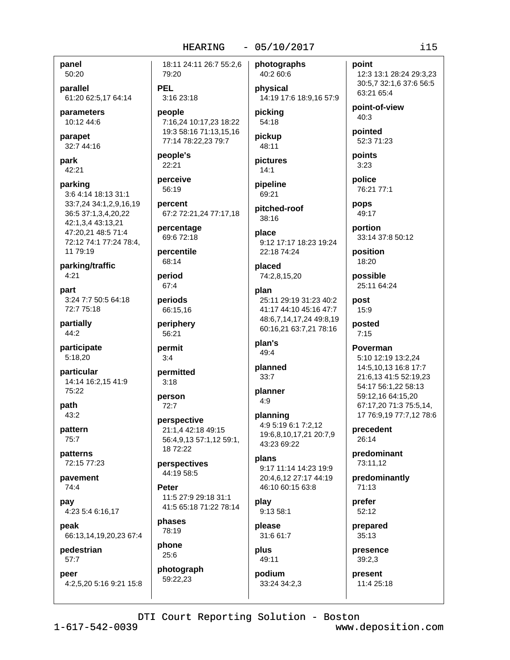panel 50:20

parallel 61:20 62:5,17 64:14

parameters 10:12 44:6

parapet 32:7 44:16

park 42:21

parking 3:6 4:14 18:13 31:1 33:7,24 34:1,2,9,16,19 36:5 37:1,3,4,20,22 42:1,3,4 43:13,21 47:20,21 48:5 71:4 72:12 74:1 77:24 78:4, 11 79:19

parking/traffic  $4:21$ 

part 3:24 7:7 50:5 64:18 72:7 75:18

partially 44:2

participate 5:18,20

particular 14:14 16:2,15 41:9 75:22

path  $43:2$ 

pattern 75:7

patterns 72:15 77:23

pavement 74:4

pav 4:23 5:4 6:16,17

peak 66:13,14,19,20,23 67:4

pedestrian 57:7

peer 4:2.5.20 5:16 9:21 15:8

18:11 24:11 26:7 55:2,6 79:20

**PEL** 3:16 23:18

people 7:16,24 10:17,23 18:22 19:3 58:16 71:13,15,16 77:14 78:22.23 79:7

people's 22:21

perceive 56:19

percent 67:2 72:21,24 77:17,18

percentage 69:6 72:18

percentile 68:14

period  $67.4$ 

periods 66:15,16

periphery 56:21

permit  $3:4$ 

permitted  $3:18$ 

person  $72:7$ 

perspective 21:1,4 42:18 49:15 56:4,9,13 57:1,12 59:1, 18 72:22

perspectives 44:19 58:5

**Peter** 11:5 27:9 29:18 31:1 41:5 65:18 71:22 78:14

phases 78:19

phone  $25:6$ 

photograph 59:22.23

photographs 40:2 60:6 physical

14:19 17:6 18:9,16 57:9 pickina

54:18 pickup

48:11

pictures  $14:1$ pipeline

69:21 pitched-roof  $38:16$ 

place

9:12 17:17 18:23 19:24 22:18 74:24

placed 74:2,8,15,20

plan 25:11 29:19 31:23 40:2 41:17 44:10 45:16 47:7 48:6,7,14,17,24 49:8,19 60:16,21 63:7,21 78:16

plan's 49:4

planned  $33:7$ 

planner  $4.9$ 

planning 4:9 5:19 6:1 7:2.12 19:6,8,10,17,21 20:7,9 43:23 69:22

plans 9:17 11:14 14:23 19:9 20:4.6.12 27:17 44:19 46:10 60:15 63:8

play 9:13 58:1

please 31:6 61:7

plus 49:11

podium 33:24 34:2.3 point 12:3 13:1 28:24 29:3,23 30:5,7 32:1,6 37:6 56:5 63:21 65:4

point-of-view  $40:3$ 

pointed 52:3 71:23

points  $3:23$ 

police 76:21 77:1 pops

49:17

portion 33:14 37:8 50:12

position 18:20

possible 25:11 64:24

post 15:9 posted  $7:15$ 

Poverman

5:10 12:19 13:2,24 14:5,10,13 16:8 17:7 21:6,13 41:5 52:19,23 54:17 56:1,22 58:13 59:12.16 64:15.20 67:17,20 71:3 75:5,14, 17 76:9,19 77:7,12 78:6

precedent 26:14

> predominant 73:11,12

predominantly  $71:13$ 

prefer 52:12

prepared 35:13

presence  $39:2,3$ 

present

11:4 25:18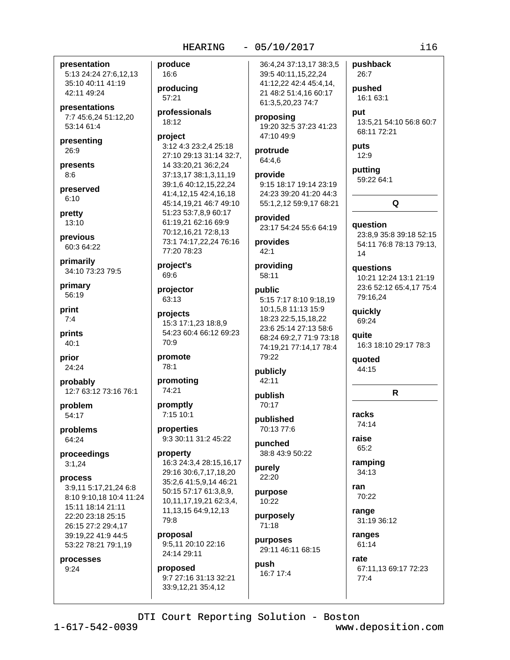presentation 5:13 24:24 27:6,12,13 35:10 40:11 41:19 42:11 49:24

presentations 7:7 45:6,24 51:12,20 53:14 61:4

presenting 26:9

presents  $8:6$ 

preserved  $6:10$ 

pretty  $13:10$ 

previous 60:3 64:22

primarily 34:10 73:23 79:5

primary 56:19

print  $7:4$ 

prints  $40:1$ 

prior 24:24

probably 12:7 63:12 73:16 76:1

problem 54:17

problems 64:24

proceedings  $3:1,24$ 

### process

3:9.11 5:17.21.24 6:8 8:10 9:10.18 10:4 11:24 15:11 18:14 21:11 22:20 23:18 25:15 26:15 27:2 29:4.17 39:19,22 41:9 44:5 53:22 78:21 79:1,19

processes

 $9:24$ 

### produce 16:6

producing 57:21

professionals 18:12

### project

3:12 4:3 23:2,4 25:18 27:10 29:13 31:14 32:7, 14 33:20,21 36:2,24 37:13,17 38:1,3,11,19 39:1,6 40:12,15,22,24 41:4,12,15 42:4,16,18 45:14,19,21 46:7 49:10 51:23 53:7,8,9 60:17 61:19.21 62:16 69:9 70:12,16,21 72:8,13 73:1 74:17,22,24 76:16 77:20 78:23

project's 69:6

projector 63:13

projects 15:3 17:1,23 18:8,9 54:23 60:4 66:12 69:23 70:9

promote 78:1

74:21

promoting

promptly 7:15 10:1

properties 9:3 30:11 31:2 45:22

property 16:3 24:3,4 28:15,16,17 29:16 30:6,7,17,18,20 35:2,6 41:5,9,14 46:21 50:15 57:17 61:3,8,9, 10,11,17,19,21 62:3,4, 11, 13, 15 64: 9, 12, 13 79:8

proposal 9:5.11 20:10 22:16 24:14 29:11

proposed 9:7 27:16 31:13 32:21 33:9,12,21 35:4,12

36:4,24 37:13,17 38:3,5 39:5 40:11,15,22,24 41:12,22 42:4 45:4,14, 21 48:2 51:4,16 60:17 61:3,5,20,23 74:7

proposing 19:20 32:5 37:23 41:23 47:10 49:9

### protrude 64:4,6

provide 9:15 18:17 19:14 23:19 24:23 39:20 41:20 44:3 55:1,2,12 59:9,17 68:21

provided 23:17 54:24 55:6 64:19

provides  $42:1$ 

providing 58:11

## public

5:15 7:17 8:10 9:18.19 10:1,5,8 11:13 15:9 18:23 22:5,15,18,22 23:6 25:14 27:13 58:6 68:24 69:2,7 71:9 73:18 74:19,21 77:14,17 78:4 79:22

publicly 42:11

publish 70:17

published 70:13 77:6

punched 38:8 43:9 50:22

purely 22:20

purpose 10:22 purposely

71:18 purposes

29:11 46:11 68:15 push 16:7 17:4

26:7 pushed 16:1 63:1 put 13:5,21 54:10 56:8 60:7 68:11 72:21 puts 12:9

putting 59:22 64:1

pushback

Q question 23:8,9 35:8 39:18 52:15 54:11 76:8 78:13 79:13,

questions

10:21 12:24 13:1 21:19 23:6 52:12 65:4,17 75:4 79:16,24

quickly

 $14$ 

69:24

quite 16:3 18:10 29:17 78:3

quoted 44:15

## R

racks 74:14 raise

65:2

ramping 34:13

ran 70:22

range 31:19 36:12

ranges 61:14

rate 67:11,13 69:17 72:23  $77:4$ 

DTI Court Reporting Solution - Boston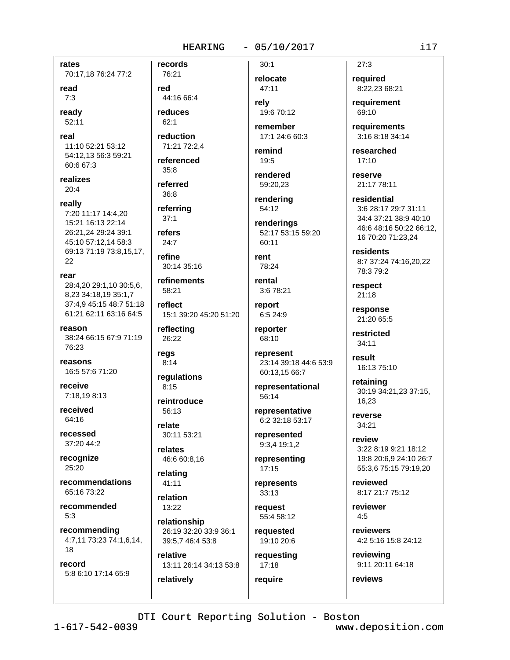rates 70:17,18 76:24 77:2

read

 $7:3$ 

readv 52:11

real 11:10 52:21 53:12 54:12,13 56:3 59:21 60:6 67:3

realizes  $20:4$ 

really

7:20 11:17 14:4.20 15:21 16:13 22:14 26:21,24 29:24 39:1 45:10 57:12,14 58:3 69:13 71:19 73:8,15,17, 22

rear

28:4,20 29:1,10 30:5,6, 8.23 34:18.19 35:1.7 37:4.9 45:15 48:7 51:18 61:21 62:11 63:16 64:5

reason 38:24 66:15 67:9 71:19 76:23

reasons 16:5 57:6 71:20

receive 7:18,19 8:13

received 64:16

recessed 37:20 44:2

recognize 25:20

recommendations 65:16 73:22

recommended  $5:3$ 

recommending 4:7,11 73:23 74:1,6,14, 18

record 5:8 6:10 17:14 65:9

76:21 red 44:16 66:4 reduces

records

 $62:1$ 

reduction 71:21 72:2.4 referenced

 $35:8$ referred  $36:8$ 

referring  $37:1$ 

refers  $24:7$ 

refine 30:14 35:16

refinements 58:21

reflect 15:1 39:20 45:20 51:20

reflecting 26:22

regs  $8:14$ 

 $8:15$ 

regulations

reintroduce 56:13

relate 30:11 53:21

relates 46:6 60:8,16

relating  $41:11$ 

relation 13:22

relatively

relationship 26:19 32:20 33:9 36:1 39:5,7 46:4 53:8

relative 13:11 26:14 34:13 53:8 relocate 47:11

 $30.1$ 

rely 19:6 70:12

remember 17:1 24:6 60:3

remind 19:5

rendered 59:20.23

rendering 54:12

renderings 52:17 53:15 59:20 60:11

rent 78:24

rental 3:6 78:21

report 6:5 24:9

reporter 68:10

> represent 23:14 39:18 44:6 53:9 60:13.15 66:7

representational 56:14

representative 6:2 32:18 53:17

represented 9:3,4 19:1,2

representing  $17:15$ 

represents  $33:13$ 

request 55:4 58:12

requested 19:10 20:6

requesting  $17:18$ 

require

 $27:3$ 

required 8:22,23 68:21

requirement 69:10

requirements 3:16 8:18 34:14

researched  $17:10$ 

reserve 21:17 78:11

residential 3:6 28:17 29:7 31:11 34:4 37:21 38:9 40:10 46:6 48:16 50:22 66:12, 16 70:20 71:23,24

residents 8:7 37:24 74:16,20,22 78:3 79:2

respect  $21:18$ 

response 21:20 65:5

restricted 34:11

result 16:13 75:10

retaining 30:19 34:21,23 37:15, 16.23

reverse 34:21

> review 3:22 8:19 9:21 18:12 19:8 20:6,9 24:10 26:7 55:3,6 75:15 79:19,20

reviewed 8:17 21:7 75:12

reviewer  $4:5$ 

reviewers 4:2 5:16 15:8 24:12

reviewing 9:11 20:11 64:18

reviews

DTI Court Reporting Solution - Boston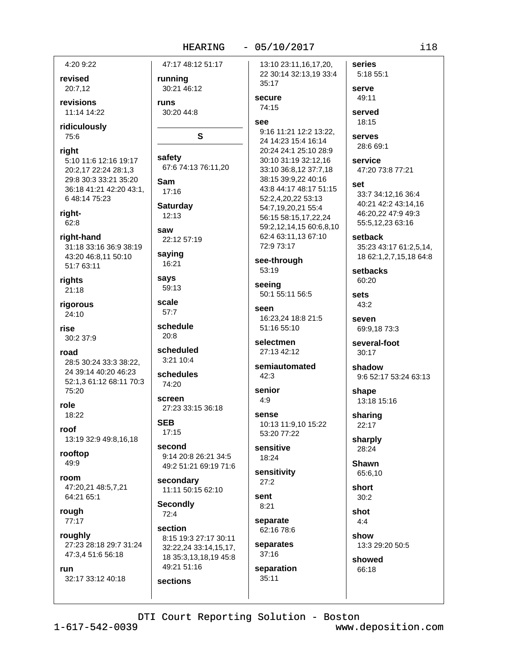47:17 48:12 51:17

### $-05/10/2017$

4:20 9:22

revised 20:7,12

revisions 11:14 14:22

ridiculously 75:6

### right

5:10 11:6 12:16 19:17 20:2,17 22:24 28:1,3 29:8 30:3 33:21 35:20 36:18 41:21 42:20 43:1, 6 48:14 75:23

right-62:8

right-hand 31:18 33:16 36:9 38:19 43:20 46:8,11 50:10 51:7 63:11

rights 21:18

rigorous 24:10

rise 30:2 37:9

road 28:5 30:24 33:3 38:22, 24 39:14 40:20 46:23 52:1,3 61:12 68:11 70:3 75:20

role 18:22

roof 13:19 32:9 49:8,16,18

rooftop 49:9

room 47:20.21 48:5.7.21 64:21 65:1

rough 77:17

roughly 27:23 28:18 29:7 31:24 47:3,4 51:6 56:18

## run

32:17 33:12 40:18

running 30:21 46:12 runs 30:20 44:8 S safety 67:6 74:13 76:11,20 Sam  $17:16$ **Saturday**  $12:13$ saw 22:12 57:19 saying 16:21 says 59:13

scale  $57:7$ schedule

 $20:8$ 

scheduled  $3.21104$ 

schedules 74:20

screen 27:23 33:15 36:18

**SEB**  $17:15$ 

second 9:14 20:8 26:21 34:5 49:2 51:21 69:19 71:6

secondary 11:11 50:15 62:10

**Secondly**  $72:4$ 

sections

section 8:15 19:3 27:17 30:11 32:22,24 33:14,15,17, 18 35:3,13,18,19 45:8 49:21 51:16

13:10 23:11,16,17,20, 22 30:14 32:13,19 33:4 35:17

### secure 74:15

See

9:16 11:21 12:2 13:22. 24 14:23 15:4 16:14 20:24 24:1 25:10 28:9 30:10 31:19 32:12,16 33:10 36:8,12 37:7,18 38:15 39:9,22 40:16 43:8 44:17 48:17 51:15 52:2,4,20,22 53:13 54:7.19.20.21 55:4 56:15 58:15,17,22,24 59:2.12.14.15 60:6.8.10 62:4 63:11,13 67:10 72:9 73:17

see-through 53:19

seeing 50:1 55:11 56:5

seen 16:23,24 18:8 21:5 51:16 55:10

selectmen 27:13 42:12

semiautomated  $42:3$ 

senior  $4.9$ 

### sense 10:13 11:9.10 15:22 53:20 77:22

sensitive 18:24

sensitivity  $27:2$ 

sent  $8:21$ separate 62:16 78:6

separates

37:16 separation  $35:11$ 

serve 49:11 served 18:15

5:18 55:1

series

serves 28:6 69:1

service 47:20 73:8 77:21

set

33:7 34:12.16 36:4 40:21 42:2 43:14,16 46:20,22 47:9 49:3 55:5,12,23 63:16

setback 35:23 43:17 61:2,5,14, 18 62:1, 2, 7, 15, 18 64: 8

setbacks 60:20

sets  $43:2$ 

> seven 69:9.18 73:3

several-foot  $30:17$ 

shadow 9:6 52:17 53:24 63:13

shape 13:18 15:16

sharing  $22:17$ 

sharply 28:24

**Shawn** 65:6,10

short

 $4:4$ 

 $30:2$ shot

show 13:3 29:20 50:5

showed 66:18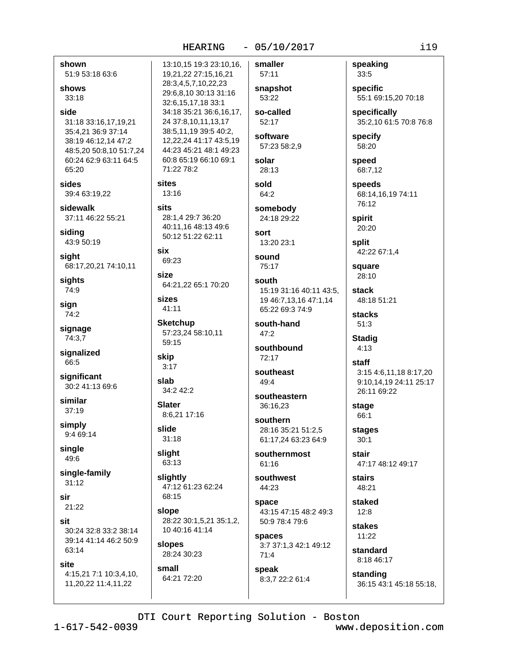shown 51:9 53:18 63:6 shows  $33:18$ 31:18 33:16,17,19,21 35:4.21 36:9 37:14 38:19 46:12.14 47:2 48:5,20 50:8,10 51:7,24 60:24 62:9 63:11 64:5 65:20 sides 39:4 63:19,22 sits sidewalk 37:11 46:22 55:21 siding 43:9 50:19 six sight 68:17,20,21 74:10,11 size sights 74:9 sizes sign 74:2 signage 74:3,7 signalized skip 66:5  $3:17$ significant 30:2 41:13 69:6 34:2 42:2 similar  $37:19$ 8:6,21 17:16 simply 9:4 69:14 single 49:6 single-family  $31:12$  $21.22$ 30:24 32:8 33:2 38:14 39:14 41:14 46:2 50:9 63:14 4:15,21 7:1 10:3,4,10, 11,20,22 11:4,11,22

side

13:10,15 19:3 23:10,16, 19,21,22 27:15,16,21 28:3,4,5,7,10,22,23 29:6.8.10 30:13 31:16 32:6,15,17,18 33:1 34:18 35:21 36:6,16,17, 24 37:8.10.11.13.17 38:5,11,19 39:5 40:2, 12,22,24 41:17 43:5,19 44:23 45:21 48:1 49:23 60:8 65:19 66:10 69:1 71:22 78:2 sites 13:16

28:1.4 29:7 36:20 40:11.16 48:13 49:6 50:12 51:22 62:11

69:23

64:21,22 65:1 70:20

 $41:11$ 

**Sketchup** 57:23,24 58:10,11 59:15

slab

**Slater** 

slide  $31.18$ 

slight 63:13

slightly 47:12 61:23 62:24 68:15

slope 28:22 30:1,5,21 35:1,2, 10 40:16 41:14

slopes 28:24 30:23

small 64:21 72:20

57:11 snapshot 53:22

smaller

so-called 52:17

software 57:23 58:2.9

solar 28:13

sold 64:2

somebody 24:18 29:22

sort 13:20 23:1

sound 75:17

south 15:19 31:16 40:11 43:5. 19 46:7,13,16 47:1,14 65:22 69:3 74:9

south-hand  $47:2$ 

southbound 72:17

southeast  $49.4$ 

southeastern 36:16,23

southern 28:16 35:21 51:2,5 61:17,24 63:23 64:9

southernmost  $61:16$ 

southwest 44:23

space 43:15 47:15 48:2 49:3 50:9 78:4 79:6

spaces 3:7 37:1,3 42:1 49:12  $71:4$ 

speak 8:3.7 22:2 61:4 speaking 33:5

specific 55:1 69:15,20 70:18

specifically 35:2,10 61:5 70:8 76:8

specify 58:20

speed 68:7,12

speeds 68:14.16.19 74:11 76:12

spirit 20:20

split 42:22 67:1.4

square 28:10

stack 48:18 51:21

stacks  $51:3$ 

**Stadig**  $4:13$ 

staff 3:15 4:6.11.18 8:17.20 9:10.14.19 24:11 25:17 26:11 69:22

stage 66:1

stages  $30:1$ 

stair 47:17 48:12 49:17

stairs 48:21

staked  $12:8$ 

stakes 11:22 standard

8:18 46:17

standing 36:15 43:1 45:18 55:18,

DTI Court Reporting Solution - Boston

sir

sit

site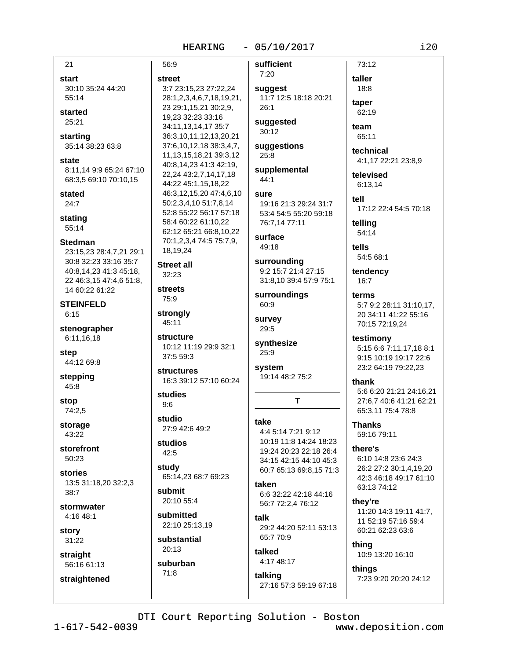## 56:9

 $21$ 

start

55:14

started

25:21

starting

state

stated

 $24:7$ 

stating

55:14

**Stedman** 

30:10 35:24 44:20

35:14 38:23 63:8

8:11,14 9:9 65:24 67:10

23:15,23 28:4,7,21 29:1

30:8 32:23 33:16 35:7

40:8.14.23 41:3 45:18.

22 46:3,15 47:4,6 51:8,

14 60:22 61:22

**STEINFELD** 

stenographer

6:11,16,18

44:12 69:8

stepping

45:8

74:2,5

storage

43:22

 $50:23$ 

stories

 $38:7$ 

story

31:22

straight

56:16 61:13

straightened

stormwater

4:16 48:1

storefront

13:5 31:18,20 32:2,3

stop

 $6:15$ 

step

68:3,5 69:10 70:10,15

street 3:7 23:15,23 27:22,24 28:1,2,3,4,6,7,18,19,21, 23 29:1,15,21 30:2,9, 19,23 32:23 33:16 34:11,13,14,17 35:7 36:3,10,11,12,13,20,21 37:6,10,12,18 38:3,4,7, 11, 13, 15, 18, 21 39: 3, 12 40:8,14,23 41:3 42:19, 22,24 43:2,7,14,17,18 44:22 45:1,15,18,22 46:3,12,15,20 47:4,6,10 50:2,3,4,10 51:7,8,14 52:8 55:22 56:17 57:18 58:4 60:22 61:10,22 62:12 65:21 66:8,10,22 70:1,2,3,4 74:5 75:7,9, 18,19,24

**Street all** 32:23

**streets** 75:9

strongly 45:11

structure 10:12 11:19 29:9 32:1 37:5 59:3

structures 16:3 39:12 57:10 60:24

studies  $9:6$ 

studio 27:9 42:6 49:2

studios 42:5

study 65:14.23 68:7 69:23

submit 20:10 55:4

submitted 22:10 25:13,19

substantial  $20:13$ 

suburban  $71:8$ 

sufficient  $7:20$ 

suggest 11:7 12:5 18:18 20:21  $26.1$ 

suggested  $30:12$ 

suggestions  $25:8$ 

supplemental 44:1

### sure 19:16 21:3 29:24 31:7 53:4 54:5 55:20 59:18 76:7.14 77:11

surface 49:18

surrounding 9:2 15:7 21:4 27:15 31:8,10 39:4 57:9 75:1

surroundings 60:9

survey  $29:5$ 

synthesize  $25:9$ 

system 19:14 48:2 75:2

### take

4:4 5:14 7:21 9:12 10:19 11:8 14:24 18:23 19:24 20:23 22:18 26:4 34:15 42:15 44:10 45:3 60:7 65:13 69:8,15 71:3

T

taken 6:6 32:22 42:18 44:16 56:7 72:2,4 76:12 talk

29:2 44:20 52:11 53:13 65:7 70:9

### talked 4:17 48:17

talking 27:16 57:3 59:19 67:18

taper 62:19

73:12

taller

18:8

team 65:11

technical 4:1,17 22:21 23:8,9

televised 6:13.14

tell 17:12 22:4 54:5 70:18

telling 54:14

tells 54:5 68:1

tendency  $16:7$ 

terms 5:7 9:2 28:11 31:10,17, 20 34:11 41:22 55:16 70:15 72:19,24

testimony

5:15 6:6 7:11,17,18 8:1 9:15 10:19 19:17 22:6 23:2 64:19 79:22,23

thank

5:6 6:20 21:21 24:16,21 27:6,7 40:6 41:21 62:21 65:3,11 75:4 78:8

**Thanks** 59:16 79:11

there's 6:10 14:8 23:6 24:3 26:2 27:2 30:1,4,19,20 42:3 46:18 49:17 61:10

thev're

63:13 74:12

11:20 14:3 19:11 41:7, 11 52:19 57:16 59:4 60:21 62:23 63:6

thing 10:9 13:20 16:10

things 7:23 9:20 20:20 24:12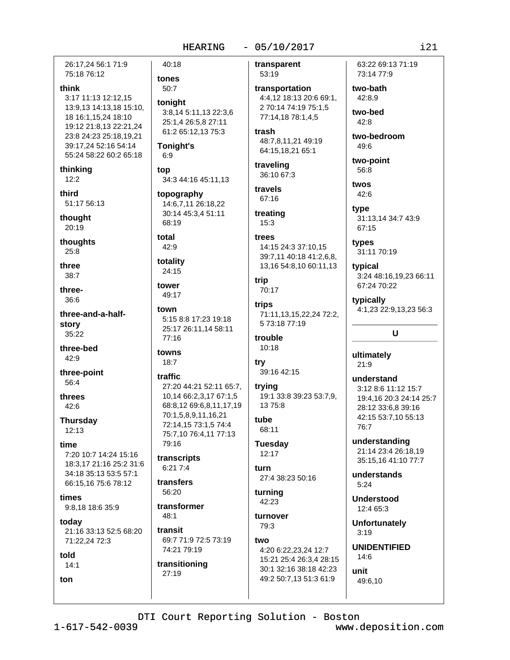26:17.24 56:1 71:9 75:18 76:12

### think

3:17 11:13 12:12.15 13:9,13 14:13,18 15:10, 18 16:1,15,24 18:10 19:12 21:8,13 22:21,24 23:8 24:23 25:18,19,21 39:17,24 52:16 54:14 55:24 58:22 60:2 65:18

thinkina  $12:2$ 

third 51:17 56:13

thought 20:19

thoughts  $25:8$ 

three

 $38:7$ 

three-36:6

three-and-a-halfstory 35:22

three-hed 42:9

three-point 56:4

threes 42:6

**Thursday**  $12:13$ 

time

7:20 10:7 14:24 15:16 18:3,17 21:16 25:2 31:6 34:18 35:13 53:5 57:1 66:15.16 75:6 78:12

times 9:8,18 18:6 35:9

todav 21:16 33:13 52:5 68:20 71:22,24 72:3

### told

 $14:1$ ton

40:18 tones 50:7 tonight 3:8,14 5:11,13 22:3,6 25:1,4 26:5,8 27:11 61:2 65:12,13 75:3 **Tonight's**  $6:9$ top 34:3 44:16 45:11,13 topography 14:6,7,11 26:18,22 30:14 45:3,4 51:11 68:19 total  $42:9$ totality 24:15 tower 49:17 town 5:15 8:8 17:23 19:18 25:17 26:11,14 58:11 77:16 towns  $18:7$ traffic

27:20 44:21 52:11 65:7, 10.14 66:2.3.17 67:1.5 68:8,12 69:6,8,11,17,19 70:1,5,8,9,11,16,21 72:14,15 73:1,5 74:4 75:7,10 76:4,11 77:13 79:16

transcripts  $6:217:4$ 

transfers 56:20

transformer  $48:1$ 

transit 69:7 71:9 72:5 73:19 74:21 79:19

transitioning 27:19

transparent 53:19

transportation 4:4,12 18:13 20:6 69:1, 2 70:14 74:19 75:1.5 77:14,18 78:1,4,5

trash 48:7.8.11.21 49:19 64:15,18,21 65:1

traveling 36:10 67:3

travels 67:16

treating  $15:3$ 

### trees 14:15 24:3 37:10.15 39:7,11 40:18 41:2,6,8, 13,16 54:8,10 60:11,13

trip 70:17

trips 71:11,13,15,22,24 72:2, 5 73:18 77:19

trouble  $10:18$ 

try 39:16 42:15

trying 19:1 33:8 39:23 53:7.9. 13 75:8

tube 68:11

**Tuesday**  $12:17$ 

furn 27:4 38:23 50:16

turning 42:23

turnover 79:3

two 4:20 6:22,23,24 12:7 15:21 25:4 26:3,4 28:15 30:1 32:16 38:18 42:23 49:2 50:7,13 51:3 61:9

63:22 69:13 71:19 73:14 77:9

two-bath 42:8.9

two-bed  $42:8$ 

two-bedroom  $49:6$ 

two-point 56:8

twos  $42:6$ type

31:13,14 34:7 43:9 67:15

types 31:11 70:19

typical 3:24 48:16,19,23 66:11 67:24 70:22

typically 4:1,23 22:9,13,23 56:3

### $\mathbf{U}$

ultimately  $21:9$ 

understand 3:12 8:6 11:12 15:7 19:4,16 20:3 24:14 25:7 28:12 33:6.8 39:16 42:15 53:7,10 55:13 76:7

understanding 21:14 23:4 26:18.19 35:15.16 41:10 77:7

understands  $5:24$ 

**Understood** 12:4 65:3

**Unfortunately**  $3:19$ 

**UNIDENTIFIED** 

 $14:6$ unit

49:6,10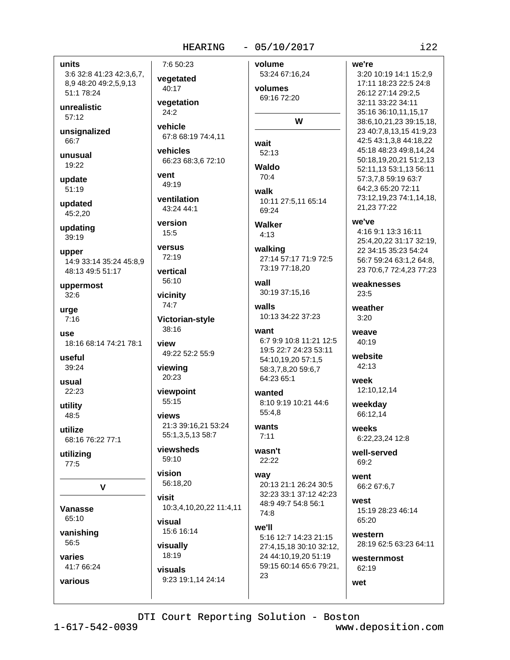### $-05/10/2017$

volume

### units

3:6 32:8 41:23 42:3,6,7, 8,9 48:20 49:2,5,9,13 51:1 78:24

unrealistic  $57:12$ 

unsignalized 66:7

unusual 19:22

update 51:19

updated 45:2,20

updating

39:19

upper 14:9 33:14 35:24 45:8,9 48:13 49:5 51:17

uppermost  $32:6$ 

urge  $7:16$ 

1190 18:16 68:14 74:21 78:1

useful 39:24

usual 22:23

utility

48:5 utilize

68:16 76:22 77:1

utilizing  $77:5$ 

 $\overline{\mathsf{v}}$ 

Vanasse 65:10

vanishing

56:5

varies 41:7 66:24

various

 $24:2$ vehicle 67:8 68:19 74:4.11

vegetation

7:6 50:23

vegetated

40:17

vehicles 66:23 68:3,6 72:10

vent 49:19

ventilation 43:24 44:1

version  $15:5$ 

versus 72:19

vertical

56:10 vicinity

74:7

Victorian-style 38:16

view 49:22 52:2 55:9

viewing 20:23

viewpoint 55:15

views 21:3 39:16,21 53:24 55:1,3,5,13 58:7

viewsheds 59:10

vision 56:18.20

visit 10:3,4,10,20,22 11:4,11

visual 15:6 16:14

visually 18:19 visuals

9:23 19:1,14 24:14

53:24 67:16,24 volumes 69:16 72:20 W wait  $52:13$ **Waldo**  $70.4$ walk 10:11 27:5,11 65:14 69:24 **Walker**  $4:13$ walking 27:14 57:17 71:9 72:5 73:19 77:18.20 wall 30:19 37:15,16 walls 10:13 34:22 37:23 want 6:7 9:9 10:8 11:21 12:5 19:5 22:7 24:23 53:11 54:10,19,20 57:1,5 58:3,7,8,20 59:6,7 64:23 65:1 wanted 8:10 9:19 10:21 44:6 55:4.8 wants  $7:11$ wasn't

 $22:22$ 

way 20:13 21:1 26:24 30:5 32:23 33:1 37:12 42:23 48:9 49:7 54:8 56:1 74:8

we'll 5:16 12:7 14:23 21:15 27:4,15,18 30:10 32:12, 24 44:10,19,20 51:19 59:15 60:14 65:6 79:21, 23

we're 3:20 10:19 14:1 15:2,9 17:11 18:23 22:5 24:8 26:12 27:14 29:2.5 32:11 33:22 34:11 35:16 36:10,11,15,17 38:6,10,21,23 39:15,18, 23 40:7,8,13,15 41:9,23 42:5 43:1,3,8 44:18,22 45:18 48:23 49:8,14,24 50:18,19,20,21 51:2,13 52:11,13 53:1,13 56:11 57:3,7,8 59:19 63:7 64:2,3 65:20 72:11 73:12,19,23 74:1,14,18, 21,23 77:22 we've

4:16 9:1 13:3 16:11 25:4,20,22 31:17 32:19, 22 34:15 35:23 54:24 56:7 59:24 63:1,2 64:8, 23 70:6,7 72:4,23 77:23

weaknesses  $23.5$ 

weather  $3:20$ 

weave  $40.19$ 

website  $42:13$ 

week 12:10,12,14

weekday 66:12.14 weeks

6:22.23.24 12:8

well-served 69:2

went 66:2 67:6,7

west 15:19 28:23 46:14 65:20

western 28:19 62:5 63:23 64:11

westernmost 62:19

wet

 $1 - 617 - 542 - 0039$